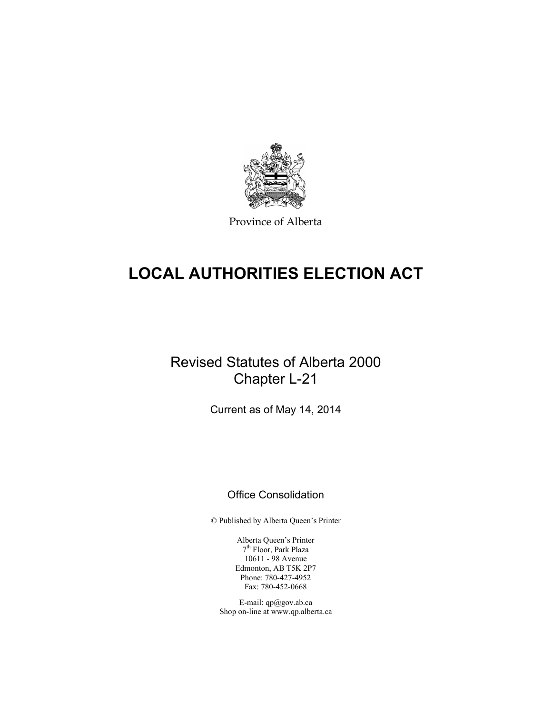

Province of Alberta

# **LOCAL AUTHORITIES ELECTION ACT**

# Revised Statutes of Alberta 2000 Chapter L-21

Current as of May 14, 2014

# Office Consolidation

© Published by Alberta Queen's Printer

Alberta Queen's Printer 7th Floor, Park Plaza 10611 - 98 Avenue Edmonton, AB T5K 2P7 Phone: 780-427-4952 Fax: 780-452-0668

E-mail: qp@gov.ab.ca Shop on-line at www.qp.alberta.ca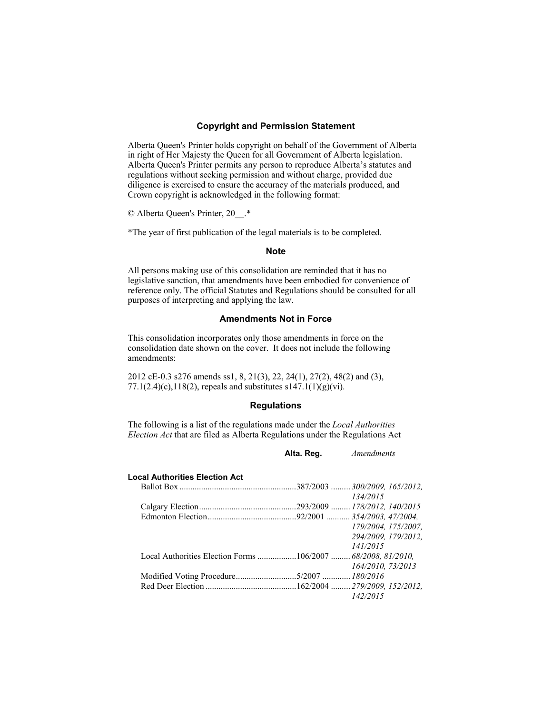# **Copyright and Permission Statement**

Alberta Queen's Printer holds copyright on behalf of the Government of Alberta in right of Her Majesty the Queen for all Government of Alberta legislation. Alberta Queen's Printer permits any person to reproduce Alberta's statutes and regulations without seeking permission and without charge, provided due diligence is exercised to ensure the accuracy of the materials produced, and Crown copyright is acknowledged in the following format:

© Alberta Queen's Printer, 20\_\_.\*

\*The year of first publication of the legal materials is to be completed.

# **Note**

All persons making use of this consolidation are reminded that it has no legislative sanction, that amendments have been embodied for convenience of reference only. The official Statutes and Regulations should be consulted for all purposes of interpreting and applying the law.

# **Amendments Not in Force**

This consolidation incorporates only those amendments in force on the consolidation date shown on the cover. It does not include the following amendments:

2012 cE-0.3 s276 amends ss1, 8, 21(3), 22, 24(1), 27(2), 48(2) and (3), 77.1(2.4)(c),118(2), repeals and substitutes  $s147.1(1)(g)(vi)$ .

# **Regulations**

The following is a list of the regulations made under the *Local Authorities Election Act* that are filed as Alberta Regulations under the Regulations Act

| Alta. Reg. | <i>Amendments</i> |
|------------|-------------------|
|------------|-------------------|

| <b>Local Authorities Election Act</b> |                     |
|---------------------------------------|---------------------|
|                                       |                     |
|                                       | 134/2015            |
|                                       |                     |
|                                       |                     |
|                                       | 179/2004. 175/2007. |
|                                       | 294/2009. 179/2012. |
|                                       | 141/2015            |
|                                       |                     |
|                                       | 164/2010, 73/2013   |
|                                       |                     |
|                                       |                     |
|                                       | 142/2015            |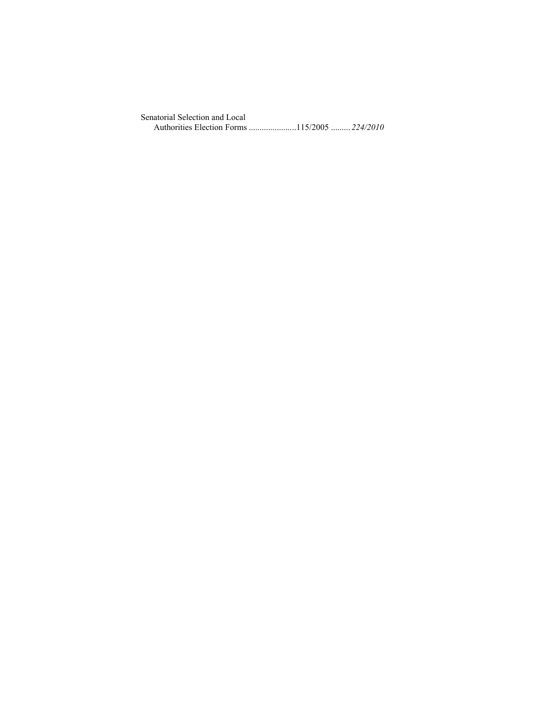Senatorial Selection and Local Authorities Election Forms ...................... 115/2005 ......... *224/2010*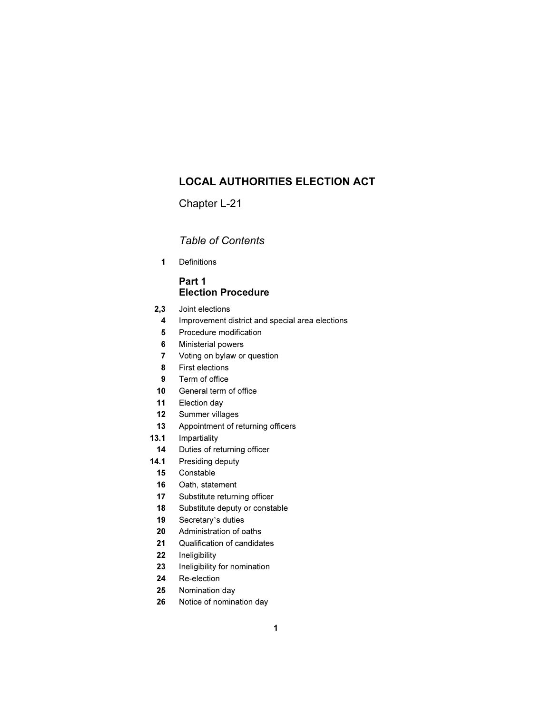# LOCAL AUTHORITIES ELECTION ACT

Chapter L-21

# Table of Contents

1 Definitions

# Part 1 Election Procedure

- 2,3 Joint elections
	- 4 Improvement district and special area elections
	- 5 Procedure modification
	- 6 Ministerial powers
	- 7 Voting on bylaw or question
	- 8 First elections
	- 9 Term of office
- 10 General term of office
- 11 Election day
- 12 Summer villages
- 13 Appointment of returning officers
- 13.1 Impartiality
- 14 Duties of returning officer
- 14.1 Presiding deputy
- 15 Constable
- 16 Oath, statement
- 17 Substitute returning officer
- 18 Substitute deputy or constable <sup>19</sup> Secretary's duties
	-
	- 20 Administration of oaths
	- 21 Qualification of candidates
	- 22 Ineligibility
	- 23 Ineligibility for nomination
	- 24 Re-election
	- 25 Nomination day
	- 26 Notice of nomination day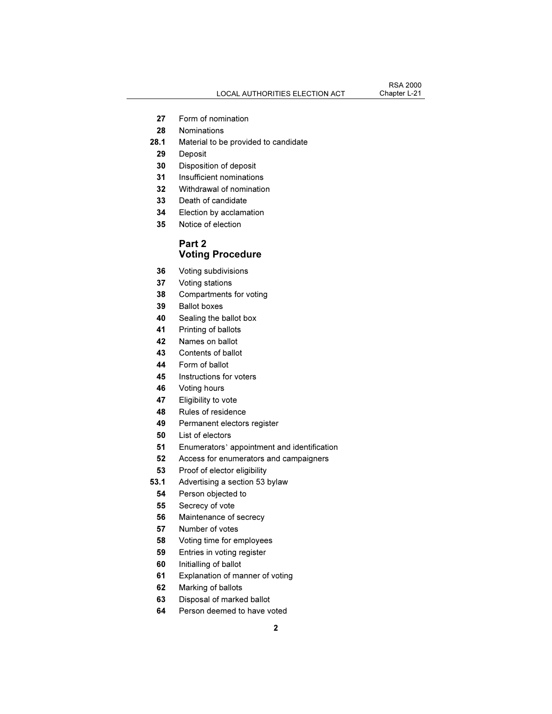- Form of nomination
- Nominations
- 28.1 Material to be provided to candidate
- Deposit
- Disposition of deposit
- Insufficient nominations
- Withdrawal of nomination
- Death of candidate
- Election by acclamation
- Notice of election

# Part 2 Voting Procedure

- Voting subdivisions
- Voting stations
- Compartments for voting
- Ballot boxes
- Sealing the ballot box
- Printing of ballots
- Names on ballot
- Contents of ballot
- Form of ballot
- Instructions for voters
- Voting hours
- 47 Eligibility to vote
- Rules of residence
- Permanent electors register
- List of electors
- Enumerators' appointment and identification
- Access for enumerators and campaigners
- Proof of elector eligibility
- 53.1 Advertising a section 53 bylaw
- Person objected to
- Secrecy of vote
- Maintenance of secrecy
- Number of votes
- Voting time for employees
- Entries in voting register
- Initialling of ballot
- Explanation of manner of voting
- Marking of ballots
- Disposal of marked ballot
- Person deemed to have voted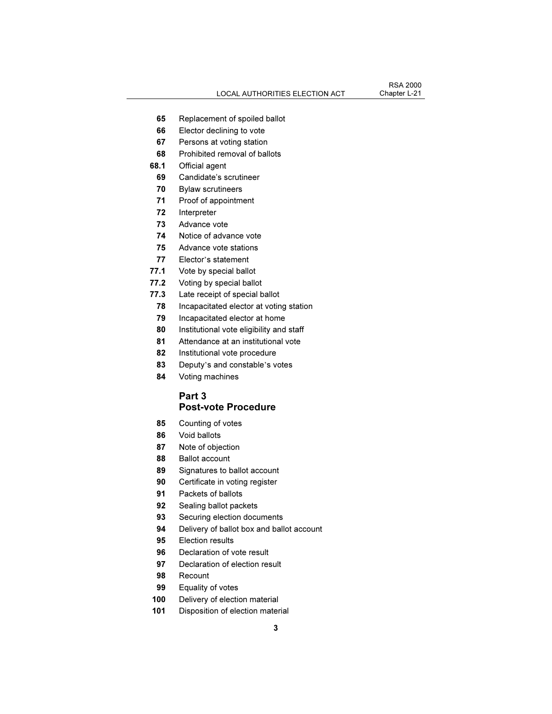- 65 Replacement of spoiled ballot
- 66 Elector declining to vote
- 67 Persons at voting station
- 68 Prohibited removal of ballots
- 68.1 Official agent
- 69 Candidate's scrutineer
- 70 Bylaw scrutineers
- 71 Proof of appointment
- 72 Interpreter
- 73 Advance vote
- 74 Notice of advance vote
- 75 Advance vote stations<br>T7 Elector's statement
	-
	- 77.1 Vote by special ballot
	- 77.2 Voting by special ballot
	- 77.3 Late receipt of special ballot
	- 78 Incapacitated elector at voting station
	- 79 Incapacitated elector at home
	- 80 Institutional vote eligibility and staff
	- 81 Attendance at an institutional vote
	- 82 Institutional vote procedure
	- <sup>83</sup> Deputy's and constable's votes
	- 84 Voting machines

# Part 3 Post-vote Procedure

- 85 Counting of votes
- 86 Void ballots
- 87 Note of objection
- 88 Ballot account
- 89 Signatures to ballot account
- 90 Certificate in voting register
- 91 Packets of ballots
- 92 Sealing ballot packets
- 93 Securing election documents
- 94 Delivery of ballot box and ballot account
- 95 Election results
- 96 Declaration of vote result
- 97 Declaration of election result
- 98 Recount
- 99 Equality of votes
- 100 Delivery of election material
- 101 Disposition of election material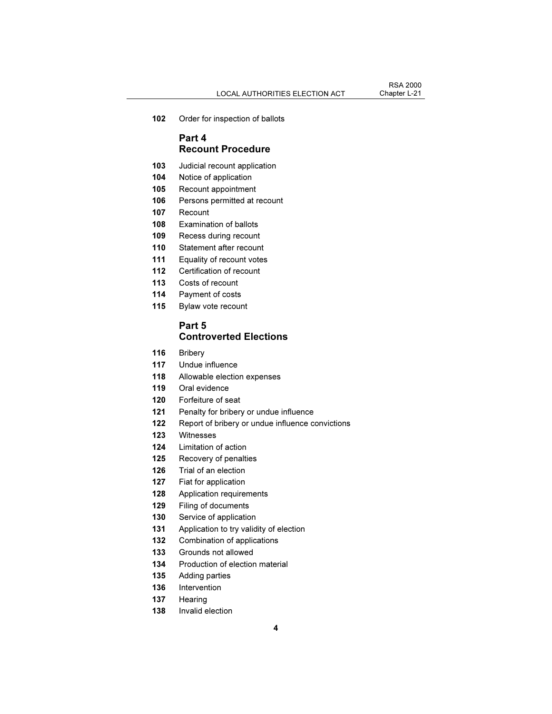102 Order for inspection of ballots

# Part 4 Recount Procedure

- 103 Judicial recount application
- 104 Notice of application
- 105 Recount appointment
- 106 Persons permitted at recount
- 107 Recount
- 108 Examination of ballots
- 109 Recess during recount
- 110 Statement after recount
- 111 Equality of recount votes
- 112 Certification of recount
- 113 Costs of recount
- 114 Payment of costs
- 115 Bylaw vote recount

# Part 5 Controverted Elections

- 116 Bribery
- 117 Undue influence
- 118 Allowable election expenses
- 119 Oral evidence
- 120 Forfeiture of seat
- 121 Penalty for bribery or undue influence
- 122 Report of bribery or undue influence convictions
- 123 Witnesses
- 124 Limitation of action
- 125 Recovery of penalties
- 126 Trial of an election
- 127 Fiat for application
- 128 Application requirements
- 129 Filing of documents
- 130 Service of application
- 131 Application to try validity of election
- 132 Combination of applications
- 133 Grounds not allowed
- 134 Production of election material
- 135 Adding parties
- 136 Intervention
- 137 Hearing
- 138 Invalid election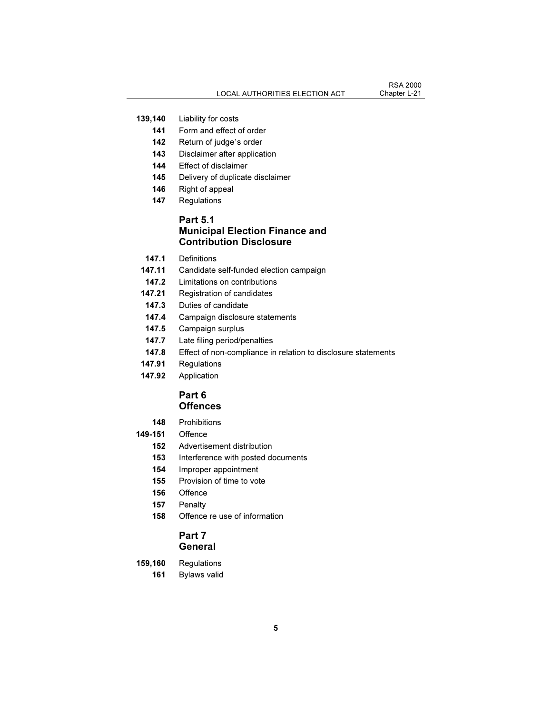- 139,140 Liability for costs
- 141 Form and effect of order<br>142 Return of judge's order
	-
	- 143 Disclaimer after application
	- 144 Effect of disclaimer
	- 145 Delivery of duplicate disclaimer
	- 146 Right of appeal
	- 147 Regulations

# Part 5.1 Municipal Election Finance and Contribution Disclosure

- 147.1 Definitions
- 147.11 Candidate self-funded election campaign
- 147.2 Limitations on contributions
- 147.21 Registration of candidates
- 147.3 Duties of candidate
- 147.4 Campaign disclosure statements
- 147.5 Campaign surplus
- 147.7 Late filing period/penalties
- 147.8 Effect of non-compliance in relation to disclosure statements
- 147.91 Regulations
- 147.92 Application

# Part 6 **Offences**

- 148 Prohibitions
- 149-151 Offence
	- 152 Advertisement distribution
	- 153 Interference with posted documents
	- 154 Improper appointment
	- 155 Provision of time to vote
	- 156 Offence
	- 157 Penalty
	- 158 Offence re use of information

# Part 7 **General**

- 159,160 Regulations
- 161 Bylaws valid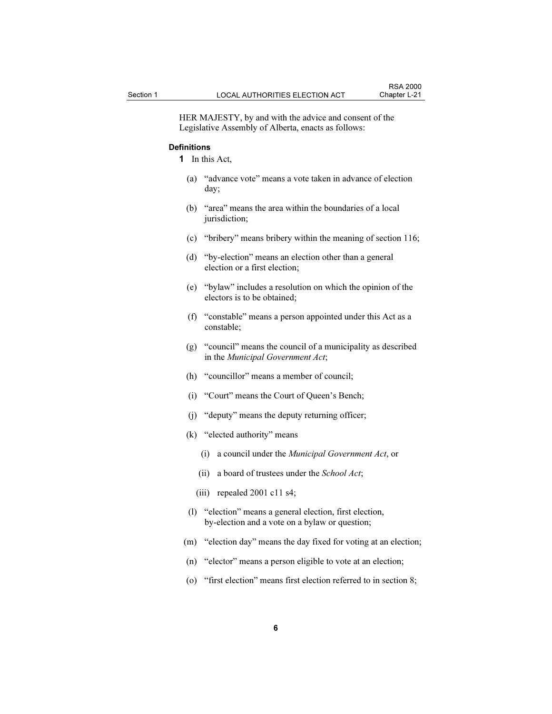HER MAJESTY, by and with the advice and consent of the Legislative Assembly of Alberta, enacts as follows:

## **Definitions**

1 In this Act,

- (a) "advance vote" means a vote taken in advance of election day;
- (b) "area" means the area within the boundaries of a local jurisdiction;
- (c) "bribery" means bribery within the meaning of section 116;
- (d) "by-election" means an election other than a general election or a first election;
- (e) "bylaw" includes a resolution on which the opinion of the electors is to be obtained;
- (f) "constable" means a person appointed under this Act as a constable;
- (g) "council" means the council of a municipality as described in the Municipal Government Act;
- (h) "councillor" means a member of council;
- (i) "Court" means the Court of Queen's Bench;
- (j) "deputy" means the deputy returning officer;
- (k) "elected authority" means
	- (i) a council under the Municipal Government Act, or
	- (ii) a board of trustees under the School Act;
	- (iii) repealed 2001 c11 s4;
- (l) "election" means a general election, first election, by-election and a vote on a bylaw or question;
- (m) "election day" means the day fixed for voting at an election;
- (n) "elector" means a person eligible to vote at an election;
- (o) "first election" means first election referred to in section 8;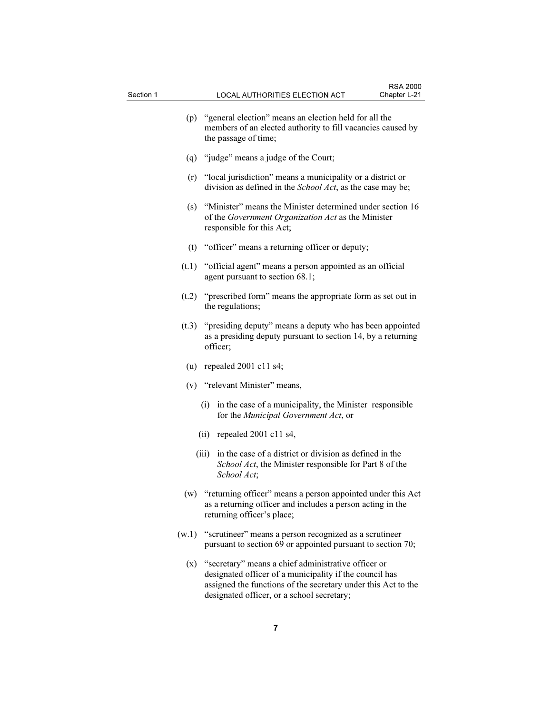|       | (p) "general election" means an election held for all the<br>members of an elected authority to fill vacancies caused by<br>the passage of time;            |
|-------|-------------------------------------------------------------------------------------------------------------------------------------------------------------|
|       | (q) "judge" means a judge of the Court;                                                                                                                     |
|       | (r) "local jurisdiction" means a municipality or a district or<br>division as defined in the <i>School Act</i> , as the case may be;                        |
| (s)   | "Minister" means the Minister determined under section 16<br>of the Government Organization Act as the Minister<br>responsible for this Act;                |
|       | (t) "officer" means a returning officer or deputy;                                                                                                          |
|       | $(t.1)$ "official agent" means a person appointed as an official<br>agent pursuant to section 68.1;                                                         |
| (t.2) | "prescribed form" means the appropriate form as set out in<br>the regulations;                                                                              |
| (t.3) | "presiding deputy" means a deputy who has been appointed<br>as a presiding deputy pursuant to section 14, by a returning<br>officer;                        |
|       | (u) repealed $2001$ c11 s4;                                                                                                                                 |
|       | (v) "relevant Minister" means,                                                                                                                              |
|       | in the case of a municipality, the Minister responsible<br>(i)<br>for the Municipal Government Act, or                                                      |
|       | $(ii)$ repealed 2001 c11 s4,                                                                                                                                |
|       | in the case of a district or division as defined in the<br>(iii)<br>School Act, the Minister responsible for Part 8 of the<br>School Act;                   |
|       | (w) "returning officer" means a person appointed under this Act<br>as a returning officer and includes a person acting in the<br>returning officer's place; |

- (w.1) "scrutineer" means a person recognized as a scrutineer pursuant to section 69 or appointed pursuant to section 70;
	- (x) "secretary" means a chief administrative officer or designated officer of a municipality if the council has assigned the functions of the secretary under this Act to the designated officer, or a school secretary;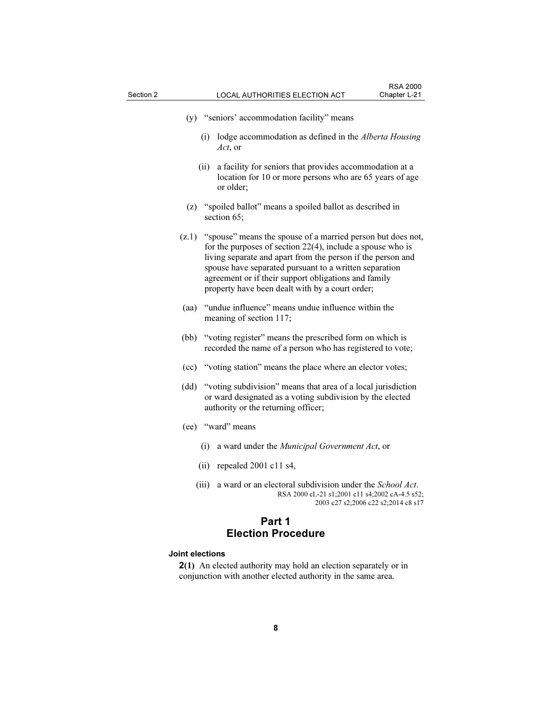| (y) "seniors' accommodation facility" means                                                                                                                                                                                                                                                                                                                               |  |  |
|---------------------------------------------------------------------------------------------------------------------------------------------------------------------------------------------------------------------------------------------------------------------------------------------------------------------------------------------------------------------------|--|--|
| lodge accommodation as defined in the Alberta Housing<br>(i)<br>Act, or                                                                                                                                                                                                                                                                                                   |  |  |
| a facility for seniors that provides accommodation at a<br>(ii)<br>location for 10 or more persons who are 65 years of age<br>or older;                                                                                                                                                                                                                                   |  |  |
| "spoiled ballot" means a spoiled ballot as described in<br>(z)<br>section 65;                                                                                                                                                                                                                                                                                             |  |  |
| "spouse" means the spouse of a married person but does not,<br>(Z.1)<br>for the purposes of section $22(4)$ , include a spouse who is<br>living separate and apart from the person if the person and<br>spouse have separated pursuant to a written separation<br>agreement or if their support obligations and family<br>property have been dealt with by a court order; |  |  |
| "undue influence" means undue influence within the<br>(aa)<br>meaning of section 117;                                                                                                                                                                                                                                                                                     |  |  |
| "voting register" means the prescribed form on which is<br>(bb)<br>recorded the name of a person who has registered to vote;                                                                                                                                                                                                                                              |  |  |
| "voting station" means the place where an elector votes;<br>(cc)                                                                                                                                                                                                                                                                                                          |  |  |
| "voting subdivision" means that area of a local jurisdiction<br>(dd)<br>or ward designated as a voting subdivision by the elected<br>authority or the returning officer;                                                                                                                                                                                                  |  |  |
| (ee) "ward" means                                                                                                                                                                                                                                                                                                                                                         |  |  |
| a ward under the Municipal Government Act, or<br>(i)                                                                                                                                                                                                                                                                                                                      |  |  |
| repealed 2001 c11 s4,<br>(ii)                                                                                                                                                                                                                                                                                                                                             |  |  |
| a ward or an electoral subdivision under the School Act.<br>(iii)<br>RSA 2000 cL-21 s1;2001 c11 s4;2002 cA-4.5 s52;<br>2003 c27 s2;2006 c22 s2;2014 c8 s17                                                                                                                                                                                                                |  |  |
| Part 1                                                                                                                                                                                                                                                                                                                                                                    |  |  |
| <b>Election Procedure</b>                                                                                                                                                                                                                                                                                                                                                 |  |  |
| <b>Joint elections</b>                                                                                                                                                                                                                                                                                                                                                    |  |  |

2(1) An elected authority may hold an election separately or in conjunction with another elected authority in the same area.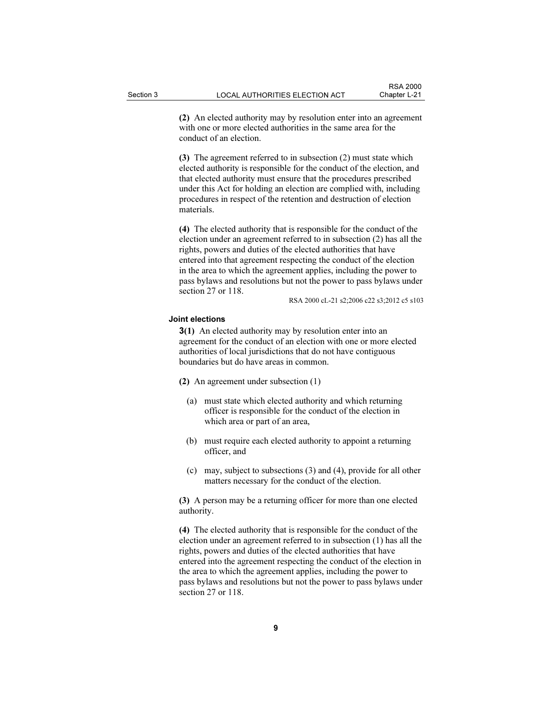(2) An elected authority may by resolution enter into an agreement with one or more elected authorities in the same area for the conduct of an election.

(3) The agreement referred to in subsection (2) must state which elected authority is responsible for the conduct of the election, and that elected authority must ensure that the procedures prescribed under this Act for holding an election are complied with, including procedures in respect of the retention and destruction of election materials.

(4) The elected authority that is responsible for the conduct of the election under an agreement referred to in subsection (2) has all the rights, powers and duties of the elected authorities that have entered into that agreement respecting the conduct of the election in the area to which the agreement applies, including the power to pass bylaws and resolutions but not the power to pass bylaws under section 27 or 118.

RSA 2000 cL-21 s2;2006 c22 s3;2012 c5 s103

#### Joint elections

3(1) An elected authority may by resolution enter into an agreement for the conduct of an election with one or more elected authorities of local jurisdictions that do not have contiguous boundaries but do have areas in common.

- (2) An agreement under subsection (1)
	- (a) must state which elected authority and which returning officer is responsible for the conduct of the election in which area or part of an area,
	- (b) must require each elected authority to appoint a returning officer, and
	- (c) may, subject to subsections (3) and (4), provide for all other matters necessary for the conduct of the election.

(3) A person may be a returning officer for more than one elected authority.

(4) The elected authority that is responsible for the conduct of the election under an agreement referred to in subsection (1) has all the rights, powers and duties of the elected authorities that have entered into the agreement respecting the conduct of the election in the area to which the agreement applies, including the power to pass bylaws and resolutions but not the power to pass bylaws under section 27 or 118.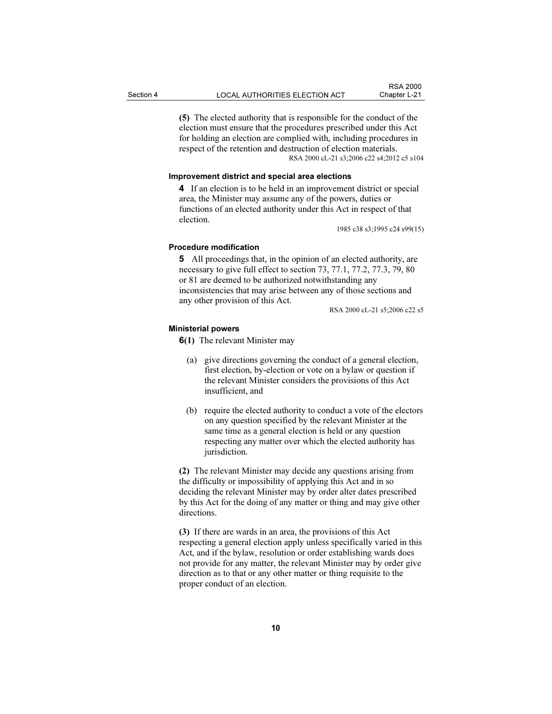(5) The elected authority that is responsible for the conduct of the

election must ensure that the procedures prescribed under this Act for holding an election are complied with, including procedures in respect of the retention and destruction of election materials. RSA 2000 cL-21 s3;2006 c22 s4;2012 c5 s104

## Improvement district and special area elections

4 If an election is to be held in an improvement district or special area, the Minister may assume any of the powers, duties or functions of an elected authority under this Act in respect of that election.

1985 c38 s3;1995 c24 s99(15)

#### Procedure modification

5 All proceedings that, in the opinion of an elected authority, are necessary to give full effect to section 73, 77.1, 77.2, 77.3, 79, 80 or 81 are deemed to be authorized notwithstanding any inconsistencies that may arise between any of those sections and any other provision of this Act.

RSA 2000 cL-21 s5;2006 c22 s5

## Ministerial powers

6(1) The relevant Minister may

- (a) give directions governing the conduct of a general election, first election, by-election or vote on a bylaw or question if the relevant Minister considers the provisions of this Act insufficient, and
- (b) require the elected authority to conduct a vote of the electors on any question specified by the relevant Minister at the same time as a general election is held or any question respecting any matter over which the elected authority has jurisdiction.

(2) The relevant Minister may decide any questions arising from the difficulty or impossibility of applying this Act and in so deciding the relevant Minister may by order alter dates prescribed by this Act for the doing of any matter or thing and may give other directions.

(3) If there are wards in an area, the provisions of this Act respecting a general election apply unless specifically varied in this Act, and if the bylaw, resolution or order establishing wards does not provide for any matter, the relevant Minister may by order give direction as to that or any other matter or thing requisite to the proper conduct of an election.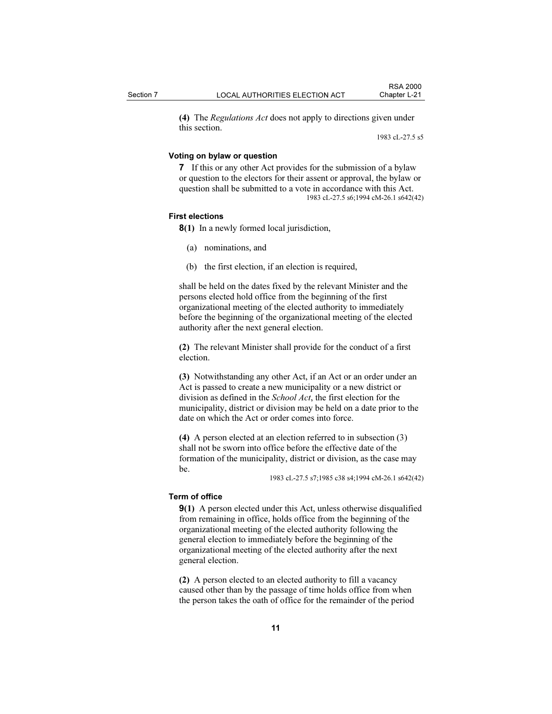(4) The Regulations Act does not apply to directions given under this section.

1983 cL-27.5 s5

## Voting on bylaw or question

7 If this or any other Act provides for the submission of a bylaw or question to the electors for their assent or approval, the bylaw or question shall be submitted to a vote in accordance with this Act. 1983 cL-27.5 s6;1994 cM-26.1 s642(42)

#### First elections

8(1) In a newly formed local jurisdiction,

(a) nominations, and

(b) the first election, if an election is required,

shall be held on the dates fixed by the relevant Minister and the persons elected hold office from the beginning of the first organizational meeting of the elected authority to immediately before the beginning of the organizational meeting of the elected authority after the next general election.

(2) The relevant Minister shall provide for the conduct of a first election.

(3) Notwithstanding any other Act, if an Act or an order under an Act is passed to create a new municipality or a new district or division as defined in the School Act, the first election for the municipality, district or division may be held on a date prior to the date on which the Act or order comes into force.

(4) A person elected at an election referred to in subsection (3) shall not be sworn into office before the effective date of the formation of the municipality, district or division, as the case may be.

1983 cL-27.5 s7;1985 c38 s4;1994 cM-26.1 s642(42)

## Term of office

9(1) A person elected under this Act, unless otherwise disqualified from remaining in office, holds office from the beginning of the organizational meeting of the elected authority following the general election to immediately before the beginning of the organizational meeting of the elected authority after the next general election.

(2) A person elected to an elected authority to fill a vacancy caused other than by the passage of time holds office from when the person takes the oath of office for the remainder of the period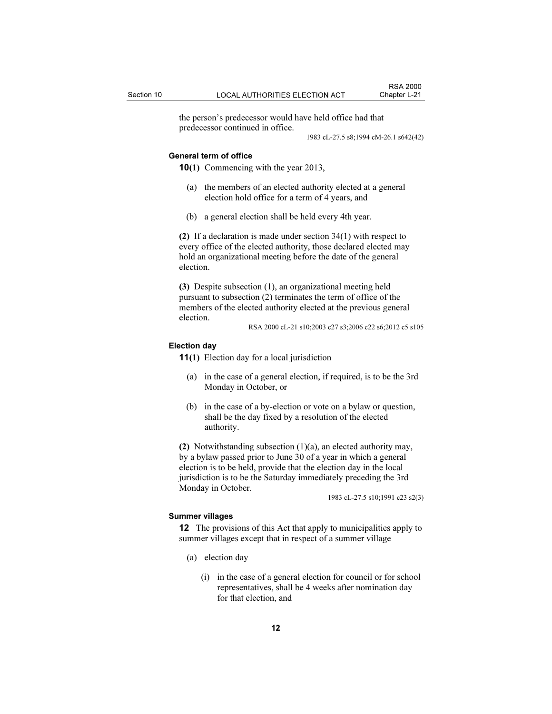the person's predecessor would have held office had that predecessor continued in office.

1983 cL-27.5 s8;1994 cM-26.1 s642(42)

#### General term of office

10(1) Commencing with the year 2013,

- (a) the members of an elected authority elected at a general election hold office for a term of 4 years, and
- (b) a general election shall be held every 4th year.

(2) If a declaration is made under section  $34(1)$  with respect to every office of the elected authority, those declared elected may hold an organizational meeting before the date of the general election.

(3) Despite subsection (1), an organizational meeting held pursuant to subsection (2) terminates the term of office of the members of the elected authority elected at the previous general election.

RSA 2000 cL-21 s10;2003 c27 s3;2006 c22 s6;2012 c5 s105

## Election day

11(1) Election day for a local jurisdiction

- (a) in the case of a general election, if required, is to be the 3rd Monday in October, or
- (b) in the case of a by-election or vote on a bylaw or question, shall be the day fixed by a resolution of the elected authority.

(2) Notwithstanding subsection (1)(a), an elected authority may, by a bylaw passed prior to June 30 of a year in which a general election is to be held, provide that the election day in the local jurisdiction is to be the Saturday immediately preceding the 3rd Monday in October.

1983 cL-27.5 s10;1991 c23 s2(3)

#### Summer villages

12 The provisions of this Act that apply to municipalities apply to summer villages except that in respect of a summer village

- (a) election day
	- (i) in the case of a general election for council or for school representatives, shall be 4 weeks after nomination day for that election, and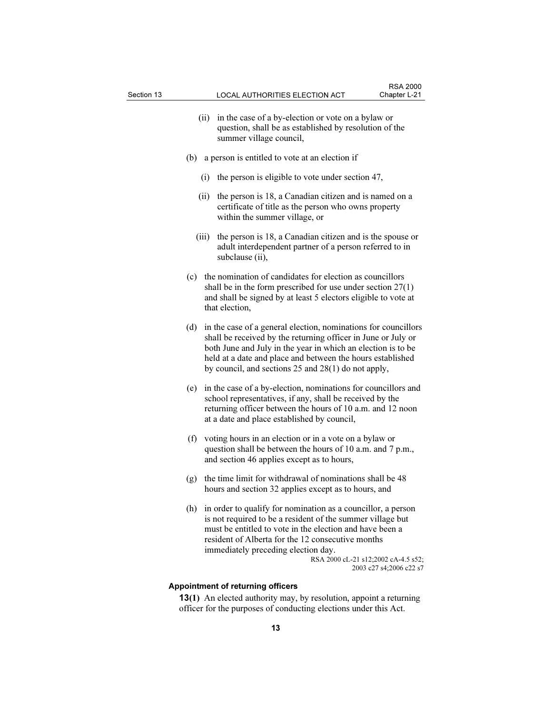- (ii) in the case of a by-election or vote on a bylaw or question, shall be as established by resolution of the summer village council,
- (b) a person is entitled to vote at an election if
	- (i) the person is eligible to vote under section 47,
	- (ii) the person is 18, a Canadian citizen and is named on a certificate of title as the person who owns property within the summer village, or
	- (iii) the person is 18, a Canadian citizen and is the spouse or adult interdependent partner of a person referred to in subclause (ii),
- (c) the nomination of candidates for election as councillors shall be in the form prescribed for use under section 27(1) and shall be signed by at least 5 electors eligible to vote at that election,
- (d) in the case of a general election, nominations for councillors shall be received by the returning officer in June or July or both June and July in the year in which an election is to be held at a date and place and between the hours established by council, and sections 25 and 28(1) do not apply,
- (e) in the case of a by-election, nominations for councillors and school representatives, if any, shall be received by the returning officer between the hours of 10 a.m. and 12 noon at a date and place established by council,
- (f) voting hours in an election or in a vote on a bylaw or question shall be between the hours of 10 a.m. and 7 p.m., and section 46 applies except as to hours,
- (g) the time limit for withdrawal of nominations shall be 48 hours and section 32 applies except as to hours, and
- (h) in order to qualify for nomination as a councillor, a person is not required to be a resident of the summer village but must be entitled to vote in the election and have been a resident of Alberta for the 12 consecutive months immediately preceding election day. RSA 2000 cL-21 s12;2002 cA-4.5 s52;

2003 c27 s4;2006 c22 s7

#### Appointment of returning officers

13(1) An elected authority may, by resolution, appoint a returning officer for the purposes of conducting elections under this Act.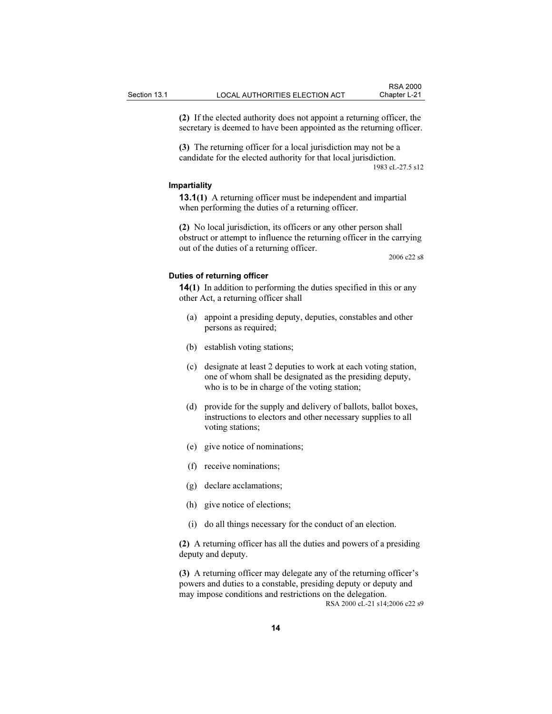(2) If the elected authority does not appoint a returning officer, the secretary is deemed to have been appointed as the returning officer.

(3) The returning officer for a local jurisdiction may not be a candidate for the elected authority for that local jurisdiction. 1983 cL-27.5 s12

#### Impartiality

13.1(1) A returning officer must be independent and impartial when performing the duties of a returning officer.

(2) No local jurisdiction, its officers or any other person shall obstruct or attempt to influence the returning officer in the carrying out of the duties of a returning officer.

2006 c22 s8

#### Duties of returning officer

14(1) In addition to performing the duties specified in this or any other Act, a returning officer shall

- (a) appoint a presiding deputy, deputies, constables and other persons as required;
- (b) establish voting stations;
- (c) designate at least 2 deputies to work at each voting station, one of whom shall be designated as the presiding deputy, who is to be in charge of the voting station;
- (d) provide for the supply and delivery of ballots, ballot boxes, instructions to electors and other necessary supplies to all voting stations;
- (e) give notice of nominations;
- (f) receive nominations;
- (g) declare acclamations;
- (h) give notice of elections;
- (i) do all things necessary for the conduct of an election.

(2) A returning officer has all the duties and powers of a presiding deputy and deputy.

(3) A returning officer may delegate any of the returning officer's powers and duties to a constable, presiding deputy or deputy and may impose conditions and restrictions on the delegation. RSA 2000 cL-21 s14;2006 c22 s9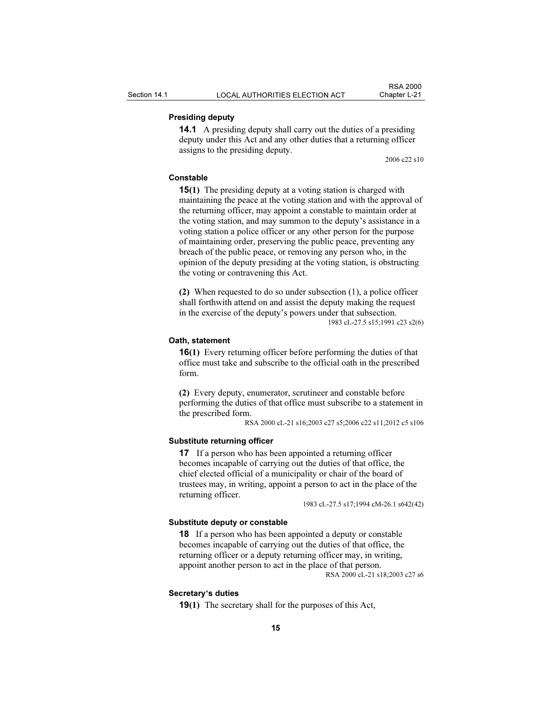# Presiding deputy

14.1 A presiding deputy shall carry out the duties of a presiding deputy under this Act and any other duties that a returning officer assigns to the presiding deputy.

2006 c22 s10

# Constable

15(1) The presiding deputy at a voting station is charged with maintaining the peace at the voting station and with the approval of the returning officer, may appoint a constable to maintain order at the voting station, and may summon to the deputy's assistance in a voting station a police officer or any other person for the purpose of maintaining order, preserving the public peace, preventing any breach of the public peace, or removing any person who, in the opinion of the deputy presiding at the voting station, is obstructing the voting or contravening this Act.

(2) When requested to do so under subsection (1), a police officer shall forthwith attend on and assist the deputy making the request in the exercise of the deputy's powers under that subsection. 1983 cL-27.5 s15;1991 c23 s2(6)

#### Oath, statement

16(1) Every returning officer before performing the duties of that office must take and subscribe to the official oath in the prescribed form.

(2) Every deputy, enumerator, scrutineer and constable before performing the duties of that office must subscribe to a statement in the prescribed form.

RSA 2000 cL-21 s16;2003 c27 s5;2006 c22 s11;2012 c5 s106

#### Substitute returning officer

**17** If a person who has been appointed a returning officer becomes incapable of carrying out the duties of that office, the chief elected official of a municipality or chair of the board of trustees may, in writing, appoint a person to act in the place of the returning officer.

1983 cL-27.5 s17;1994 cM-26.1 s642(42)

#### Substitute deputy or constable

18 If a person who has been appointed a deputy or constable becomes incapable of carrying out the duties of that office, the returning officer or a deputy returning officer may, in writing, appoint another person to act in the place of that person.

RSA 2000 cL-21 s18;2003 c27 s6

#### Secretary's duties

19(1) The secretary shall for the purposes of this Act,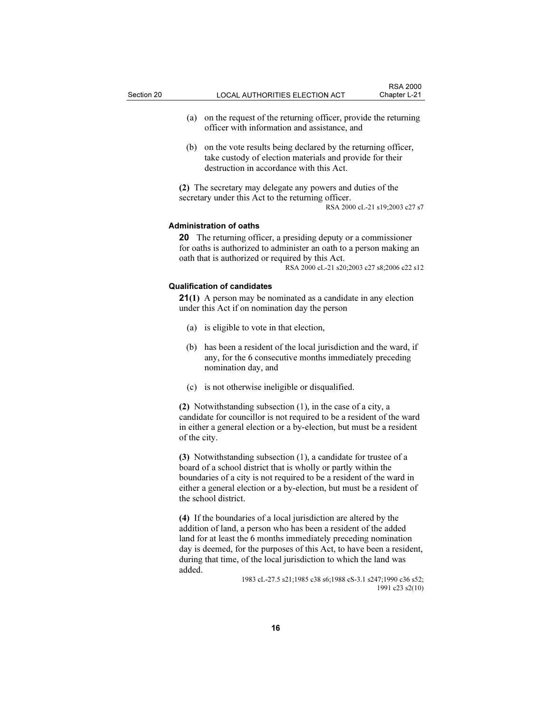- (a) on the request of the returning officer, provide the returning officer with information and assistance, and
- (b) on the vote results being declared by the returning officer, take custody of election materials and provide for their destruction in accordance with this Act.

(2) The secretary may delegate any powers and duties of the secretary under this Act to the returning officer.

RSA 2000 cL-21 s19;2003 c27 s7

#### Administration of oaths

20 The returning officer, a presiding deputy or a commissioner for oaths is authorized to administer an oath to a person making an oath that is authorized or required by this Act.

RSA 2000 cL-21 s20;2003 c27 s8;2006 c22 s12

#### Qualification of candidates

21(1) A person may be nominated as a candidate in any election under this Act if on nomination day the person

- (a) is eligible to vote in that election,
- (b) has been a resident of the local jurisdiction and the ward, if any, for the 6 consecutive months immediately preceding nomination day, and
- (c) is not otherwise ineligible or disqualified.

(2) Notwithstanding subsection (1), in the case of a city, a candidate for councillor is not required to be a resident of the ward in either a general election or a by-election, but must be a resident of the city.

(3) Notwithstanding subsection (1), a candidate for trustee of a board of a school district that is wholly or partly within the boundaries of a city is not required to be a resident of the ward in either a general election or a by-election, but must be a resident of the school district.

(4) If the boundaries of a local jurisdiction are altered by the addition of land, a person who has been a resident of the added land for at least the 6 months immediately preceding nomination day is deemed, for the purposes of this Act, to have been a resident, during that time, of the local jurisdiction to which the land was added.

> 1983 cL-27.5 s21;1985 c38 s6;1988 cS-3.1 s247;1990 c36 s52; 1991 c23 s2(10)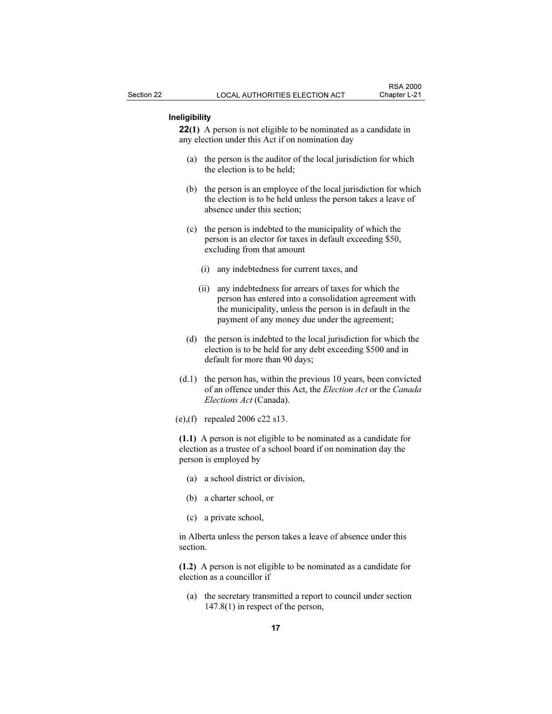## Ineligibility

22(1) A person is not eligible to be nominated as a candidate in any election under this Act if on nomination day

- (a) the person is the auditor of the local jurisdiction for which the election is to be held;
- (b) the person is an employee of the local jurisdiction for which the election is to be held unless the person takes a leave of absence under this section;
- (c) the person is indebted to the municipality of which the person is an elector for taxes in default exceeding \$50, excluding from that amount
	- (i) any indebtedness for current taxes, and
	- (ii) any indebtedness for arrears of taxes for which the person has entered into a consolidation agreement with the municipality, unless the person is in default in the payment of any money due under the agreement;
- (d) the person is indebted to the local jurisdiction for which the election is to be held for any debt exceeding \$500 and in default for more than 90 days;
- (d.1) the person has, within the previous 10 years, been convicted of an offence under this Act, the Election Act or the Canada Elections Act (Canada).
- (e),(f) repealed 2006 c22 s13.

(1.1) A person is not eligible to be nominated as a candidate for election as a trustee of a school board if on nomination day the person is employed by

- (a) a school district or division,
- (b) a charter school, or
- (c) a private school,

in Alberta unless the person takes a leave of absence under this section.

(1.2) A person is not eligible to be nominated as a candidate for election as a councillor if

 (a) the secretary transmitted a report to council under section 147.8(1) in respect of the person,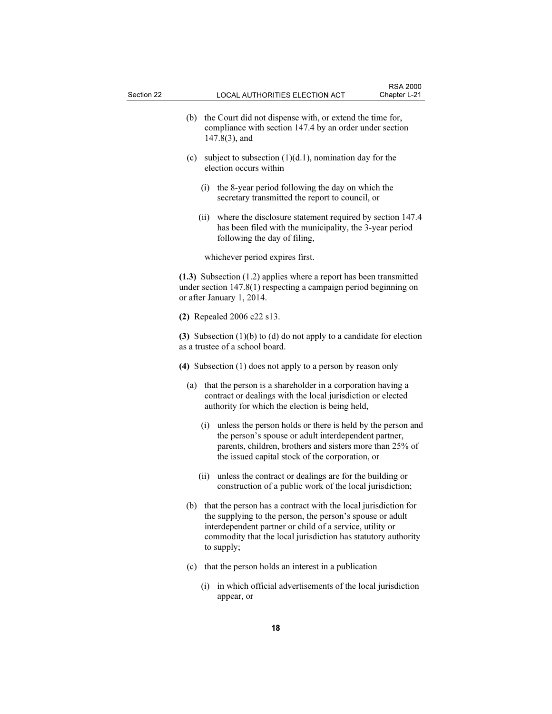- (b) the Court did not dispense with, or extend the time for, compliance with section 147.4 by an order under section 147.8(3), and
- (c) subject to subsection  $(1)(d.1)$ , nomination day for the election occurs within
	- (i) the 8-year period following the day on which the secretary transmitted the report to council, or
	- (ii) where the disclosure statement required by section 147.4 has been filed with the municipality, the 3-year period following the day of filing,

whichever period expires first.

(1.3) Subsection (1.2) applies where a report has been transmitted under section 147.8(1) respecting a campaign period beginning on or after January 1, 2014.

(2) Repealed 2006 c22 s13.

(3) Subsection  $(1)(b)$  to  $(d)$  do not apply to a candidate for election as a trustee of a school board.

- (4) Subsection (1) does not apply to a person by reason only
	- (a) that the person is a shareholder in a corporation having a contract or dealings with the local jurisdiction or elected authority for which the election is being held,
		- (i) unless the person holds or there is held by the person and the person's spouse or adult interdependent partner, parents, children, brothers and sisters more than 25% of the issued capital stock of the corporation, or
		- (ii) unless the contract or dealings are for the building or construction of a public work of the local jurisdiction;
	- (b) that the person has a contract with the local jurisdiction for the supplying to the person, the person's spouse or adult interdependent partner or child of a service, utility or commodity that the local jurisdiction has statutory authority to supply;
	- (c) that the person holds an interest in a publication
		- (i) in which official advertisements of the local jurisdiction appear, or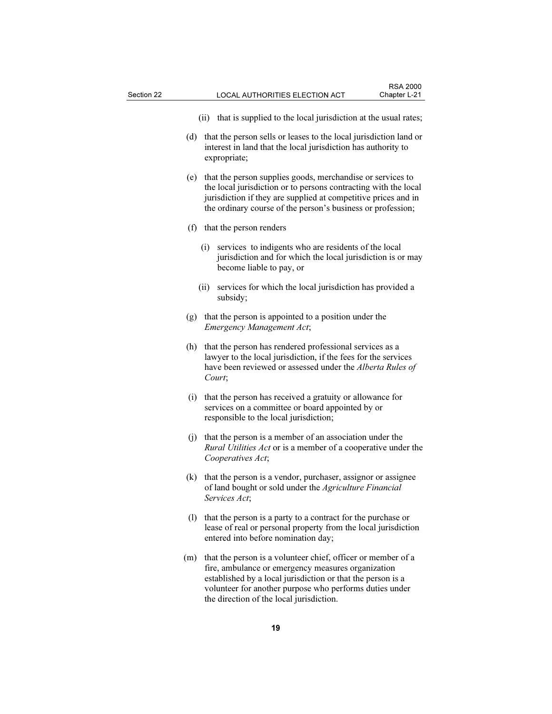- (ii) that is supplied to the local jurisdiction at the usual rates;
- (d) that the person sells or leases to the local jurisdiction land or interest in land that the local jurisdiction has authority to expropriate;
- (e) that the person supplies goods, merchandise or services to the local jurisdiction or to persons contracting with the local jurisdiction if they are supplied at competitive prices and in the ordinary course of the person's business or profession;
- (f) that the person renders
	- (i) services to indigents who are residents of the local jurisdiction and for which the local jurisdiction is or may become liable to pay, or
	- (ii) services for which the local jurisdiction has provided a subsidy;
- (g) that the person is appointed to a position under the Emergency Management Act;
- (h) that the person has rendered professional services as a lawyer to the local jurisdiction, if the fees for the services have been reviewed or assessed under the Alberta Rules of Court;
- (i) that the person has received a gratuity or allowance for services on a committee or board appointed by or responsible to the local jurisdiction;
- (j) that the person is a member of an association under the Rural Utilities Act or is a member of a cooperative under the Cooperatives Act;
- (k) that the person is a vendor, purchaser, assignor or assignee of land bought or sold under the Agriculture Financial Services Act;
- (l) that the person is a party to a contract for the purchase or lease of real or personal property from the local jurisdiction entered into before nomination day;
- (m) that the person is a volunteer chief, officer or member of a fire, ambulance or emergency measures organization established by a local jurisdiction or that the person is a volunteer for another purpose who performs duties under the direction of the local jurisdiction.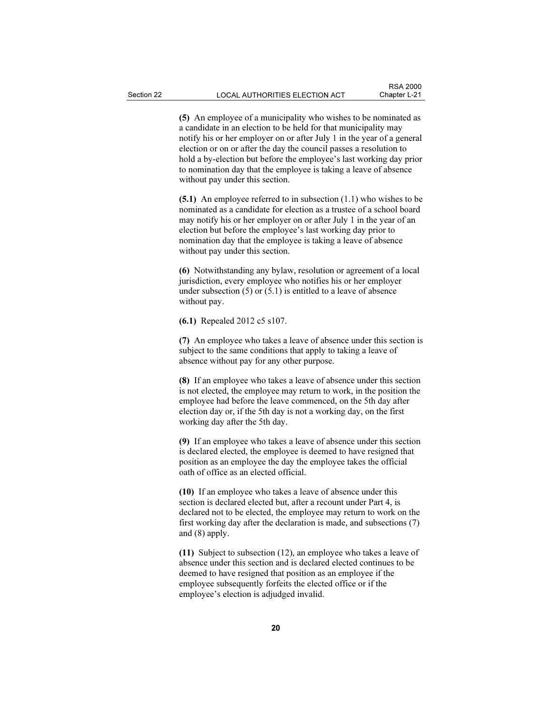(5) An employee of a municipality who wishes to be nominated as a candidate in an election to be held for that municipality may notify his or her employer on or after July 1 in the year of a general election or on or after the day the council passes a resolution to hold a by-election but before the employee's last working day prior to nomination day that the employee is taking a leave of absence without pay under this section.

(5.1) An employee referred to in subsection (1.1) who wishes to be nominated as a candidate for election as a trustee of a school board may notify his or her employer on or after July 1 in the year of an election but before the employee's last working day prior to nomination day that the employee is taking a leave of absence without pay under this section.

(6) Notwithstanding any bylaw, resolution or agreement of a local jurisdiction, every employee who notifies his or her employer under subsection  $(5)$  or  $(5.1)$  is entitled to a leave of absence without pay.

(6.1) Repealed 2012 c5 s107.

(7) An employee who takes a leave of absence under this section is subject to the same conditions that apply to taking a leave of absence without pay for any other purpose.

(8) If an employee who takes a leave of absence under this section is not elected, the employee may return to work, in the position the employee had before the leave commenced, on the 5th day after election day or, if the 5th day is not a working day, on the first working day after the 5th day.

(9) If an employee who takes a leave of absence under this section is declared elected, the employee is deemed to have resigned that position as an employee the day the employee takes the official oath of office as an elected official.

(10) If an employee who takes a leave of absence under this section is declared elected but, after a recount under Part 4, is declared not to be elected, the employee may return to work on the first working day after the declaration is made, and subsections (7) and (8) apply.

(11) Subject to subsection (12), an employee who takes a leave of absence under this section and is declared elected continues to be deemed to have resigned that position as an employee if the employee subsequently forfeits the elected office or if the employee's election is adjudged invalid.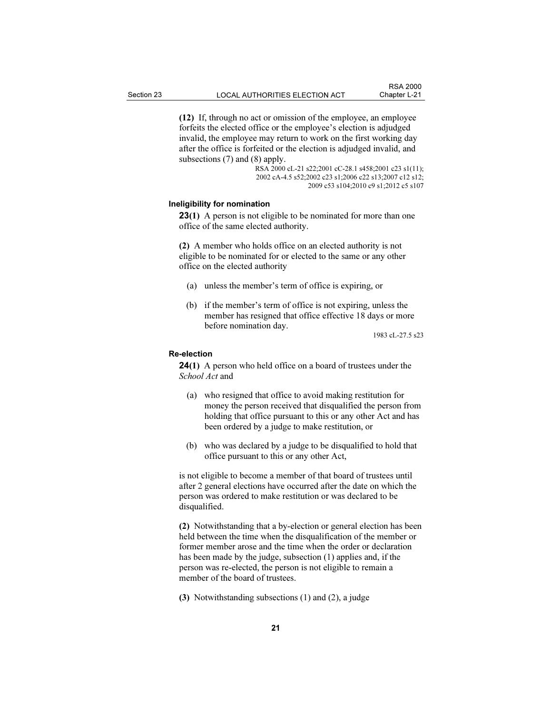(12) If, through no act or omission of the employee, an employee forfeits the elected office or the employee's election is adjudged invalid, the employee may return to work on the first working day

after the office is forfeited or the election is adjudged invalid, and subsections (7) and (8) apply. RSA 2000 cL-21 s22;2001 cC-28.1 s458;2001 c23 s1(11);

2002 cA-4.5 s52;2002 c23 s1;2006 c22 s13;2007 c12 s12; 2009 c53 s104;2010 c9 s1;2012 c5 s107

# Ineligibility for nomination

**23(1)** A person is not eligible to be nominated for more than one office of the same elected authority.

(2) A member who holds office on an elected authority is not eligible to be nominated for or elected to the same or any other office on the elected authority

- (a) unless the member's term of office is expiring, or
- (b) if the member's term of office is not expiring, unless the member has resigned that office effective 18 days or more before nomination day.

1983 cL-27.5 s23

#### Re-election

24(1) A person who held office on a board of trustees under the School Act and

- (a) who resigned that office to avoid making restitution for money the person received that disqualified the person from holding that office pursuant to this or any other Act and has been ordered by a judge to make restitution, or
- (b) who was declared by a judge to be disqualified to hold that office pursuant to this or any other Act,

is not eligible to become a member of that board of trustees until after 2 general elections have occurred after the date on which the person was ordered to make restitution or was declared to be disqualified.

(2) Notwithstanding that a by-election or general election has been held between the time when the disqualification of the member or former member arose and the time when the order or declaration has been made by the judge, subsection (1) applies and, if the person was re-elected, the person is not eligible to remain a member of the board of trustees.

(3) Notwithstanding subsections (1) and (2), a judge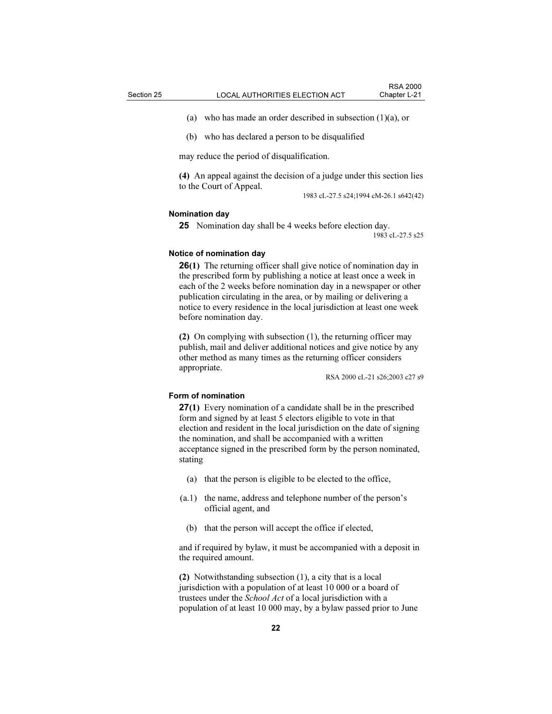(a) who has made an order described in subsection (1)(a), or

(b) who has declared a person to be disqualified

may reduce the period of disqualification.

(4) An appeal against the decision of a judge under this section lies to the Court of Appeal.

1983 cL-27.5 s24;1994 cM-26.1 s642(42)

#### Nomination day

25 Nomination day shall be 4 weeks before election day.

1983 cL-27.5 s25

## Notice of nomination day

26(1) The returning officer shall give notice of nomination day in the prescribed form by publishing a notice at least once a week in each of the 2 weeks before nomination day in a newspaper or other publication circulating in the area, or by mailing or delivering a notice to every residence in the local jurisdiction at least one week before nomination day.

(2) On complying with subsection (1), the returning officer may publish, mail and deliver additional notices and give notice by any other method as many times as the returning officer considers appropriate.

RSA 2000 cL-21 s26;2003 c27 s9

## Form of nomination

27(1) Every nomination of a candidate shall be in the prescribed form and signed by at least 5 electors eligible to vote in that election and resident in the local jurisdiction on the date of signing the nomination, and shall be accompanied with a written acceptance signed in the prescribed form by the person nominated, stating

- (a) that the person is eligible to be elected to the office,
- (a.1) the name, address and telephone number of the person's official agent, and
	- (b) that the person will accept the office if elected,

and if required by bylaw, it must be accompanied with a deposit in the required amount.

(2) Notwithstanding subsection (1), a city that is a local jurisdiction with a population of at least 10 000 or a board of trustees under the School Act of a local jurisdiction with a population of at least 10 000 may, by a bylaw passed prior to June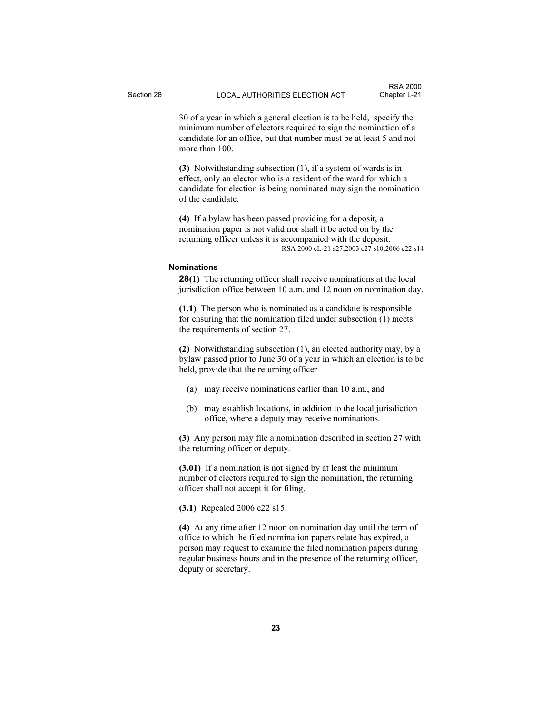30 of a year in which a general election is to be held, specify the minimum number of electors required to sign the nomination of a candidate for an office, but that number must be at least 5 and not more than 100.

(3) Notwithstanding subsection (1), if a system of wards is in effect, only an elector who is a resident of the ward for which a candidate for election is being nominated may sign the nomination of the candidate.

(4) If a bylaw has been passed providing for a deposit, a nomination paper is not valid nor shall it be acted on by the returning officer unless it is accompanied with the deposit. RSA 2000 cL-21 s27;2003 c27 s10;2006 c22 s14

#### Nominations

28(1) The returning officer shall receive nominations at the local jurisdiction office between 10 a.m. and 12 noon on nomination day.

(1.1) The person who is nominated as a candidate is responsible for ensuring that the nomination filed under subsection (1) meets the requirements of section 27.

(2) Notwithstanding subsection (1), an elected authority may, by a bylaw passed prior to June 30 of a year in which an election is to be held, provide that the returning officer

- (a) may receive nominations earlier than 10 a.m., and
- (b) may establish locations, in addition to the local jurisdiction office, where a deputy may receive nominations.

(3) Any person may file a nomination described in section 27 with the returning officer or deputy.

(3.01) If a nomination is not signed by at least the minimum number of electors required to sign the nomination, the returning officer shall not accept it for filing.

(3.1) Repealed 2006 c22 s15.

(4) At any time after 12 noon on nomination day until the term of office to which the filed nomination papers relate has expired, a person may request to examine the filed nomination papers during regular business hours and in the presence of the returning officer, deputy or secretary.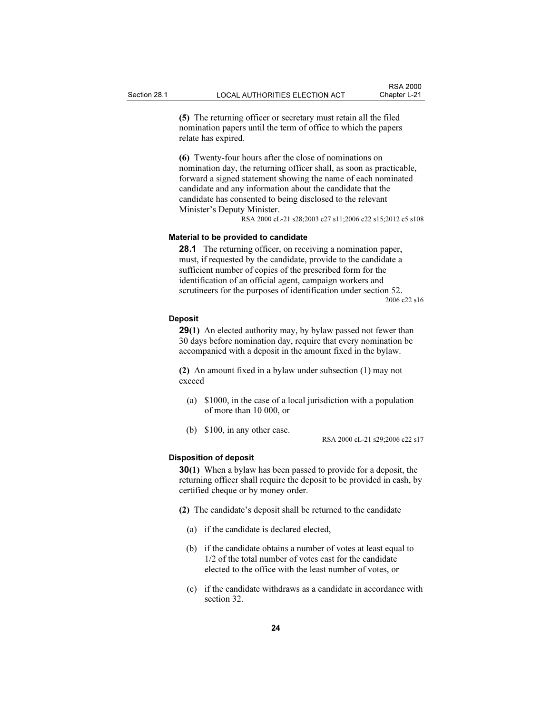(5) The returning officer or secretary must retain all the filed nomination papers until the term of office to which the papers relate has expired.

(6) Twenty-four hours after the close of nominations on nomination day, the returning officer shall, as soon as practicable, forward a signed statement showing the name of each nominated candidate and any information about the candidate that the candidate has consented to being disclosed to the relevant Minister's Deputy Minister.

RSA 2000 cL-21 s28;2003 c27 s11;2006 c22 s15;2012 c5 s108

# Material to be provided to candidate

28.1 The returning officer, on receiving a nomination paper, must, if requested by the candidate, provide to the candidate a sufficient number of copies of the prescribed form for the identification of an official agent, campaign workers and scrutineers for the purposes of identification under section 52.

2006 c22 s16

#### Deposit

**29(1)** An elected authority may, by bylaw passed not fewer than 30 days before nomination day, require that every nomination be accompanied with a deposit in the amount fixed in the bylaw.

(2) An amount fixed in a bylaw under subsection (1) may not exceed

- (a) \$1000, in the case of a local jurisdiction with a population of more than 10 000, or
- (b) \$100, in any other case.

RSA 2000 cL-21 s29;2006 c22 s17

#### Disposition of deposit

30(1) When a bylaw has been passed to provide for a deposit, the returning officer shall require the deposit to be provided in cash, by certified cheque or by money order.

- (2) The candidate's deposit shall be returned to the candidate
	- (a) if the candidate is declared elected,
	- (b) if the candidate obtains a number of votes at least equal to 1/2 of the total number of votes cast for the candidate elected to the office with the least number of votes, or
	- (c) if the candidate withdraws as a candidate in accordance with section 32.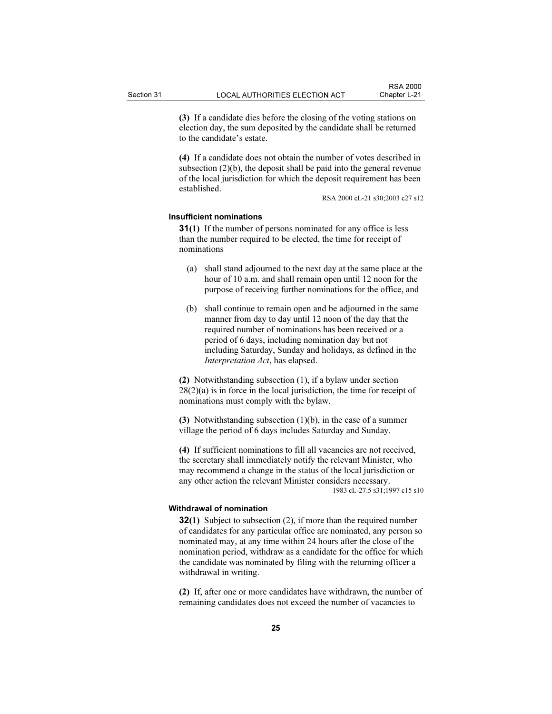(3) If a candidate dies before the closing of the voting stations on election day, the sum deposited by the candidate shall be returned to the candidate's estate.

(4) If a candidate does not obtain the number of votes described in subsection (2)(b), the deposit shall be paid into the general revenue of the local jurisdiction for which the deposit requirement has been established.

RSA 2000 cL-21 s30;2003 c27 s12

#### Insufficient nominations

31(1) If the number of persons nominated for any office is less than the number required to be elected, the time for receipt of nominations

- (a) shall stand adjourned to the next day at the same place at the hour of 10 a.m. and shall remain open until 12 noon for the purpose of receiving further nominations for the office, and
- (b) shall continue to remain open and be adjourned in the same manner from day to day until 12 noon of the day that the required number of nominations has been received or a period of 6 days, including nomination day but not including Saturday, Sunday and holidays, as defined in the Interpretation Act, has elapsed.

(2) Notwithstanding subsection (1), if a bylaw under section  $28(2)(a)$  is in force in the local jurisdiction, the time for receipt of nominations must comply with the bylaw.

(3) Notwithstanding subsection (1)(b), in the case of a summer village the period of 6 days includes Saturday and Sunday.

(4) If sufficient nominations to fill all vacancies are not received, the secretary shall immediately notify the relevant Minister, who may recommend a change in the status of the local jurisdiction or any other action the relevant Minister considers necessary. 1983 cL-27.5 s31;1997 c15 s10

#### Withdrawal of nomination

32(1) Subject to subsection (2), if more than the required number of candidates for any particular office are nominated, any person so nominated may, at any time within 24 hours after the close of the nomination period, withdraw as a candidate for the office for which the candidate was nominated by filing with the returning officer a withdrawal in writing.

(2) If, after one or more candidates have withdrawn, the number of remaining candidates does not exceed the number of vacancies to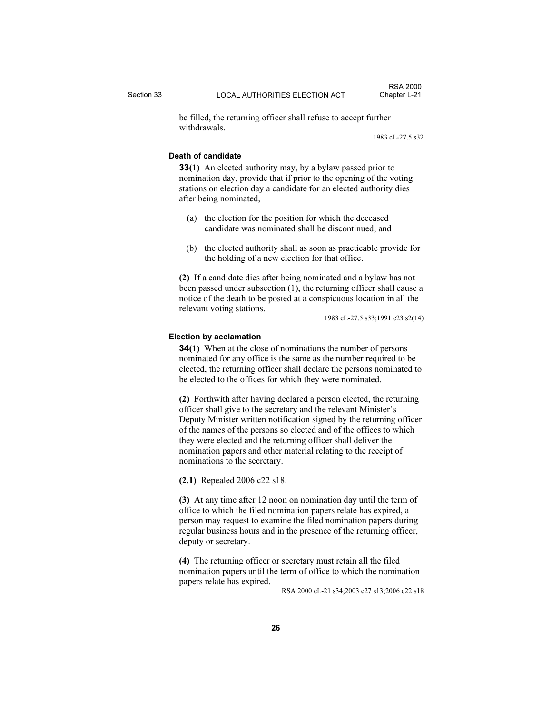be filled, the returning officer shall refuse to accept further withdrawals.

1983 cL-27.5 s32

# Death of candidate

33(1) An elected authority may, by a bylaw passed prior to nomination day, provide that if prior to the opening of the voting stations on election day a candidate for an elected authority dies after being nominated,

- (a) the election for the position for which the deceased candidate was nominated shall be discontinued, and
- (b) the elected authority shall as soon as practicable provide for the holding of a new election for that office.

(2) If a candidate dies after being nominated and a bylaw has not been passed under subsection (1), the returning officer shall cause a notice of the death to be posted at a conspicuous location in all the relevant voting stations.

1983 cL-27.5 s33;1991 c23 s2(14)

#### Election by acclamation

34(1) When at the close of nominations the number of persons nominated for any office is the same as the number required to be elected, the returning officer shall declare the persons nominated to be elected to the offices for which they were nominated.

(2) Forthwith after having declared a person elected, the returning officer shall give to the secretary and the relevant Minister's Deputy Minister written notification signed by the returning officer of the names of the persons so elected and of the offices to which they were elected and the returning officer shall deliver the nomination papers and other material relating to the receipt of nominations to the secretary.

(2.1) Repealed 2006 c22 s18.

(3) At any time after 12 noon on nomination day until the term of office to which the filed nomination papers relate has expired, a person may request to examine the filed nomination papers during regular business hours and in the presence of the returning officer, deputy or secretary.

(4) The returning officer or secretary must retain all the filed nomination papers until the term of office to which the nomination papers relate has expired.

RSA 2000 cL-21 s34;2003 c27 s13;2006 c22 s18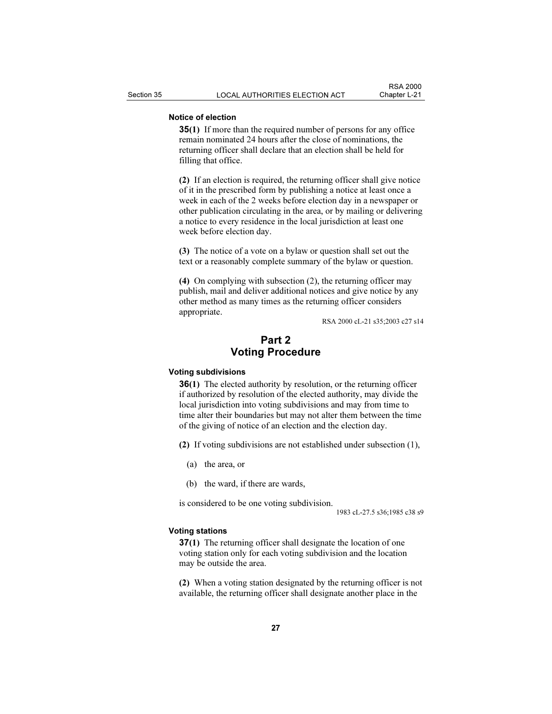# Notice of election

35(1) If more than the required number of persons for any office remain nominated 24 hours after the close of nominations, the returning officer shall declare that an election shall be held for filling that office.

(2) If an election is required, the returning officer shall give notice of it in the prescribed form by publishing a notice at least once a week in each of the 2 weeks before election day in a newspaper or other publication circulating in the area, or by mailing or delivering a notice to every residence in the local jurisdiction at least one week before election day.

(3) The notice of a vote on a bylaw or question shall set out the text or a reasonably complete summary of the bylaw or question.

(4) On complying with subsection (2), the returning officer may publish, mail and deliver additional notices and give notice by any other method as many times as the returning officer considers appropriate.

RSA 2000 cL-21 s35;2003 c27 s14

# Part 2 Voting Procedure

#### Voting subdivisions

36(1) The elected authority by resolution, or the returning officer if authorized by resolution of the elected authority, may divide the local jurisdiction into voting subdivisions and may from time to time alter their boundaries but may not alter them between the time of the giving of notice of an election and the election day.

(2) If voting subdivisions are not established under subsection (1),

- (a) the area, or
- (b) the ward, if there are wards,

is considered to be one voting subdivision.

1983 cL-27.5 s36;1985 c38 s9

#### Voting stations

37(1) The returning officer shall designate the location of one voting station only for each voting subdivision and the location may be outside the area.

(2) When a voting station designated by the returning officer is not available, the returning officer shall designate another place in the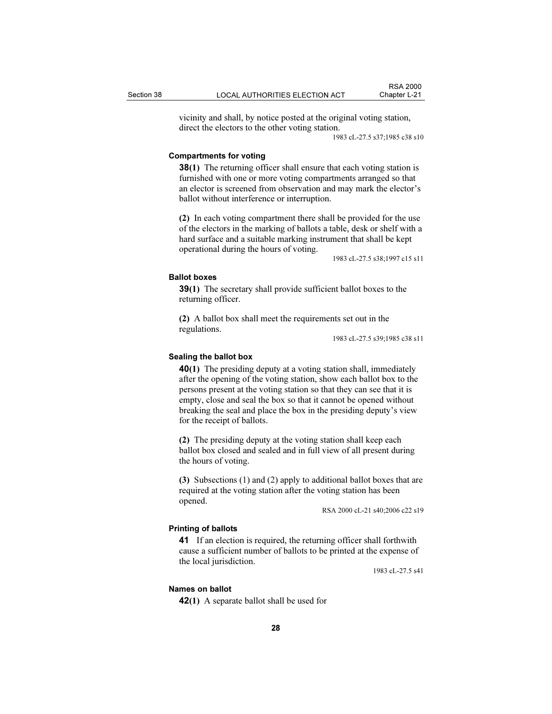vicinity and shall, by notice posted at the original voting station, direct the electors to the other voting station.

1983 cL-27.5 s37;1985 c38 s10

#### Compartments for voting

38(1) The returning officer shall ensure that each voting station is furnished with one or more voting compartments arranged so that an elector is screened from observation and may mark the elector's ballot without interference or interruption.

(2) In each voting compartment there shall be provided for the use of the electors in the marking of ballots a table, desk or shelf with a hard surface and a suitable marking instrument that shall be kept operational during the hours of voting.

1983 cL-27.5 s38;1997 c15 s11

# Ballot boxes

39(1) The secretary shall provide sufficient ballot boxes to the returning officer.

(2) A ballot box shall meet the requirements set out in the regulations.

1983 cL-27.5 s39;1985 c38 s11

# Sealing the ballot box

40(1) The presiding deputy at a voting station shall, immediately after the opening of the voting station, show each ballot box to the persons present at the voting station so that they can see that it is empty, close and seal the box so that it cannot be opened without breaking the seal and place the box in the presiding deputy's view for the receipt of ballots.

(2) The presiding deputy at the voting station shall keep each ballot box closed and sealed and in full view of all present during the hours of voting.

(3) Subsections (1) and (2) apply to additional ballot boxes that are required at the voting station after the voting station has been opened.

RSA 2000 cL-21 s40;2006 c22 s19

## Printing of ballots

41 If an election is required, the returning officer shall forthwith cause a sufficient number of ballots to be printed at the expense of the local jurisdiction.

1983 cL-27.5 s41

#### Names on ballot

42(1) A separate ballot shall be used for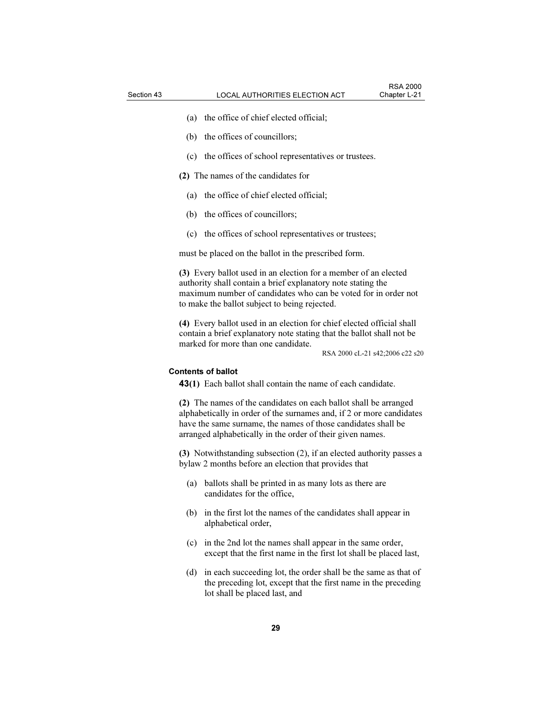- (a) the office of chief elected official;
- (b) the offices of councillors;
- (c) the offices of school representatives or trustees.
- (2) The names of the candidates for
	- (a) the office of chief elected official;
	- (b) the offices of councillors;
	- (c) the offices of school representatives or trustees;

must be placed on the ballot in the prescribed form.

(3) Every ballot used in an election for a member of an elected authority shall contain a brief explanatory note stating the maximum number of candidates who can be voted for in order not to make the ballot subject to being rejected.

(4) Every ballot used in an election for chief elected official shall contain a brief explanatory note stating that the ballot shall not be marked for more than one candidate.

RSA 2000 cL-21 s42;2006 c22 s20

# Contents of ballot

43(1) Each ballot shall contain the name of each candidate.

(2) The names of the candidates on each ballot shall be arranged alphabetically in order of the surnames and, if 2 or more candidates have the same surname, the names of those candidates shall be arranged alphabetically in the order of their given names.

(3) Notwithstanding subsection (2), if an elected authority passes a bylaw 2 months before an election that provides that

- (a) ballots shall be printed in as many lots as there are candidates for the office,
- (b) in the first lot the names of the candidates shall appear in alphabetical order,
- (c) in the 2nd lot the names shall appear in the same order, except that the first name in the first lot shall be placed last,
- (d) in each succeeding lot, the order shall be the same as that of the preceding lot, except that the first name in the preceding lot shall be placed last, and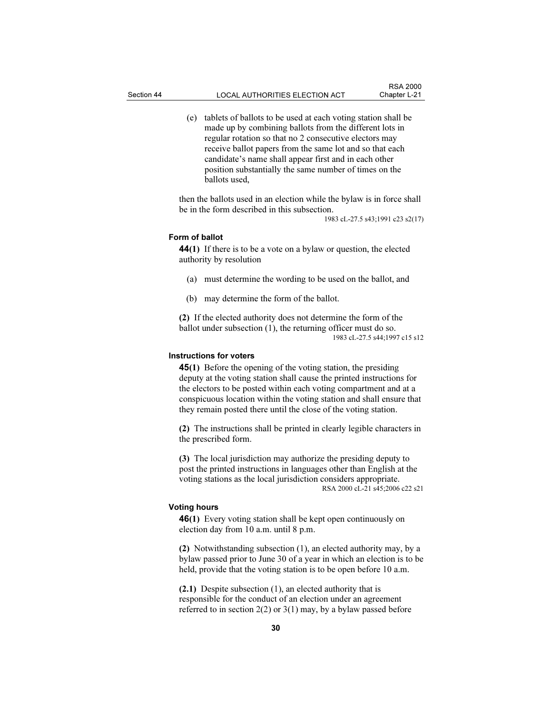(e) tablets of ballots to be used at each voting station shall be made up by combining ballots from the different lots in regular rotation so that no 2 consecutive electors may receive ballot papers from the same lot and so that each candidate's name shall appear first and in each other position substantially the same number of times on the ballots used,

then the ballots used in an election while the bylaw is in force shall be in the form described in this subsection.

1983 cL-27.5 s43;1991 c23 s2(17)

# Form of ballot

44(1) If there is to be a vote on a bylaw or question, the elected authority by resolution

- (a) must determine the wording to be used on the ballot, and
- (b) may determine the form of the ballot.

(2) If the elected authority does not determine the form of the ballot under subsection (1), the returning officer must do so. 1983 cL-27.5 s44;1997 c15 s12

# Instructions for voters

45(1) Before the opening of the voting station, the presiding deputy at the voting station shall cause the printed instructions for the electors to be posted within each voting compartment and at a conspicuous location within the voting station and shall ensure that they remain posted there until the close of the voting station.

(2) The instructions shall be printed in clearly legible characters in the prescribed form.

(3) The local jurisdiction may authorize the presiding deputy to post the printed instructions in languages other than English at the voting stations as the local jurisdiction considers appropriate. RSA 2000 cL-21 s45;2006 c22 s21

#### Voting hours

46(1) Every voting station shall be kept open continuously on election day from 10 a.m. until 8 p.m.

(2) Notwithstanding subsection (1), an elected authority may, by a bylaw passed prior to June 30 of a year in which an election is to be held, provide that the voting station is to be open before 10 a.m.

(2.1) Despite subsection (1), an elected authority that is responsible for the conduct of an election under an agreement referred to in section  $2(2)$  or  $3(1)$  may, by a bylaw passed before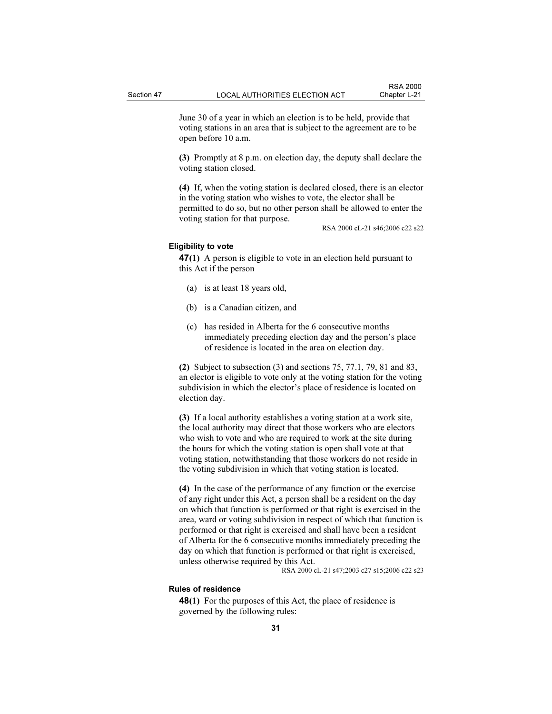June 30 of a year in which an election is to be held, provide that voting stations in an area that is subject to the agreement are to be open before 10 a.m.

(3) Promptly at 8 p.m. on election day, the deputy shall declare the voting station closed.

(4) If, when the voting station is declared closed, there is an elector in the voting station who wishes to vote, the elector shall be permitted to do so, but no other person shall be allowed to enter the voting station for that purpose.

RSA 2000 cL-21 s46;2006 c22 s22

# Eligibility to vote

47(1) A person is eligible to vote in an election held pursuant to this Act if the person

- (a) is at least 18 years old,
- (b) is a Canadian citizen, and
- (c) has resided in Alberta for the 6 consecutive months immediately preceding election day and the person's place of residence is located in the area on election day.

(2) Subject to subsection (3) and sections 75, 77.1, 79, 81 and 83, an elector is eligible to vote only at the voting station for the voting subdivision in which the elector's place of residence is located on election day.

(3) If a local authority establishes a voting station at a work site, the local authority may direct that those workers who are electors who wish to vote and who are required to work at the site during the hours for which the voting station is open shall vote at that voting station, notwithstanding that those workers do not reside in the voting subdivision in which that voting station is located.

(4) In the case of the performance of any function or the exercise of any right under this Act, a person shall be a resident on the day on which that function is performed or that right is exercised in the area, ward or voting subdivision in respect of which that function is performed or that right is exercised and shall have been a resident of Alberta for the 6 consecutive months immediately preceding the day on which that function is performed or that right is exercised, unless otherwise required by this Act.

RSA 2000 cL-21 s47;2003 c27 s15;2006 c22 s23

# Rules of residence

48(1) For the purposes of this Act, the place of residence is governed by the following rules: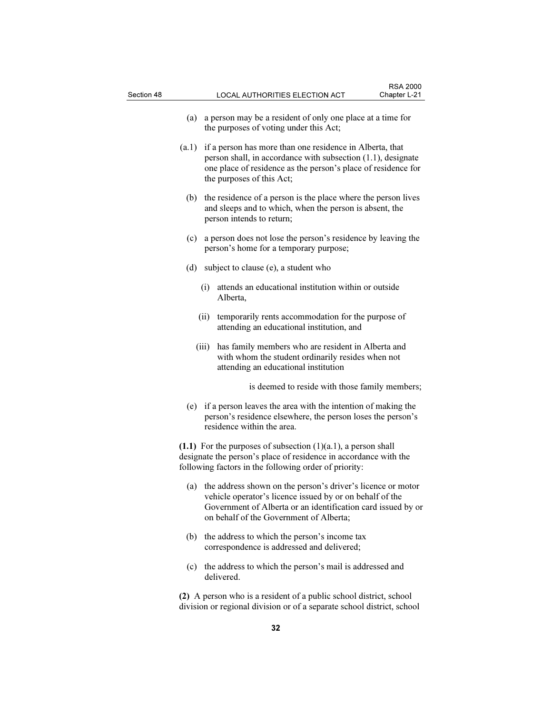- (a) a person may be a resident of only one place at a time for the purposes of voting under this Act;
- (a.1) if a person has more than one residence in Alberta, that person shall, in accordance with subsection (1.1), designate one place of residence as the person's place of residence for the purposes of this Act;
- (b) the residence of a person is the place where the person lives and sleeps and to which, when the person is absent, the person intends to return;
- (c) a person does not lose the person's residence by leaving the person's home for a temporary purpose;
- (d) subject to clause (e), a student who
	- (i) attends an educational institution within or outside Alberta,
	- (ii) temporarily rents accommodation for the purpose of attending an educational institution, and
	- (iii) has family members who are resident in Alberta and with whom the student ordinarily resides when not attending an educational institution

is deemed to reside with those family members;

 (e) if a person leaves the area with the intention of making the person's residence elsewhere, the person loses the person's residence within the area.

(1.1) For the purposes of subsection  $(1)(a.1)$ , a person shall designate the person's place of residence in accordance with the following factors in the following order of priority:

- (a) the address shown on the person's driver's licence or motor vehicle operator's licence issued by or on behalf of the Government of Alberta or an identification card issued by or on behalf of the Government of Alberta;
- (b) the address to which the person's income tax correspondence is addressed and delivered;
- (c) the address to which the person's mail is addressed and delivered.

(2) A person who is a resident of a public school district, school division or regional division or of a separate school district, school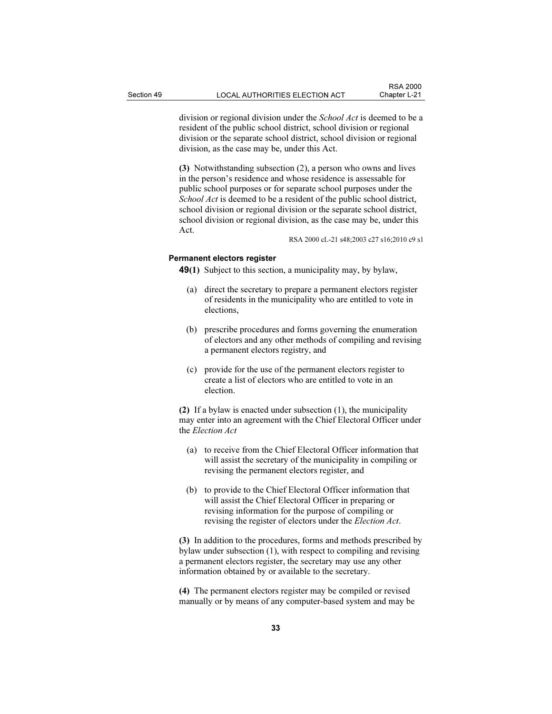division or regional division under the School Act is deemed to be a resident of the public school district, school division or regional division or the separate school district, school division or regional division, as the case may be, under this Act.

(3) Notwithstanding subsection (2), a person who owns and lives in the person's residence and whose residence is assessable for public school purposes or for separate school purposes under the School Act is deemed to be a resident of the public school district, school division or regional division or the separate school district, school division or regional division, as the case may be, under this Act.

RSA 2000 cL-21 s48;2003 c27 s16;2010 c9 s1

#### Permanent electors register

49(1) Subject to this section, a municipality may, by bylaw,

- (a) direct the secretary to prepare a permanent electors register of residents in the municipality who are entitled to vote in elections,
- (b) prescribe procedures and forms governing the enumeration of electors and any other methods of compiling and revising a permanent electors registry, and
- (c) provide for the use of the permanent electors register to create a list of electors who are entitled to vote in an election.

(2) If a bylaw is enacted under subsection (1), the municipality may enter into an agreement with the Chief Electoral Officer under the Election Act

- (a) to receive from the Chief Electoral Officer information that will assist the secretary of the municipality in compiling or revising the permanent electors register, and
- (b) to provide to the Chief Electoral Officer information that will assist the Chief Electoral Officer in preparing or revising information for the purpose of compiling or revising the register of electors under the Election Act.

(3) In addition to the procedures, forms and methods prescribed by bylaw under subsection (1), with respect to compiling and revising a permanent electors register, the secretary may use any other information obtained by or available to the secretary.

(4) The permanent electors register may be compiled or revised manually or by means of any computer-based system and may be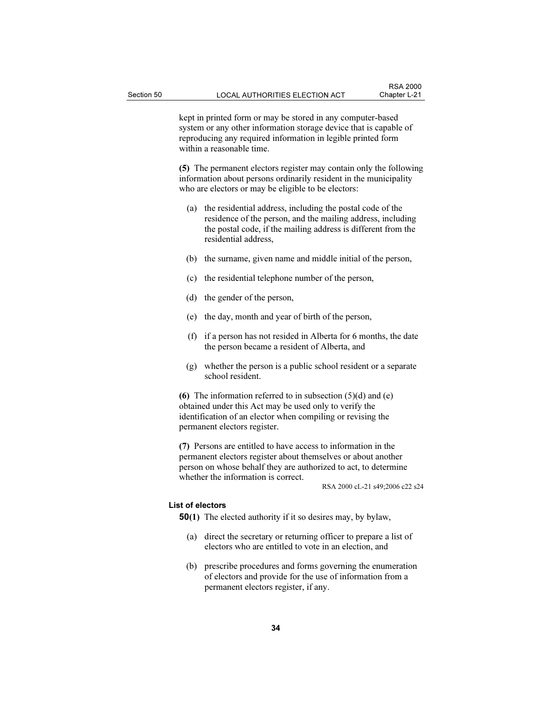kept in printed form or may be stored in any computer-based system or any other information storage device that is capable of reproducing any required information in legible printed form within a reasonable time.

(5) The permanent electors register may contain only the following information about persons ordinarily resident in the municipality who are electors or may be eligible to be electors:

- (a) the residential address, including the postal code of the residence of the person, and the mailing address, including the postal code, if the mailing address is different from the residential address,
- (b) the surname, given name and middle initial of the person,
- (c) the residential telephone number of the person,
- (d) the gender of the person,
- (e) the day, month and year of birth of the person,
- (f) if a person has not resided in Alberta for 6 months, the date the person became a resident of Alberta, and
- (g) whether the person is a public school resident or a separate school resident.

(6) The information referred to in subsection  $(5)(d)$  and  $(e)$ obtained under this Act may be used only to verify the identification of an elector when compiling or revising the permanent electors register.

(7) Persons are entitled to have access to information in the permanent electors register about themselves or about another person on whose behalf they are authorized to act, to determine whether the information is correct.

RSA 2000 cL-21 s49;2006 c22 s24

# List of electors

50(1) The elected authority if it so desires may, by bylaw,

- (a) direct the secretary or returning officer to prepare a list of electors who are entitled to vote in an election, and
- (b) prescribe procedures and forms governing the enumeration of electors and provide for the use of information from a permanent electors register, if any.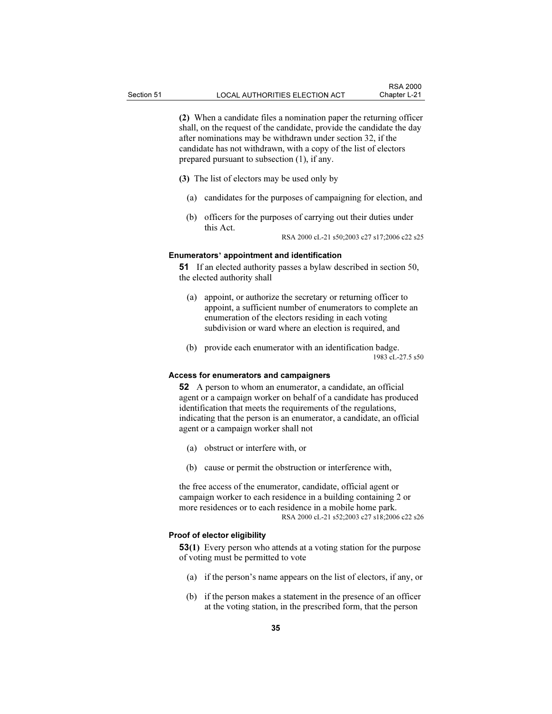(2) When a candidate files a nomination paper the returning officer shall, on the request of the candidate, provide the candidate the day after nominations may be withdrawn under section 32, if the candidate has not withdrawn, with a copy of the list of electors prepared pursuant to subsection (1), if any.

(3) The list of electors may be used only by

- (a) candidates for the purposes of campaigning for election, and
- (b) officers for the purposes of carrying out their duties under this Act.

RSA 2000 cL-21 s50;2003 c27 s17;2006 c22 s25

## Enumerators' appointment and identification

51 If an elected authority passes a bylaw described in section 50, the elected authority shall

- (a) appoint, or authorize the secretary or returning officer to appoint, a sufficient number of enumerators to complete an enumeration of the electors residing in each voting subdivision or ward where an election is required, and
- (b) provide each enumerator with an identification badge. 1983 cL-27.5 s50

#### Access for enumerators and campaigners

52 A person to whom an enumerator, a candidate, an official agent or a campaign worker on behalf of a candidate has produced identification that meets the requirements of the regulations, indicating that the person is an enumerator, a candidate, an official agent or a campaign worker shall not

- (a) obstruct or interfere with, or
- (b) cause or permit the obstruction or interference with,

the free access of the enumerator, candidate, official agent or campaign worker to each residence in a building containing 2 or more residences or to each residence in a mobile home park. RSA 2000 cL-21 s52;2003 c27 s18;2006 c22 s26

#### Proof of elector eligibility

53(1) Every person who attends at a voting station for the purpose of voting must be permitted to vote

- (a) if the person's name appears on the list of electors, if any, or
- (b) if the person makes a statement in the presence of an officer at the voting station, in the prescribed form, that the person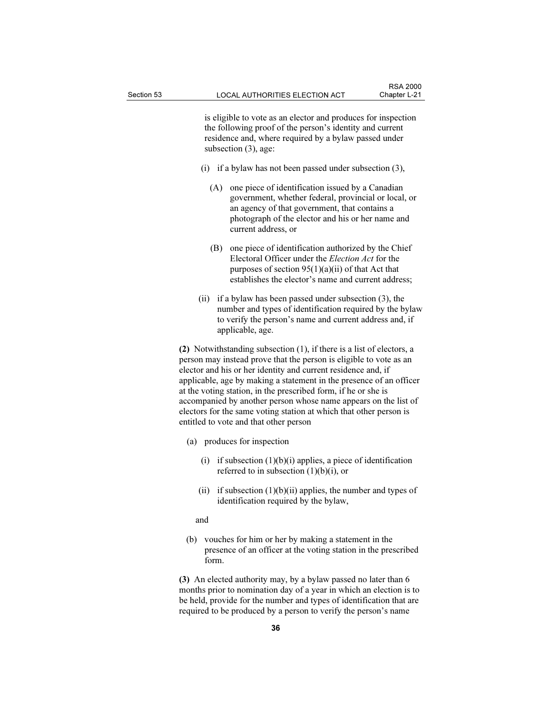is eligible to vote as an elector and produces for inspection the following proof of the person's identity and current residence and, where required by a bylaw passed under subsection (3), age:

- (i) if a bylaw has not been passed under subsection (3),
	- (A) one piece of identification issued by a Canadian government, whether federal, provincial or local, or an agency of that government, that contains a photograph of the elector and his or her name and current address, or
	- (B) one piece of identification authorized by the Chief Electoral Officer under the Election Act for the purposes of section  $95(1)(a)(ii)$  of that Act that establishes the elector's name and current address;
- (ii) if a bylaw has been passed under subsection (3), the number and types of identification required by the bylaw to verify the person's name and current address and, if applicable, age.

(2) Notwithstanding subsection (1), if there is a list of electors, a person may instead prove that the person is eligible to vote as an elector and his or her identity and current residence and, if applicable, age by making a statement in the presence of an officer at the voting station, in the prescribed form, if he or she is accompanied by another person whose name appears on the list of electors for the same voting station at which that other person is entitled to vote and that other person

- (a) produces for inspection
	- (i) if subsection  $(1)(b)(i)$  applies, a piece of identification referred to in subsection  $(1)(b)(i)$ , or
	- (ii) if subsection  $(1)(b)(ii)$  applies, the number and types of identification required by the bylaw,

and

 (b) vouches for him or her by making a statement in the presence of an officer at the voting station in the prescribed form.

(3) An elected authority may, by a bylaw passed no later than 6 months prior to nomination day of a year in which an election is to be held, provide for the number and types of identification that are required to be produced by a person to verify the person's name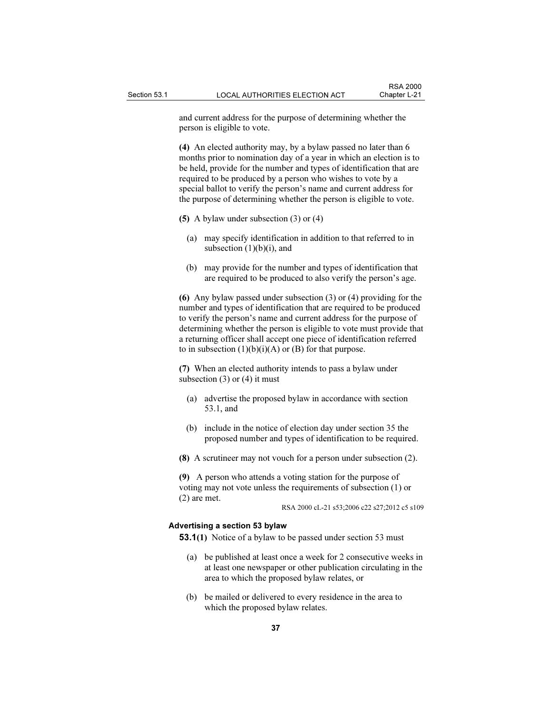and current address for the purpose of determining whether the person is eligible to vote.

(4) An elected authority may, by a bylaw passed no later than 6 months prior to nomination day of a year in which an election is to be held, provide for the number and types of identification that are required to be produced by a person who wishes to vote by a special ballot to verify the person's name and current address for the purpose of determining whether the person is eligible to vote.

- (5) A bylaw under subsection (3) or (4)
	- (a) may specify identification in addition to that referred to in subsection  $(1)(b)(i)$ , and
	- (b) may provide for the number and types of identification that are required to be produced to also verify the person's age.

(6) Any bylaw passed under subsection (3) or (4) providing for the number and types of identification that are required to be produced to verify the person's name and current address for the purpose of determining whether the person is eligible to vote must provide that a returning officer shall accept one piece of identification referred to in subsection  $(1)(b)(i)(A)$  or  $(B)$  for that purpose.

(7) When an elected authority intends to pass a bylaw under subsection  $(3)$  or  $(4)$  it must

- (a) advertise the proposed bylaw in accordance with section 53.1, and
- (b) include in the notice of election day under section 35 the proposed number and types of identification to be required.
- (8) A scrutineer may not vouch for a person under subsection (2).

(9) A person who attends a voting station for the purpose of voting may not vote unless the requirements of subsection (1) or (2) are met.

RSA 2000 cL-21 s53;2006 c22 s27;2012 c5 s109

#### Advertising a section 53 bylaw

53.1(1) Notice of a bylaw to be passed under section 53 must

- (a) be published at least once a week for 2 consecutive weeks in at least one newspaper or other publication circulating in the area to which the proposed bylaw relates, or
- (b) be mailed or delivered to every residence in the area to which the proposed bylaw relates.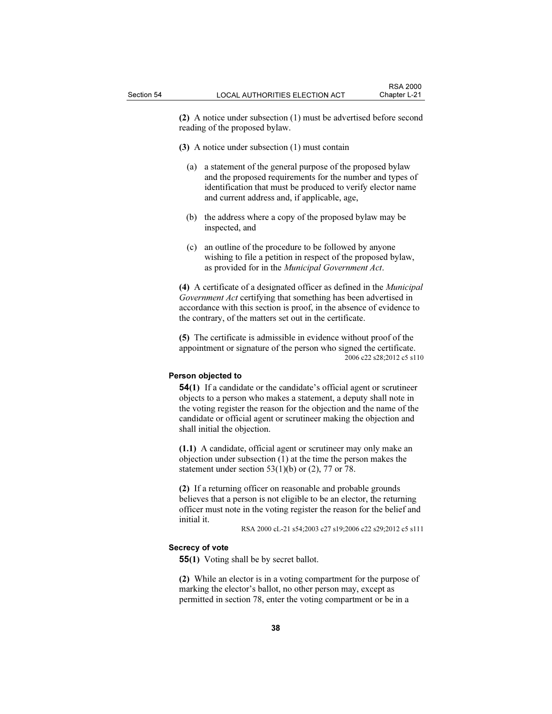(2) A notice under subsection (1) must be advertised before second reading of the proposed bylaw.

- (3) A notice under subsection (1) must contain
	- (a) a statement of the general purpose of the proposed bylaw and the proposed requirements for the number and types of identification that must be produced to verify elector name and current address and, if applicable, age,
	- (b) the address where a copy of the proposed bylaw may be inspected, and
	- (c) an outline of the procedure to be followed by anyone wishing to file a petition in respect of the proposed bylaw, as provided for in the Municipal Government Act.

(4) A certificate of a designated officer as defined in the Municipal Government Act certifying that something has been advertised in accordance with this section is proof, in the absence of evidence to the contrary, of the matters set out in the certificate.

(5) The certificate is admissible in evidence without proof of the appointment or signature of the person who signed the certificate. 2006 c22 s28;2012 c5 s110

## Person objected to

54(1) If a candidate or the candidate's official agent or scrutineer objects to a person who makes a statement, a deputy shall note in the voting register the reason for the objection and the name of the candidate or official agent or scrutineer making the objection and shall initial the objection.

(1.1) A candidate, official agent or scrutineer may only make an objection under subsection (1) at the time the person makes the statement under section  $53(1)(b)$  or  $(2)$ , 77 or 78.

(2) If a returning officer on reasonable and probable grounds believes that a person is not eligible to be an elector, the returning officer must note in the voting register the reason for the belief and initial it.

RSA 2000 cL-21 s54;2003 c27 s19;2006 c22 s29;2012 c5 s111

#### Secrecy of vote

**55(1)** Voting shall be by secret ballot.

(2) While an elector is in a voting compartment for the purpose of marking the elector's ballot, no other person may, except as permitted in section 78, enter the voting compartment or be in a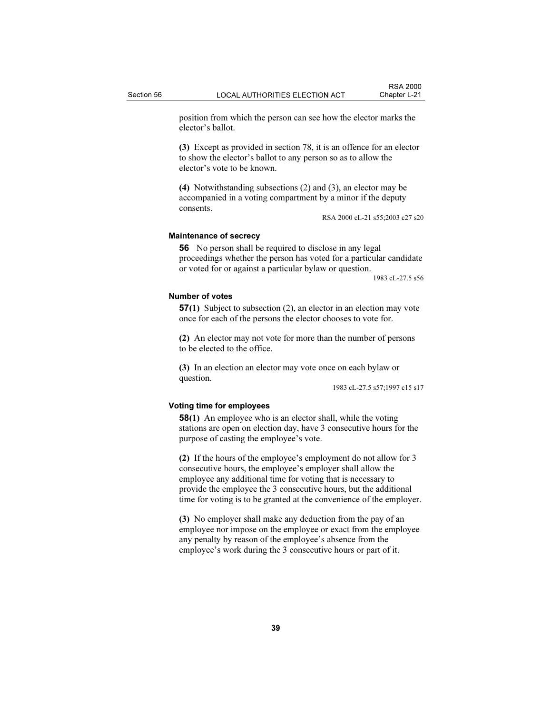position from which the person can see how the elector marks the elector's ballot.

(3) Except as provided in section 78, it is an offence for an elector to show the elector's ballot to any person so as to allow the elector's vote to be known.

(4) Notwithstanding subsections (2) and (3), an elector may be accompanied in a voting compartment by a minor if the deputy consents.

RSA 2000 cL-21 s55;2003 c27 s20

## Maintenance of secrecy

56 No person shall be required to disclose in any legal proceedings whether the person has voted for a particular candidate or voted for or against a particular bylaw or question.

1983 cL-27.5 s56

# Number of votes

57(1) Subject to subsection (2), an elector in an election may vote once for each of the persons the elector chooses to vote for.

(2) An elector may not vote for more than the number of persons to be elected to the office.

(3) In an election an elector may vote once on each bylaw or question.

1983 cL-27.5 s57;1997 c15 s17

#### Voting time for employees

58(1) An employee who is an elector shall, while the voting stations are open on election day, have 3 consecutive hours for the purpose of casting the employee's vote.

(2) If the hours of the employee's employment do not allow for 3 consecutive hours, the employee's employer shall allow the employee any additional time for voting that is necessary to provide the employee the 3 consecutive hours, but the additional time for voting is to be granted at the convenience of the employer.

(3) No employer shall make any deduction from the pay of an employee nor impose on the employee or exact from the employee any penalty by reason of the employee's absence from the employee's work during the 3 consecutive hours or part of it.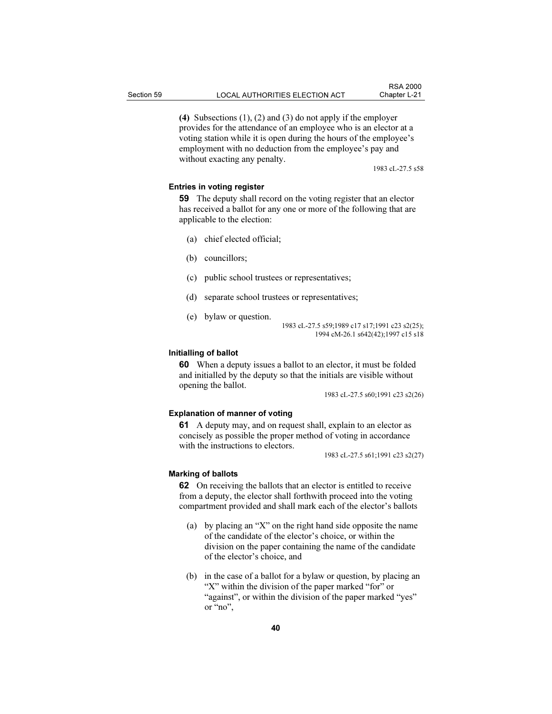(4) Subsections (1), (2) and (3) do not apply if the employer provides for the attendance of an employee who is an elector at a voting station while it is open during the hours of the employee's

employment with no deduction from the employee's pay and

1983 cL-27.5 s58

## Entries in voting register

59 The deputy shall record on the voting register that an elector has received a ballot for any one or more of the following that are applicable to the election:

(a) chief elected official;

without exacting any penalty.

- (b) councillors;
- (c) public school trustees or representatives;
- (d) separate school trustees or representatives;
- (e) bylaw or question.

1983 cL-27.5 s59;1989 c17 s17;1991 c23 s2(25); 1994 cM-26.1 s642(42);1997 c15 s18

# Initialling of ballot

60 When a deputy issues a ballot to an elector, it must be folded and initialled by the deputy so that the initials are visible without opening the ballot.

1983 cL-27.5 s60;1991 c23 s2(26)

#### Explanation of manner of voting

61 A deputy may, and on request shall, explain to an elector as concisely as possible the proper method of voting in accordance with the instructions to electors.

1983 cL-27.5 s61;1991 c23 s2(27)

#### Marking of ballots

62 On receiving the ballots that an elector is entitled to receive from a deputy, the elector shall forthwith proceed into the voting compartment provided and shall mark each of the elector's ballots

- (a) by placing an "X" on the right hand side opposite the name of the candidate of the elector's choice, or within the division on the paper containing the name of the candidate of the elector's choice, and
- (b) in the case of a ballot for a bylaw or question, by placing an "X" within the division of the paper marked "for" or "against", or within the division of the paper marked "yes" or "no",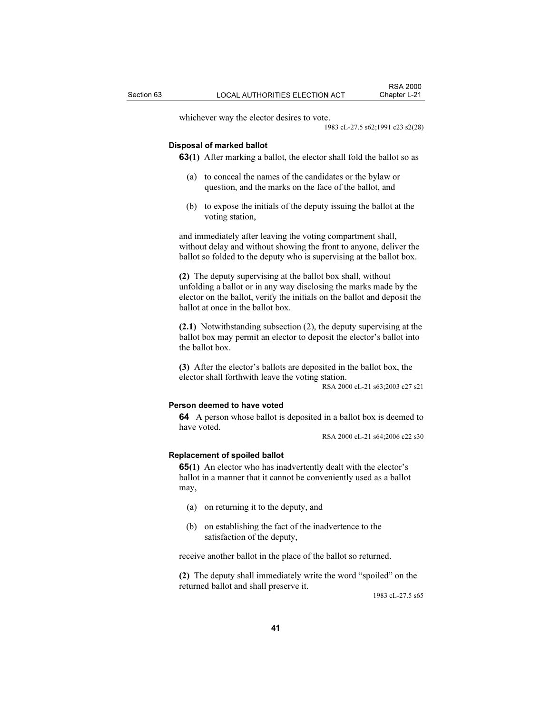whichever way the elector desires to vote.

1983 cL-27.5 s62;1991 c23 s2(28)

#### Disposal of marked ballot

**63(1)** After marking a ballot, the elector shall fold the ballot so as

- (a) to conceal the names of the candidates or the bylaw or question, and the marks on the face of the ballot, and
- (b) to expose the initials of the deputy issuing the ballot at the voting station,

and immediately after leaving the voting compartment shall, without delay and without showing the front to anyone, deliver the ballot so folded to the deputy who is supervising at the ballot box.

(2) The deputy supervising at the ballot box shall, without unfolding a ballot or in any way disclosing the marks made by the elector on the ballot, verify the initials on the ballot and deposit the ballot at once in the ballot box.

(2.1) Notwithstanding subsection (2), the deputy supervising at the ballot box may permit an elector to deposit the elector's ballot into the ballot box.

(3) After the elector's ballots are deposited in the ballot box, the elector shall forthwith leave the voting station.

RSA 2000 cL-21 s63;2003 c27 s21

## Person deemed to have voted

64 A person whose ballot is deposited in a ballot box is deemed to have voted.

RSA 2000 cL-21 s64;2006 c22 s30

#### Replacement of spoiled ballot

65(1) An elector who has inadvertently dealt with the elector's ballot in a manner that it cannot be conveniently used as a ballot may,

- (a) on returning it to the deputy, and
- (b) on establishing the fact of the inadvertence to the satisfaction of the deputy,

receive another ballot in the place of the ballot so returned.

(2) The deputy shall immediately write the word "spoiled" on the returned ballot and shall preserve it.

1983 cL-27.5 s65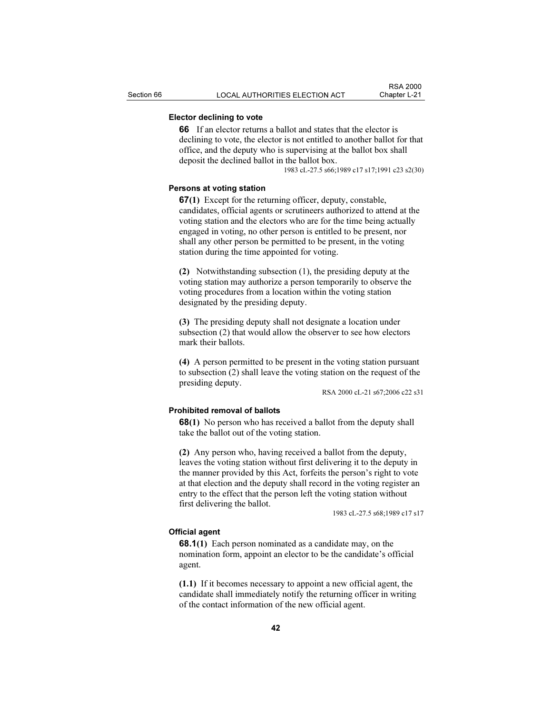# Elector declining to vote

66 If an elector returns a ballot and states that the elector is declining to vote, the elector is not entitled to another ballot for that office, and the deputy who is supervising at the ballot box shall deposit the declined ballot in the ballot box.

1983 cL-27.5 s66;1989 c17 s17;1991 c23 s2(30)

## Persons at voting station

67(1) Except for the returning officer, deputy, constable, candidates, official agents or scrutineers authorized to attend at the voting station and the electors who are for the time being actually engaged in voting, no other person is entitled to be present, nor shall any other person be permitted to be present, in the voting station during the time appointed for voting.

(2) Notwithstanding subsection (1), the presiding deputy at the voting station may authorize a person temporarily to observe the voting procedures from a location within the voting station designated by the presiding deputy.

(3) The presiding deputy shall not designate a location under subsection (2) that would allow the observer to see how electors mark their ballots.

(4) A person permitted to be present in the voting station pursuant to subsection (2) shall leave the voting station on the request of the presiding deputy.

RSA 2000 cL-21 s67;2006 c22 s31

#### Prohibited removal of ballots

**68(1)** No person who has received a ballot from the deputy shall take the ballot out of the voting station.

(2) Any person who, having received a ballot from the deputy, leaves the voting station without first delivering it to the deputy in the manner provided by this Act, forfeits the person's right to vote at that election and the deputy shall record in the voting register an entry to the effect that the person left the voting station without first delivering the ballot.

1983 cL-27.5 s68;1989 c17 s17

# Official agent

68.1(1) Each person nominated as a candidate may, on the nomination form, appoint an elector to be the candidate's official agent.

(1.1) If it becomes necessary to appoint a new official agent, the candidate shall immediately notify the returning officer in writing of the contact information of the new official agent.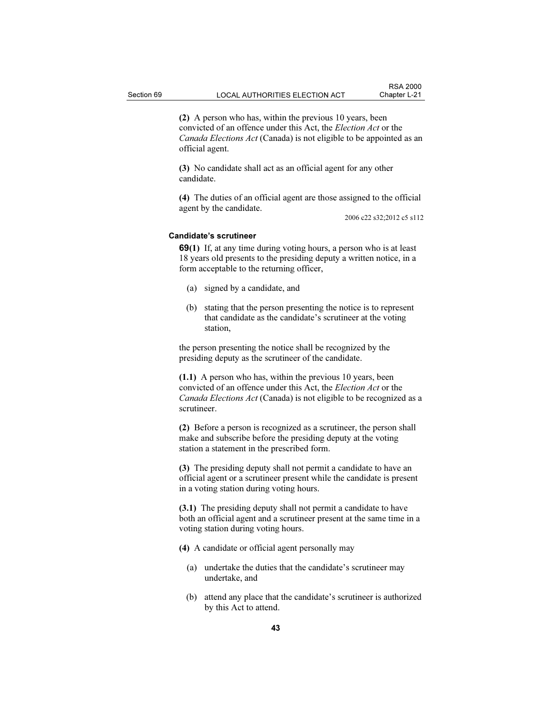(2) A person who has, within the previous 10 years, been convicted of an offence under this Act, the Election Act or the Canada Elections Act (Canada) is not eligible to be appointed as an official agent.

(3) No candidate shall act as an official agent for any other candidate.

(4) The duties of an official agent are those assigned to the official agent by the candidate.

2006 c22 s32;2012 c5 s112

#### Candidate's scrutineer

69(1) If, at any time during voting hours, a person who is at least 18 years old presents to the presiding deputy a written notice, in a form acceptable to the returning officer,

- (a) signed by a candidate, and
- (b) stating that the person presenting the notice is to represent that candidate as the candidate's scrutineer at the voting station,

the person presenting the notice shall be recognized by the presiding deputy as the scrutineer of the candidate.

(1.1) A person who has, within the previous 10 years, been convicted of an offence under this Act, the Election Act or the Canada Elections Act (Canada) is not eligible to be recognized as a scrutineer.

(2) Before a person is recognized as a scrutineer, the person shall make and subscribe before the presiding deputy at the voting station a statement in the prescribed form.

(3) The presiding deputy shall not permit a candidate to have an official agent or a scrutineer present while the candidate is present in a voting station during voting hours.

(3.1) The presiding deputy shall not permit a candidate to have both an official agent and a scrutineer present at the same time in a voting station during voting hours.

(4) A candidate or official agent personally may

- (a) undertake the duties that the candidate's scrutineer may undertake, and
- (b) attend any place that the candidate's scrutineer is authorized by this Act to attend.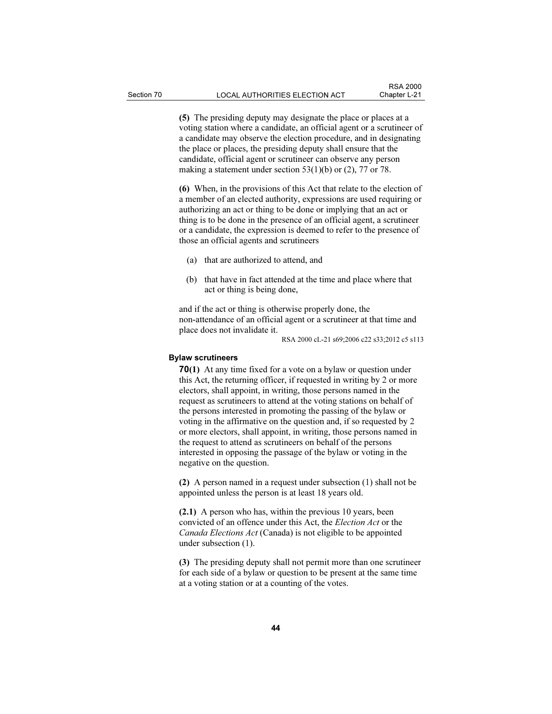(5) The presiding deputy may designate the place or places at a voting station where a candidate, an official agent or a scrutineer of a candidate may observe the election procedure, and in designating the place or places, the presiding deputy shall ensure that the candidate, official agent or scrutineer can observe any person making a statement under section 53(1)(b) or (2), 77 or 78.

(6) When, in the provisions of this Act that relate to the election of a member of an elected authority, expressions are used requiring or authorizing an act or thing to be done or implying that an act or thing is to be done in the presence of an official agent, a scrutineer or a candidate, the expression is deemed to refer to the presence of those an official agents and scrutineers

- (a) that are authorized to attend, and
- (b) that have in fact attended at the time and place where that act or thing is being done,

and if the act or thing is otherwise properly done, the non-attendance of an official agent or a scrutineer at that time and place does not invalidate it.

RSA 2000 cL-21 s69;2006 c22 s33;2012 c5 s113

# Bylaw scrutineers

70(1) At any time fixed for a vote on a bylaw or question under this Act, the returning officer, if requested in writing by 2 or more electors, shall appoint, in writing, those persons named in the request as scrutineers to attend at the voting stations on behalf of the persons interested in promoting the passing of the bylaw or voting in the affirmative on the question and, if so requested by 2 or more electors, shall appoint, in writing, those persons named in the request to attend as scrutineers on behalf of the persons interested in opposing the passage of the bylaw or voting in the negative on the question.

(2) A person named in a request under subsection (1) shall not be appointed unless the person is at least 18 years old.

(2.1) A person who has, within the previous 10 years, been convicted of an offence under this Act, the Election Act or the Canada Elections Act (Canada) is not eligible to be appointed under subsection (1).

(3) The presiding deputy shall not permit more than one scrutineer for each side of a bylaw or question to be present at the same time at a voting station or at a counting of the votes.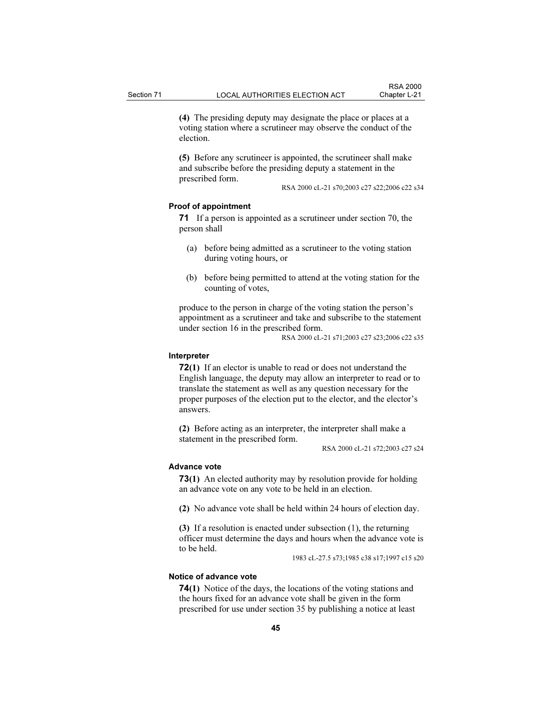(4) The presiding deputy may designate the place or places at a voting station where a scrutineer may observe the conduct of the election.

(5) Before any scrutineer is appointed, the scrutineer shall make and subscribe before the presiding deputy a statement in the prescribed form.

RSA 2000 cL-21 s70;2003 c27 s22;2006 c22 s34

## Proof of appointment

71 If a person is appointed as a scrutineer under section 70, the person shall

- (a) before being admitted as a scrutineer to the voting station during voting hours, or
- (b) before being permitted to attend at the voting station for the counting of votes,

produce to the person in charge of the voting station the person's appointment as a scrutineer and take and subscribe to the statement under section 16 in the prescribed form.

RSA 2000 cL-21 s71;2003 c27 s23;2006 c22 s35

## Interpreter

72(1) If an elector is unable to read or does not understand the English language, the deputy may allow an interpreter to read or to translate the statement as well as any question necessary for the proper purposes of the election put to the elector, and the elector's answers.

(2) Before acting as an interpreter, the interpreter shall make a statement in the prescribed form.

RSA 2000 cL-21 s72;2003 c27 s24

# Advance vote

73(1) An elected authority may by resolution provide for holding an advance vote on any vote to be held in an election.

(2) No advance vote shall be held within 24 hours of election day.

(3) If a resolution is enacted under subsection (1), the returning officer must determine the days and hours when the advance vote is to be held.

1983 cL-27.5 s73;1985 c38 s17;1997 c15 s20

# Notice of advance vote

74(1) Notice of the days, the locations of the voting stations and the hours fixed for an advance vote shall be given in the form prescribed for use under section 35 by publishing a notice at least

45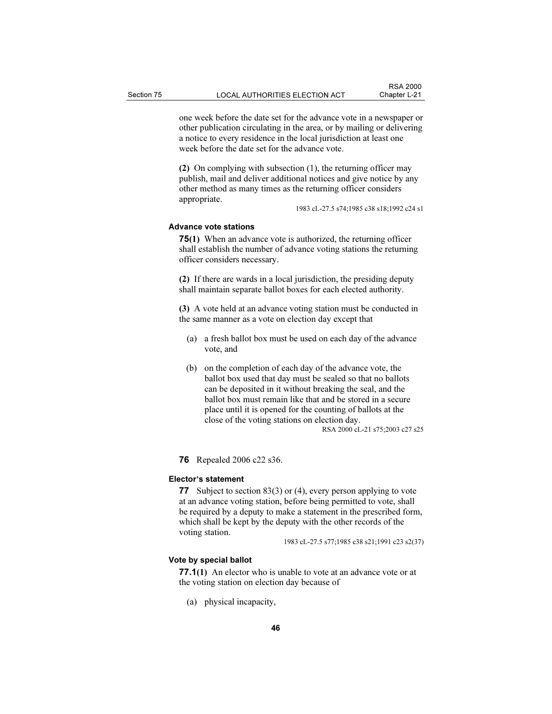one week before the date set for the advance vote in a newspaper or other publication circulating in the area, or by mailing or delivering a notice to every residence in the local jurisdiction at least one week before the date set for the advance vote.

(2) On complying with subsection (1), the returning officer may publish, mail and deliver additional notices and give notice by any other method as many times as the returning officer considers appropriate.

1983 cL-27.5 s74;1985 c38 s18;1992 c24 s1

## Advance vote stations

75(1) When an advance vote is authorized, the returning officer shall establish the number of advance voting stations the returning officer considers necessary.

(2) If there are wards in a local jurisdiction, the presiding deputy shall maintain separate ballot boxes for each elected authority.

(3) A vote held at an advance voting station must be conducted in the same manner as a vote on election day except that

- (a) a fresh ballot box must be used on each day of the advance vote, and
- (b) on the completion of each day of the advance vote, the ballot box used that day must be sealed so that no ballots can be deposited in it without breaking the seal, and the ballot box must remain like that and be stored in a secure place until it is opened for the counting of ballots at the close of the voting stations on election day. RSA 2000 cL-21 s75;2003 c27 s25

76 Repealed 2006 c22 s36.

#### Elector's statement

77 Subject to section 83(3) or (4), every person applying to vote at an advance voting station, before being permitted to vote, shall be required by a deputy to make a statement in the prescribed form, which shall be kept by the deputy with the other records of the voting station.

1983 cL-27.5 s77;1985 c38 s21;1991 c23 s2(37)

# Vote by special ballot

77.1(1) An elector who is unable to vote at an advance vote or at the voting station on election day because of

(a) physical incapacity,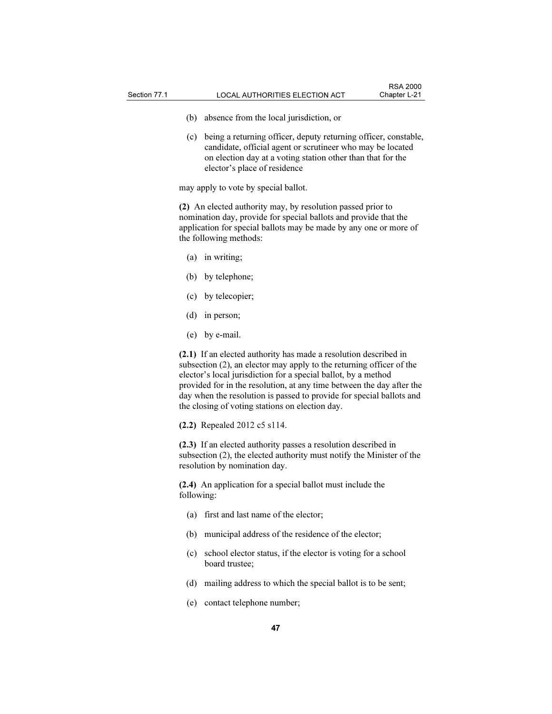- (b) absence from the local jurisdiction, or
- (c) being a returning officer, deputy returning officer, constable, candidate, official agent or scrutineer who may be located on election day at a voting station other than that for the elector's place of residence

may apply to vote by special ballot.

(2) An elected authority may, by resolution passed prior to nomination day, provide for special ballots and provide that the application for special ballots may be made by any one or more of the following methods:

- (a) in writing;
- (b) by telephone;
- (c) by telecopier;
- (d) in person;
- (e) by e-mail.

(2.1) If an elected authority has made a resolution described in subsection (2), an elector may apply to the returning officer of the elector's local jurisdiction for a special ballot, by a method provided for in the resolution, at any time between the day after the day when the resolution is passed to provide for special ballots and the closing of voting stations on election day.

(2.2) Repealed 2012 c5 s114.

(2.3) If an elected authority passes a resolution described in subsection (2), the elected authority must notify the Minister of the resolution by nomination day.

(2.4) An application for a special ballot must include the following:

- (a) first and last name of the elector;
- (b) municipal address of the residence of the elector;
- (c) school elector status, if the elector is voting for a school board trustee;
- (d) mailing address to which the special ballot is to be sent;
- (e) contact telephone number;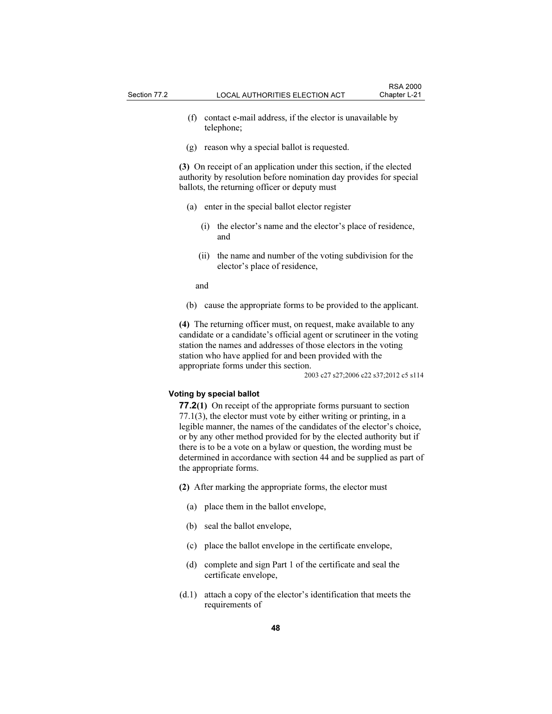- (f) contact e-mail address, if the elector is unavailable by telephone;
- (g) reason why a special ballot is requested.

(3) On receipt of an application under this section, if the elected authority by resolution before nomination day provides for special ballots, the returning officer or deputy must

- (a) enter in the special ballot elector register
	- (i) the elector's name and the elector's place of residence, and
	- (ii) the name and number of the voting subdivision for the elector's place of residence,

and

(b) cause the appropriate forms to be provided to the applicant.

(4) The returning officer must, on request, make available to any candidate or a candidate's official agent or scrutineer in the voting station the names and addresses of those electors in the voting station who have applied for and been provided with the appropriate forms under this section.

2003 c27 s27;2006 c22 s37;2012 c5 s114

#### Voting by special ballot

77.2(1) On receipt of the appropriate forms pursuant to section 77.1(3), the elector must vote by either writing or printing, in a legible manner, the names of the candidates of the elector's choice, or by any other method provided for by the elected authority but if there is to be a vote on a bylaw or question, the wording must be determined in accordance with section 44 and be supplied as part of the appropriate forms.

(2) After marking the appropriate forms, the elector must

- (a) place them in the ballot envelope,
- (b) seal the ballot envelope,
- (c) place the ballot envelope in the certificate envelope,
- (d) complete and sign Part 1 of the certificate and seal the certificate envelope,
- (d.1) attach a copy of the elector's identification that meets the requirements of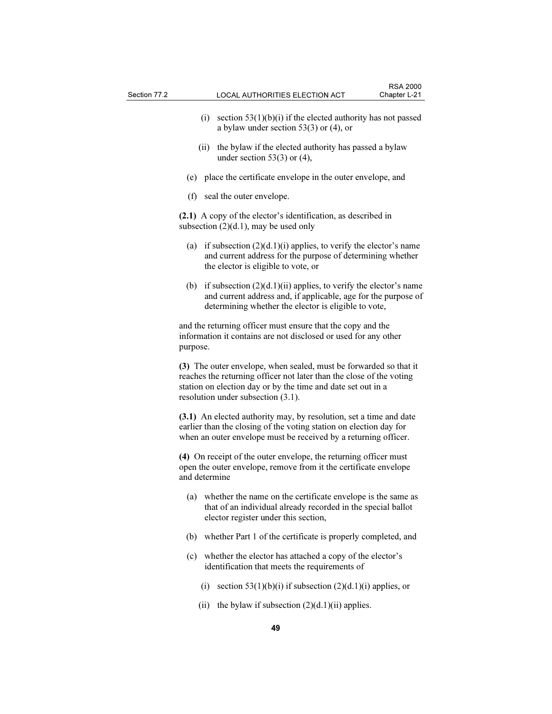- (i) section  $53(1)(b)(i)$  if the elected authority has not passed a bylaw under section 53(3) or (4), or
- (ii) the bylaw if the elected authority has passed a bylaw under section  $53(3)$  or  $(4)$ ,
- (e) place the certificate envelope in the outer envelope, and
- (f) seal the outer envelope.

(2.1) A copy of the elector's identification, as described in subsection  $(2)(d.1)$ , may be used only

- (a) if subsection  $(2)(d.1)(i)$  applies, to verify the elector's name and current address for the purpose of determining whether the elector is eligible to vote, or
- (b) if subsection  $(2)(d.1)(ii)$  applies, to verify the elector's name and current address and, if applicable, age for the purpose of determining whether the elector is eligible to vote,

and the returning officer must ensure that the copy and the information it contains are not disclosed or used for any other purpose.

(3) The outer envelope, when sealed, must be forwarded so that it reaches the returning officer not later than the close of the voting station on election day or by the time and date set out in a resolution under subsection (3.1).

(3.1) An elected authority may, by resolution, set a time and date earlier than the closing of the voting station on election day for when an outer envelope must be received by a returning officer.

(4) On receipt of the outer envelope, the returning officer must open the outer envelope, remove from it the certificate envelope and determine

- (a) whether the name on the certificate envelope is the same as that of an individual already recorded in the special ballot elector register under this section,
- (b) whether Part 1 of the certificate is properly completed, and
- (c) whether the elector has attached a copy of the elector's identification that meets the requirements of
	- (i) section  $53(1)(b)(i)$  if subsection  $(2)(d.1)(i)$  applies, or
	- (ii) the bylaw if subsection  $(2)(d.1)(ii)$  applies.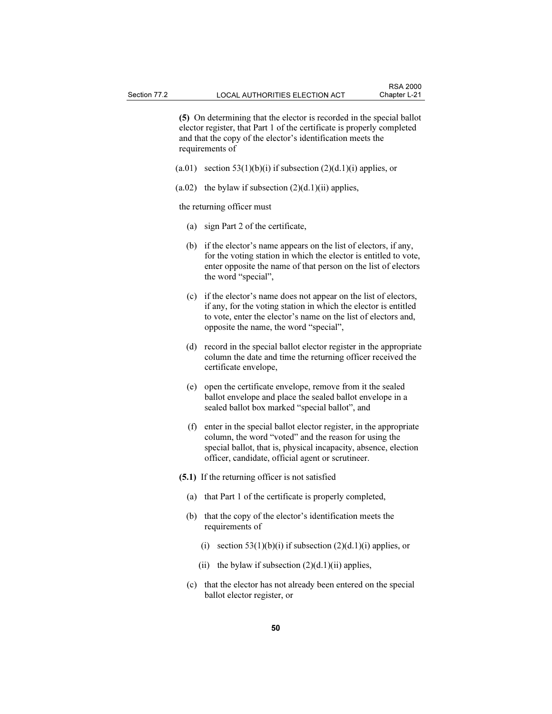(5) On determining that the elector is recorded in the special ballot elector register, that Part 1 of the certificate is properly completed and that the copy of the elector's identification meets the requirements of

- (a.01) section  $53(1)(b)(i)$  if subsection  $(2)(d.1)(i)$  applies, or
- $(a.02)$  the bylaw if subsection  $(2)(d.1)(ii)$  applies,

the returning officer must

- (a) sign Part 2 of the certificate,
- (b) if the elector's name appears on the list of electors, if any, for the voting station in which the elector is entitled to vote, enter opposite the name of that person on the list of electors the word "special",
- (c) if the elector's name does not appear on the list of electors, if any, for the voting station in which the elector is entitled to vote, enter the elector's name on the list of electors and, opposite the name, the word "special",
- (d) record in the special ballot elector register in the appropriate column the date and time the returning officer received the certificate envelope,
- (e) open the certificate envelope, remove from it the sealed ballot envelope and place the sealed ballot envelope in a sealed ballot box marked "special ballot", and
- (f) enter in the special ballot elector register, in the appropriate column, the word "voted" and the reason for using the special ballot, that is, physical incapacity, absence, election officer, candidate, official agent or scrutineer.
- (5.1) If the returning officer is not satisfied
	- (a) that Part 1 of the certificate is properly completed,
	- (b) that the copy of the elector's identification meets the requirements of
		- (i) section 53(1)(b)(i) if subsection  $(2)(d.1)(i)$  applies, or
		- (ii) the bylaw if subsection  $(2)(d.1)(ii)$  applies,
	- (c) that the elector has not already been entered on the special ballot elector register, or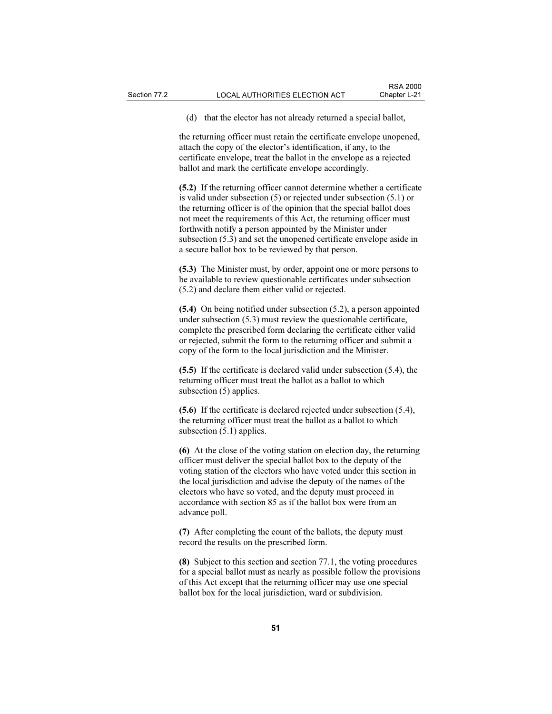(d) that the elector has not already returned a special ballot,

the returning officer must retain the certificate envelope unopened, attach the copy of the elector's identification, if any, to the certificate envelope, treat the ballot in the envelope as a rejected ballot and mark the certificate envelope accordingly.

(5.2) If the returning officer cannot determine whether a certificate is valid under subsection (5) or rejected under subsection (5.1) or the returning officer is of the opinion that the special ballot does not meet the requirements of this Act, the returning officer must forthwith notify a person appointed by the Minister under subsection (5.3) and set the unopened certificate envelope aside in a secure ballot box to be reviewed by that person.

(5.3) The Minister must, by order, appoint one or more persons to be available to review questionable certificates under subsection (5.2) and declare them either valid or rejected.

(5.4) On being notified under subsection (5.2), a person appointed under subsection (5.3) must review the questionable certificate, complete the prescribed form declaring the certificate either valid or rejected, submit the form to the returning officer and submit a copy of the form to the local jurisdiction and the Minister.

(5.5) If the certificate is declared valid under subsection (5.4), the returning officer must treat the ballot as a ballot to which subsection (5) applies.

(5.6) If the certificate is declared rejected under subsection (5.4), the returning officer must treat the ballot as a ballot to which subsection  $(5.1)$  applies.

(6) At the close of the voting station on election day, the returning officer must deliver the special ballot box to the deputy of the voting station of the electors who have voted under this section in the local jurisdiction and advise the deputy of the names of the electors who have so voted, and the deputy must proceed in accordance with section 85 as if the ballot box were from an advance poll.

(7) After completing the count of the ballots, the deputy must record the results on the prescribed form.

(8) Subject to this section and section 77.1, the voting procedures for a special ballot must as nearly as possible follow the provisions of this Act except that the returning officer may use one special ballot box for the local jurisdiction, ward or subdivision.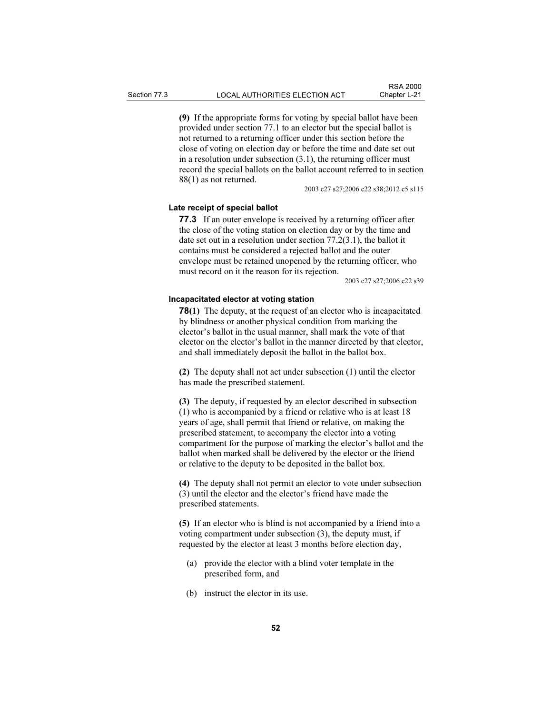(9) If the appropriate forms for voting by special ballot have been provided under section 77.1 to an elector but the special ballot is not returned to a returning officer under this section before the close of voting on election day or before the time and date set out in a resolution under subsection (3.1), the returning officer must record the special ballots on the ballot account referred to in section 88(1) as not returned.

2003 c27 s27;2006 c22 s38;2012 c5 s115

# Late receipt of special ballot

77.3 If an outer envelope is received by a returning officer after the close of the voting station on election day or by the time and date set out in a resolution under section 77.2(3.1), the ballot it contains must be considered a rejected ballot and the outer envelope must be retained unopened by the returning officer, who must record on it the reason for its rejection.

2003 c27 s27;2006 c22 s39

#### Incapacitated elector at voting station

78(1) The deputy, at the request of an elector who is incapacitated by blindness or another physical condition from marking the elector's ballot in the usual manner, shall mark the vote of that elector on the elector's ballot in the manner directed by that elector, and shall immediately deposit the ballot in the ballot box.

(2) The deputy shall not act under subsection (1) until the elector has made the prescribed statement.

(3) The deputy, if requested by an elector described in subsection (1) who is accompanied by a friend or relative who is at least 18 years of age, shall permit that friend or relative, on making the prescribed statement, to accompany the elector into a voting compartment for the purpose of marking the elector's ballot and the ballot when marked shall be delivered by the elector or the friend or relative to the deputy to be deposited in the ballot box.

(4) The deputy shall not permit an elector to vote under subsection (3) until the elector and the elector's friend have made the prescribed statements.

(5) If an elector who is blind is not accompanied by a friend into a voting compartment under subsection (3), the deputy must, if requested by the elector at least 3 months before election day,

- (a) provide the elector with a blind voter template in the prescribed form, and
- (b) instruct the elector in its use.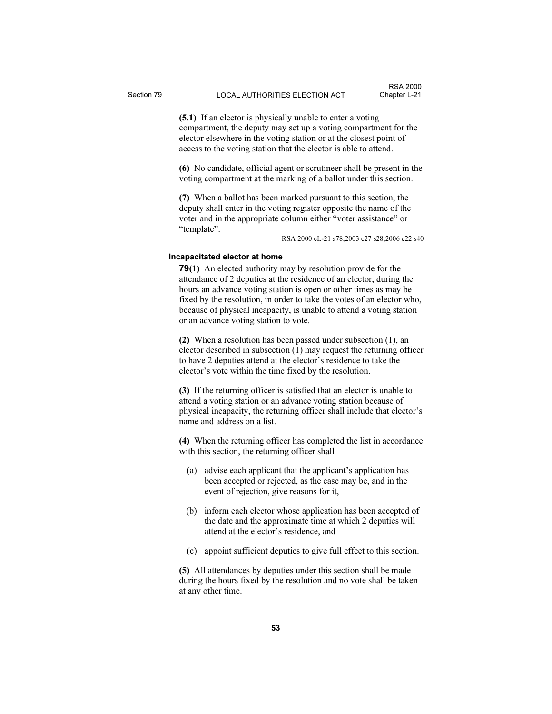(5.1) If an elector is physically unable to enter a voting compartment, the deputy may set up a voting compartment for the elector elsewhere in the voting station or at the closest point of access to the voting station that the elector is able to attend.

(6) No candidate, official agent or scrutineer shall be present in the voting compartment at the marking of a ballot under this section.

(7) When a ballot has been marked pursuant to this section, the deputy shall enter in the voting register opposite the name of the voter and in the appropriate column either "voter assistance" or "template".

RSA 2000 cL-21 s78;2003 c27 s28;2006 c22 s40

## Incapacitated elector at home

79(1) An elected authority may by resolution provide for the attendance of 2 deputies at the residence of an elector, during the hours an advance voting station is open or other times as may be fixed by the resolution, in order to take the votes of an elector who, because of physical incapacity, is unable to attend a voting station or an advance voting station to vote.

(2) When a resolution has been passed under subsection (1), an elector described in subsection (1) may request the returning officer to have 2 deputies attend at the elector's residence to take the elector's vote within the time fixed by the resolution.

(3) If the returning officer is satisfied that an elector is unable to attend a voting station or an advance voting station because of physical incapacity, the returning officer shall include that elector's name and address on a list.

(4) When the returning officer has completed the list in accordance with this section, the returning officer shall

- (a) advise each applicant that the applicant's application has been accepted or rejected, as the case may be, and in the event of rejection, give reasons for it,
- (b) inform each elector whose application has been accepted of the date and the approximate time at which 2 deputies will attend at the elector's residence, and
- (c) appoint sufficient deputies to give full effect to this section.

(5) All attendances by deputies under this section shall be made during the hours fixed by the resolution and no vote shall be taken at any other time.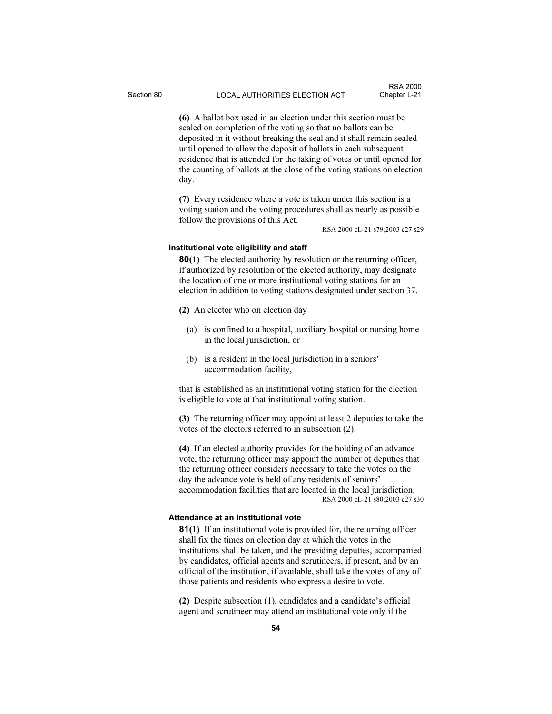(6) A ballot box used in an election under this section must be sealed on completion of the voting so that no ballots can be deposited in it without breaking the seal and it shall remain sealed until opened to allow the deposit of ballots in each subsequent residence that is attended for the taking of votes or until opened for the counting of ballots at the close of the voting stations on election day.

(7) Every residence where a vote is taken under this section is a voting station and the voting procedures shall as nearly as possible follow the provisions of this Act.

RSA 2000 cL-21 s79;2003 c27 s29

#### Institutional vote eligibility and staff

80(1) The elected authority by resolution or the returning officer, if authorized by resolution of the elected authority, may designate the location of one or more institutional voting stations for an election in addition to voting stations designated under section 37.

(2) An elector who on election day

- (a) is confined to a hospital, auxiliary hospital or nursing home in the local jurisdiction, or
- (b) is a resident in the local jurisdiction in a seniors' accommodation facility,

that is established as an institutional voting station for the election is eligible to vote at that institutional voting station.

(3) The returning officer may appoint at least 2 deputies to take the votes of the electors referred to in subsection (2).

(4) If an elected authority provides for the holding of an advance vote, the returning officer may appoint the number of deputies that the returning officer considers necessary to take the votes on the day the advance vote is held of any residents of seniors' accommodation facilities that are located in the local jurisdiction. RSA 2000 cL-21 s80;2003 c27 s30

#### Attendance at an institutional vote

81(1) If an institutional vote is provided for, the returning officer shall fix the times on election day at which the votes in the institutions shall be taken, and the presiding deputies, accompanied by candidates, official agents and scrutineers, if present, and by an official of the institution, if available, shall take the votes of any of those patients and residents who express a desire to vote.

(2) Despite subsection (1), candidates and a candidate's official agent and scrutineer may attend an institutional vote only if the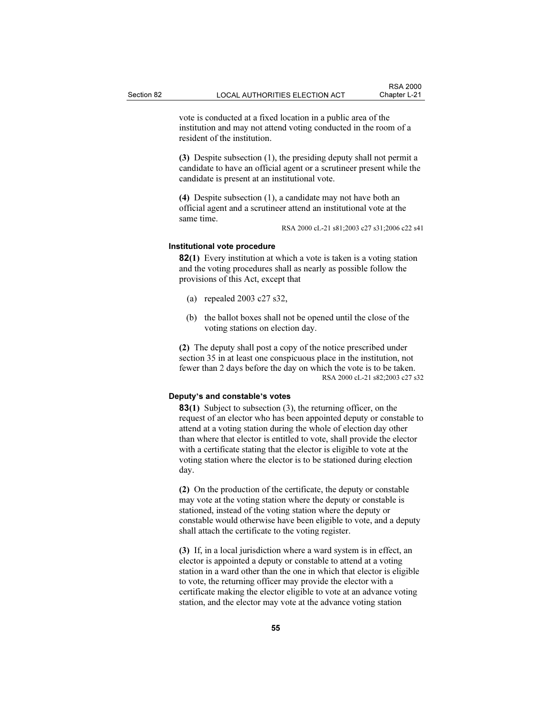vote is conducted at a fixed location in a public area of the institution and may not attend voting conducted in the room of a resident of the institution.

(3) Despite subsection (1), the presiding deputy shall not permit a candidate to have an official agent or a scrutineer present while the candidate is present at an institutional vote.

(4) Despite subsection (1), a candidate may not have both an official agent and a scrutineer attend an institutional vote at the same time.

RSA 2000 cL-21 s81;2003 c27 s31;2006 c22 s41

## Institutional vote procedure

82(1) Every institution at which a vote is taken is a voting station and the voting procedures shall as nearly as possible follow the provisions of this Act, except that

- (a) repealed 2003 c27 s32,
- (b) the ballot boxes shall not be opened until the close of the voting stations on election day.

(2) The deputy shall post a copy of the notice prescribed under section 35 in at least one conspicuous place in the institution, not fewer than 2 days before the day on which the vote is to be taken. RSA 2000 cL-21 s82;2003 c27 s32

#### Deputy's and constable's votes

83(1) Subject to subsection (3), the returning officer, on the request of an elector who has been appointed deputy or constable to attend at a voting station during the whole of election day other than where that elector is entitled to vote, shall provide the elector with a certificate stating that the elector is eligible to vote at the voting station where the elector is to be stationed during election day.

(2) On the production of the certificate, the deputy or constable may vote at the voting station where the deputy or constable is stationed, instead of the voting station where the deputy or constable would otherwise have been eligible to vote, and a deputy shall attach the certificate to the voting register.

(3) If, in a local jurisdiction where a ward system is in effect, an elector is appointed a deputy or constable to attend at a voting station in a ward other than the one in which that elector is eligible to vote, the returning officer may provide the elector with a certificate making the elector eligible to vote at an advance voting station, and the elector may vote at the advance voting station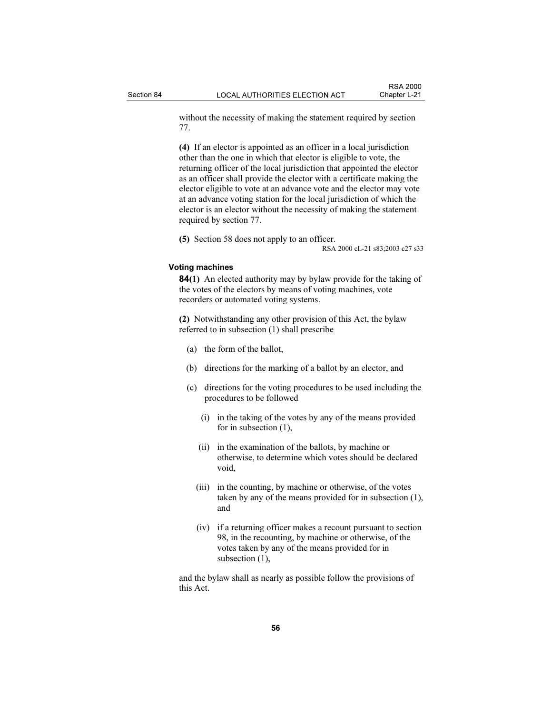without the necessity of making the statement required by section 77.

(4) If an elector is appointed as an officer in a local jurisdiction other than the one in which that elector is eligible to vote, the returning officer of the local jurisdiction that appointed the elector as an officer shall provide the elector with a certificate making the elector eligible to vote at an advance vote and the elector may vote at an advance voting station for the local jurisdiction of which the elector is an elector without the necessity of making the statement required by section 77.

(5) Section 58 does not apply to an officer.

RSA 2000 cL-21 s83;2003 c27 s33

# Voting machines

84(1) An elected authority may by bylaw provide for the taking of the votes of the electors by means of voting machines, vote recorders or automated voting systems.

(2) Notwithstanding any other provision of this Act, the bylaw referred to in subsection (1) shall prescribe

- (a) the form of the ballot,
- (b) directions for the marking of a ballot by an elector, and
- (c) directions for the voting procedures to be used including the procedures to be followed
	- (i) in the taking of the votes by any of the means provided for in subsection (1),
	- (ii) in the examination of the ballots, by machine or otherwise, to determine which votes should be declared void,
	- (iii) in the counting, by machine or otherwise, of the votes taken by any of the means provided for in subsection (1), and
	- (iv) if a returning officer makes a recount pursuant to section 98, in the recounting, by machine or otherwise, of the votes taken by any of the means provided for in subsection  $(1)$ ,

and the bylaw shall as nearly as possible follow the provisions of this Act.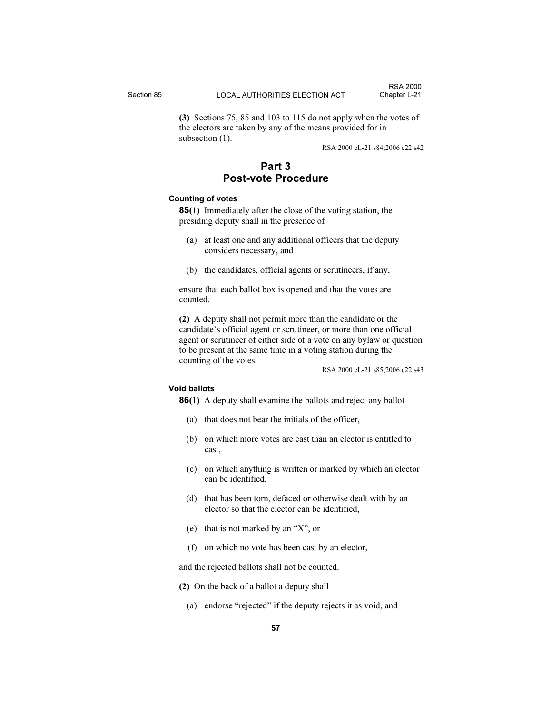(3) Sections 75, 85 and 103 to 115 do not apply when the votes of the electors are taken by any of the means provided for in subsection  $(1)$ .

RSA 2000 cL-21 s84;2006 c22 s42

# Part 3 Post-vote Procedure

# Counting of votes

85(1) Immediately after the close of the voting station, the presiding deputy shall in the presence of

- (a) at least one and any additional officers that the deputy considers necessary, and
- (b) the candidates, official agents or scrutineers, if any,

ensure that each ballot box is opened and that the votes are counted.

(2) A deputy shall not permit more than the candidate or the candidate's official agent or scrutineer, or more than one official agent or scrutineer of either side of a vote on any bylaw or question to be present at the same time in a voting station during the counting of the votes.

RSA 2000 cL-21 s85;2006 c22 s43

## Void ballots

86(1) A deputy shall examine the ballots and reject any ballot

- (a) that does not bear the initials of the officer,
- (b) on which more votes are cast than an elector is entitled to cast,
- (c) on which anything is written or marked by which an elector can be identified,
- (d) that has been torn, defaced or otherwise dealt with by an elector so that the elector can be identified,
- (e) that is not marked by an "X", or
- (f) on which no vote has been cast by an elector,

and the rejected ballots shall not be counted.

- (2) On the back of a ballot a deputy shall
	- (a) endorse "rejected" if the deputy rejects it as void, and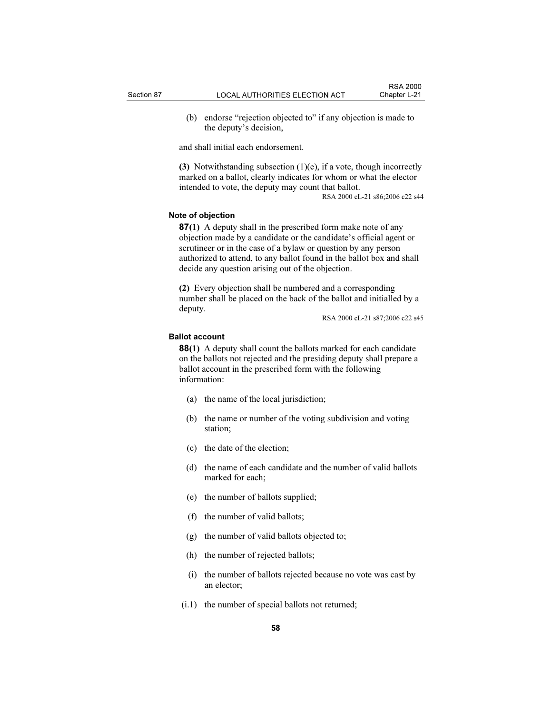(b) endorse "rejection objected to" if any objection is made to the deputy's decision,

and shall initial each endorsement.

(3) Notwithstanding subsection  $(1)(e)$ , if a vote, though incorrectly marked on a ballot, clearly indicates for whom or what the elector intended to vote, the deputy may count that ballot.

RSA 2000 cL-21 s86;2006 c22 s44

#### Note of objection

87(1) A deputy shall in the prescribed form make note of any objection made by a candidate or the candidate's official agent or scrutineer or in the case of a bylaw or question by any person authorized to attend, to any ballot found in the ballot box and shall decide any question arising out of the objection.

(2) Every objection shall be numbered and a corresponding number shall be placed on the back of the ballot and initialled by a deputy.

RSA 2000 cL-21 s87;2006 c22 s45

# Ballot account

88(1) A deputy shall count the ballots marked for each candidate on the ballots not rejected and the presiding deputy shall prepare a ballot account in the prescribed form with the following information:

- (a) the name of the local jurisdiction;
- (b) the name or number of the voting subdivision and voting station;
- (c) the date of the election;
- (d) the name of each candidate and the number of valid ballots marked for each;
- (e) the number of ballots supplied;
- (f) the number of valid ballots;
- (g) the number of valid ballots objected to;
- (h) the number of rejected ballots;
- (i) the number of ballots rejected because no vote was cast by an elector;
- (i.1) the number of special ballots not returned;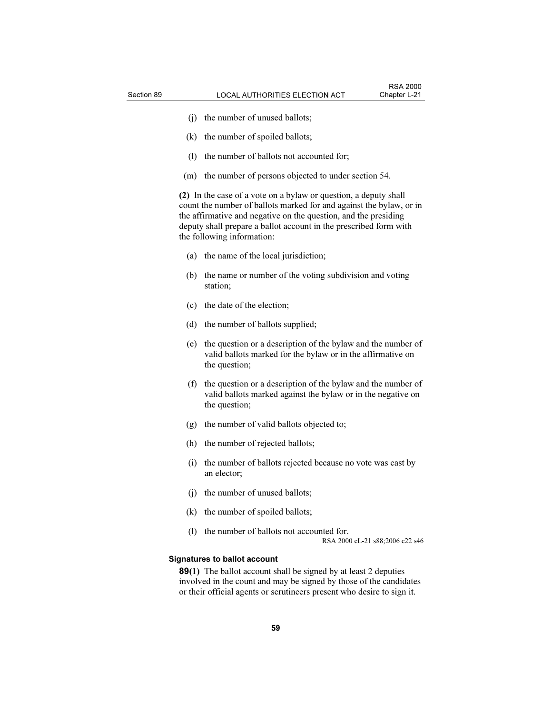- (j) the number of unused ballots;
- (k) the number of spoiled ballots;
- (l) the number of ballots not accounted for;
- (m) the number of persons objected to under section 54.

(2) In the case of a vote on a bylaw or question, a deputy shall count the number of ballots marked for and against the bylaw, or in the affirmative and negative on the question, and the presiding deputy shall prepare a ballot account in the prescribed form with the following information:

- (a) the name of the local jurisdiction;
- (b) the name or number of the voting subdivision and voting station;
- (c) the date of the election;
- (d) the number of ballots supplied;
- (e) the question or a description of the bylaw and the number of valid ballots marked for the bylaw or in the affirmative on the question;
- (f) the question or a description of the bylaw and the number of valid ballots marked against the bylaw or in the negative on the question;
- (g) the number of valid ballots objected to;
- (h) the number of rejected ballots;
- (i) the number of ballots rejected because no vote was cast by an elector;
- (j) the number of unused ballots;
- (k) the number of spoiled ballots;
- (l) the number of ballots not accounted for.

RSA 2000 cL-21 s88;2006 c22 s46

## Signatures to ballot account

89(1) The ballot account shall be signed by at least 2 deputies involved in the count and may be signed by those of the candidates or their official agents or scrutineers present who desire to sign it.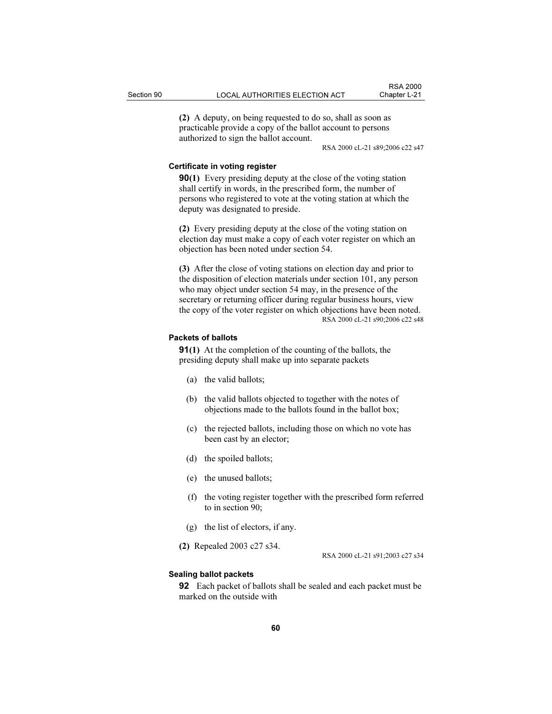(2) A deputy, on being requested to do so, shall as soon as practicable provide a copy of the ballot account to persons authorized to sign the ballot account.

RSA 2000 cL-21 s89;2006 c22 s47

#### Certificate in voting register

**90(1)** Every presiding deputy at the close of the voting station shall certify in words, in the prescribed form, the number of persons who registered to vote at the voting station at which the deputy was designated to preside.

(2) Every presiding deputy at the close of the voting station on election day must make a copy of each voter register on which an objection has been noted under section 54.

(3) After the close of voting stations on election day and prior to the disposition of election materials under section 101, any person who may object under section 54 may, in the presence of the secretary or returning officer during regular business hours, view the copy of the voter register on which objections have been noted. RSA 2000 cL-21 s90;2006 c22 s48

## Packets of ballots

91(1) At the completion of the counting of the ballots, the presiding deputy shall make up into separate packets

- (a) the valid ballots;
- (b) the valid ballots objected to together with the notes of objections made to the ballots found in the ballot box;
- (c) the rejected ballots, including those on which no vote has been cast by an elector;
- (d) the spoiled ballots;
- (e) the unused ballots;
- (f) the voting register together with the prescribed form referred to in section 90;
- (g) the list of electors, if any.
- (2) Repealed 2003 c27 s34.

RSA 2000 cL-21 s91;2003 c27 s34

## Sealing ballot packets

92 Each packet of ballots shall be sealed and each packet must be marked on the outside with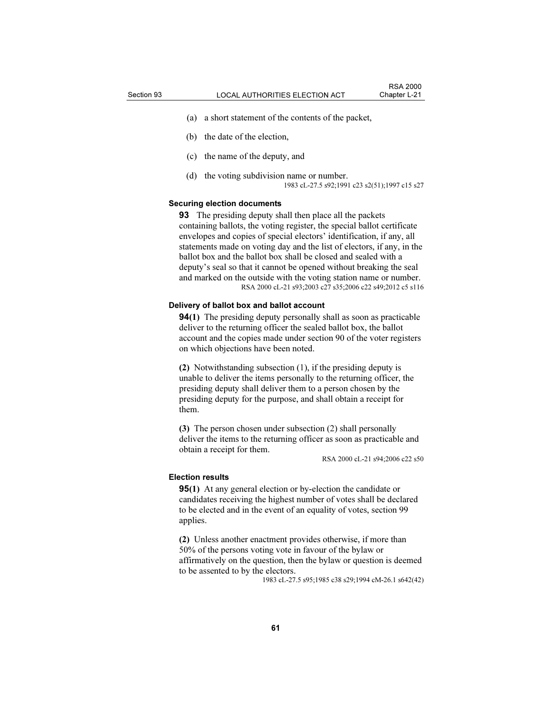- (a) a short statement of the contents of the packet,
- (b) the date of the election,
- (c) the name of the deputy, and
- (d) the voting subdivision name or number. 1983 cL-27.5 s92;1991 c23 s2(51);1997 c15 s27

## Securing election documents

**93** The presiding deputy shall then place all the packets containing ballots, the voting register, the special ballot certificate envelopes and copies of special electors' identification, if any, all statements made on voting day and the list of electors, if any, in the ballot box and the ballot box shall be closed and sealed with a deputy's seal so that it cannot be opened without breaking the seal and marked on the outside with the voting station name or number. RSA 2000 cL-21 s93;2003 c27 s35;2006 c22 s49;2012 c5 s116

#### Delivery of ballot box and ballot account

94(1) The presiding deputy personally shall as soon as practicable deliver to the returning officer the sealed ballot box, the ballot account and the copies made under section 90 of the voter registers on which objections have been noted.

(2) Notwithstanding subsection (1), if the presiding deputy is unable to deliver the items personally to the returning officer, the presiding deputy shall deliver them to a person chosen by the presiding deputy for the purpose, and shall obtain a receipt for them.

(3) The person chosen under subsection (2) shall personally deliver the items to the returning officer as soon as practicable and obtain a receipt for them.

RSA 2000 cL-21 s94;2006 c22 s50

#### Election results

**95(1)** At any general election or by-election the candidate or candidates receiving the highest number of votes shall be declared to be elected and in the event of an equality of votes, section 99 applies.

(2) Unless another enactment provides otherwise, if more than 50% of the persons voting vote in favour of the bylaw or affirmatively on the question, then the bylaw or question is deemed to be assented to by the electors.

1983 cL-27.5 s95;1985 c38 s29;1994 cM-26.1 s642(42)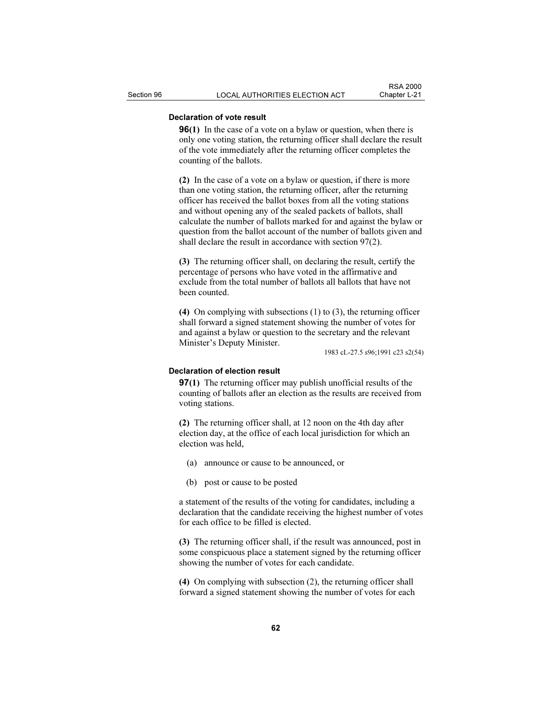# Declaration of vote result

**96(1)** In the case of a vote on a bylaw or question, when there is only one voting station, the returning officer shall declare the result of the vote immediately after the returning officer completes the counting of the ballots.

(2) In the case of a vote on a bylaw or question, if there is more than one voting station, the returning officer, after the returning officer has received the ballot boxes from all the voting stations and without opening any of the sealed packets of ballots, shall calculate the number of ballots marked for and against the bylaw or question from the ballot account of the number of ballots given and shall declare the result in accordance with section 97(2).

(3) The returning officer shall, on declaring the result, certify the percentage of persons who have voted in the affirmative and exclude from the total number of ballots all ballots that have not been counted.

(4) On complying with subsections (1) to (3), the returning officer shall forward a signed statement showing the number of votes for and against a bylaw or question to the secretary and the relevant Minister's Deputy Minister.

1983 cL-27.5 s96;1991 c23 s2(54)

# Declaration of election result

97(1) The returning officer may publish unofficial results of the counting of ballots after an election as the results are received from voting stations.

(2) The returning officer shall, at 12 noon on the 4th day after election day, at the office of each local jurisdiction for which an election was held,

- (a) announce or cause to be announced, or
- (b) post or cause to be posted

a statement of the results of the voting for candidates, including a declaration that the candidate receiving the highest number of votes for each office to be filled is elected.

(3) The returning officer shall, if the result was announced, post in some conspicuous place a statement signed by the returning officer showing the number of votes for each candidate.

(4) On complying with subsection (2), the returning officer shall forward a signed statement showing the number of votes for each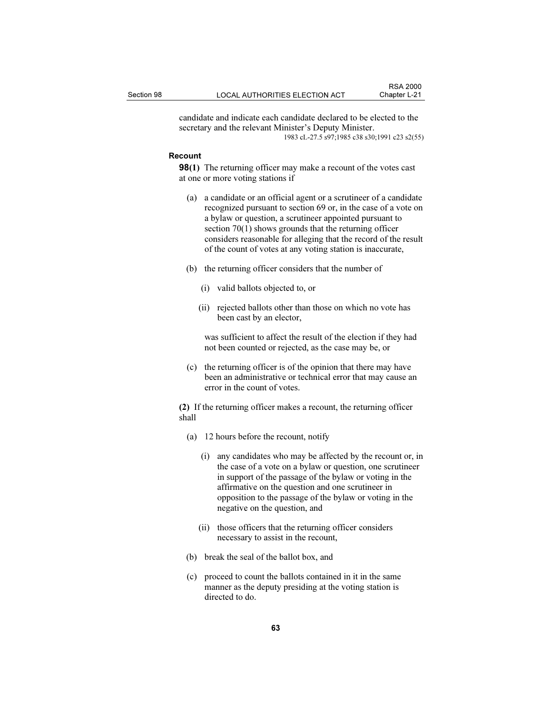candidate and indicate each candidate declared to be elected to the secretary and the relevant Minister's Deputy Minister. 1983 cL-27.5 s97;1985 c38 s30;1991 c23 s2(55)

#### Recount

**98(1)** The returning officer may make a recount of the votes cast at one or more voting stations if

- (a) a candidate or an official agent or a scrutineer of a candidate recognized pursuant to section 69 or, in the case of a vote on a bylaw or question, a scrutineer appointed pursuant to section 70(1) shows grounds that the returning officer considers reasonable for alleging that the record of the result of the count of votes at any voting station is inaccurate,
- (b) the returning officer considers that the number of
	- (i) valid ballots objected to, or
	- (ii) rejected ballots other than those on which no vote has been cast by an elector,

 was sufficient to affect the result of the election if they had not been counted or rejected, as the case may be, or

 (c) the returning officer is of the opinion that there may have been an administrative or technical error that may cause an error in the count of votes.

(2) If the returning officer makes a recount, the returning officer shall

- (a) 12 hours before the recount, notify
	- (i) any candidates who may be affected by the recount or, in the case of a vote on a bylaw or question, one scrutineer in support of the passage of the bylaw or voting in the affirmative on the question and one scrutineer in opposition to the passage of the bylaw or voting in the negative on the question, and
	- (ii) those officers that the returning officer considers necessary to assist in the recount,
- (b) break the seal of the ballot box, and
- (c) proceed to count the ballots contained in it in the same manner as the deputy presiding at the voting station is directed to do.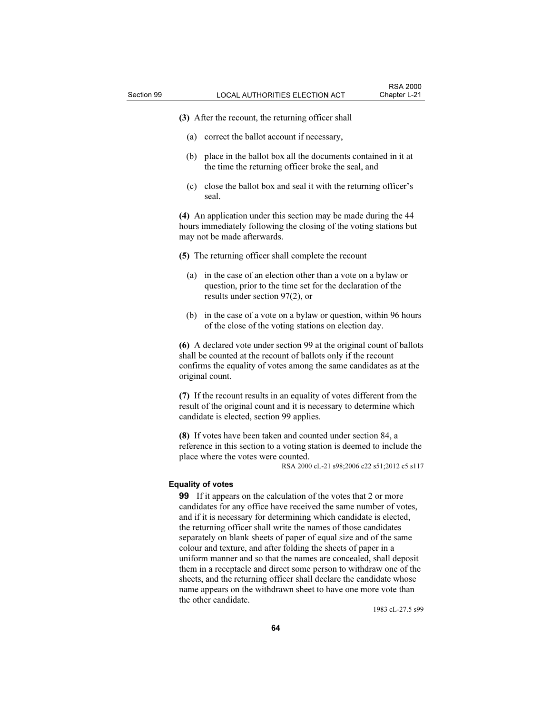(3) After the recount, the returning officer shall

- (a) correct the ballot account if necessary,
- (b) place in the ballot box all the documents contained in it at the time the returning officer broke the seal, and
- (c) close the ballot box and seal it with the returning officer's seal.

(4) An application under this section may be made during the 44 hours immediately following the closing of the voting stations but may not be made afterwards.

- (5) The returning officer shall complete the recount
	- (a) in the case of an election other than a vote on a bylaw or question, prior to the time set for the declaration of the results under section 97(2), or
	- (b) in the case of a vote on a bylaw or question, within 96 hours of the close of the voting stations on election day.

(6) A declared vote under section 99 at the original count of ballots shall be counted at the recount of ballots only if the recount confirms the equality of votes among the same candidates as at the original count.

(7) If the recount results in an equality of votes different from the result of the original count and it is necessary to determine which candidate is elected, section 99 applies.

(8) If votes have been taken and counted under section 84, a reference in this section to a voting station is deemed to include the place where the votes were counted.

RSA 2000 cL-21 s98;2006 c22 s51;2012 c5 s117

## Equality of votes

99 If it appears on the calculation of the votes that 2 or more candidates for any office have received the same number of votes, and if it is necessary for determining which candidate is elected, the returning officer shall write the names of those candidates separately on blank sheets of paper of equal size and of the same colour and texture, and after folding the sheets of paper in a uniform manner and so that the names are concealed, shall deposit them in a receptacle and direct some person to withdraw one of the sheets, and the returning officer shall declare the candidate whose name appears on the withdrawn sheet to have one more vote than the other candidate.

1983 cL-27.5 s99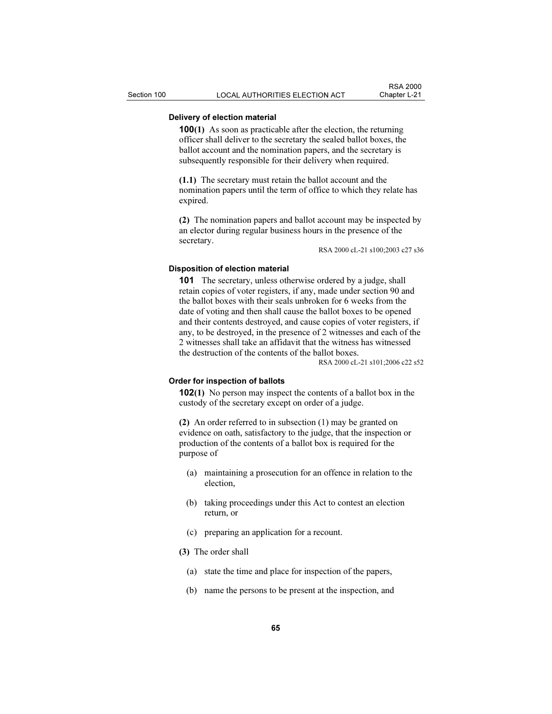# Delivery of election material

100(1) As soon as practicable after the election, the returning officer shall deliver to the secretary the sealed ballot boxes, the ballot account and the nomination papers, and the secretary is subsequently responsible for their delivery when required.

(1.1) The secretary must retain the ballot account and the nomination papers until the term of office to which they relate has expired.

(2) The nomination papers and ballot account may be inspected by an elector during regular business hours in the presence of the secretary.

RSA 2000 cL-21 s100;2003 c27 s36

## Disposition of election material

101 The secretary, unless otherwise ordered by a judge, shall retain copies of voter registers, if any, made under section 90 and the ballot boxes with their seals unbroken for 6 weeks from the date of voting and then shall cause the ballot boxes to be opened and their contents destroyed, and cause copies of voter registers, if any, to be destroyed, in the presence of 2 witnesses and each of the 2 witnesses shall take an affidavit that the witness has witnessed the destruction of the contents of the ballot boxes.

RSA 2000 cL-21 s101;2006 c22 s52

## Order for inspection of ballots

102(1) No person may inspect the contents of a ballot box in the custody of the secretary except on order of a judge.

(2) An order referred to in subsection (1) may be granted on evidence on oath, satisfactory to the judge, that the inspection or production of the contents of a ballot box is required for the purpose of

- (a) maintaining a prosecution for an offence in relation to the election,
- (b) taking proceedings under this Act to contest an election return, or
- (c) preparing an application for a recount.
- (3) The order shall
	- (a) state the time and place for inspection of the papers,
	- (b) name the persons to be present at the inspection, and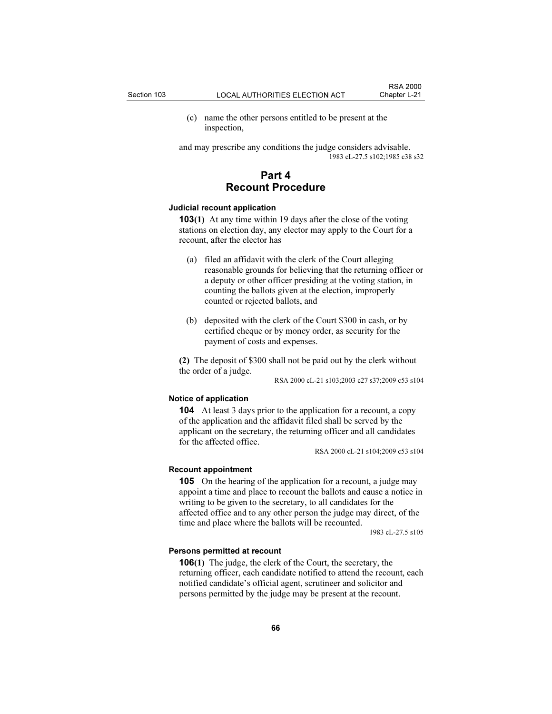(c) name the other persons entitled to be present at the inspection,

and may prescribe any conditions the judge considers advisable. 1983 cL-27.5 s102;1985 c38 s32

# Part 4 Recount Procedure

## Judicial recount application

103(1) At any time within 19 days after the close of the voting stations on election day, any elector may apply to the Court for a recount, after the elector has

- (a) filed an affidavit with the clerk of the Court alleging reasonable grounds for believing that the returning officer or a deputy or other officer presiding at the voting station, in counting the ballots given at the election, improperly counted or rejected ballots, and
- (b) deposited with the clerk of the Court \$300 in cash, or by certified cheque or by money order, as security for the payment of costs and expenses.

(2) The deposit of \$300 shall not be paid out by the clerk without the order of a judge.

RSA 2000 cL-21 s103;2003 c27 s37;2009 c53 s104

## Notice of application

104 At least 3 days prior to the application for a recount, a copy of the application and the affidavit filed shall be served by the applicant on the secretary, the returning officer and all candidates for the affected office.

RSA 2000 cL-21 s104;2009 c53 s104

## Recount appointment

105 On the hearing of the application for a recount, a judge may appoint a time and place to recount the ballots and cause a notice in writing to be given to the secretary, to all candidates for the affected office and to any other person the judge may direct, of the time and place where the ballots will be recounted.

1983 cL-27.5 s105

#### Persons permitted at recount

106(1) The judge, the clerk of the Court, the secretary, the returning officer, each candidate notified to attend the recount, each notified candidate's official agent, scrutineer and solicitor and persons permitted by the judge may be present at the recount.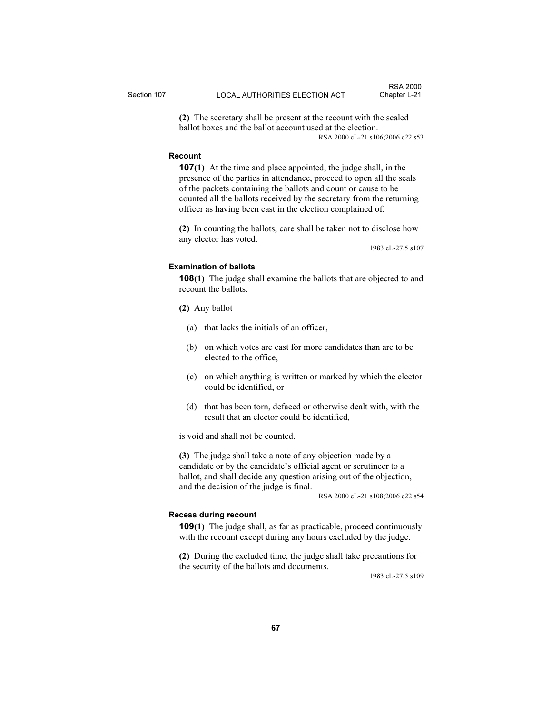(2) The secretary shall be present at the recount with the sealed ballot boxes and the ballot account used at the election. RSA 2000 cL-21 s106;2006 c22 s53

#### Recount

107(1) At the time and place appointed, the judge shall, in the presence of the parties in attendance, proceed to open all the seals of the packets containing the ballots and count or cause to be counted all the ballots received by the secretary from the returning officer as having been cast in the election complained of.

(2) In counting the ballots, care shall be taken not to disclose how any elector has voted.

1983 cL-27.5 s107

# Examination of ballots

108(1) The judge shall examine the ballots that are objected to and recount the ballots.

(2) Any ballot

- (a) that lacks the initials of an officer,
- (b) on which votes are cast for more candidates than are to be elected to the office,
- (c) on which anything is written or marked by which the elector could be identified, or
- (d) that has been torn, defaced or otherwise dealt with, with the result that an elector could be identified,

is void and shall not be counted.

(3) The judge shall take a note of any objection made by a candidate or by the candidate's official agent or scrutineer to a ballot, and shall decide any question arising out of the objection, and the decision of the judge is final.

RSA 2000 cL-21 s108;2006 c22 s54

#### Recess during recount

109(1) The judge shall, as far as practicable, proceed continuously with the recount except during any hours excluded by the judge.

(2) During the excluded time, the judge shall take precautions for the security of the ballots and documents.

1983 cL-27.5 s109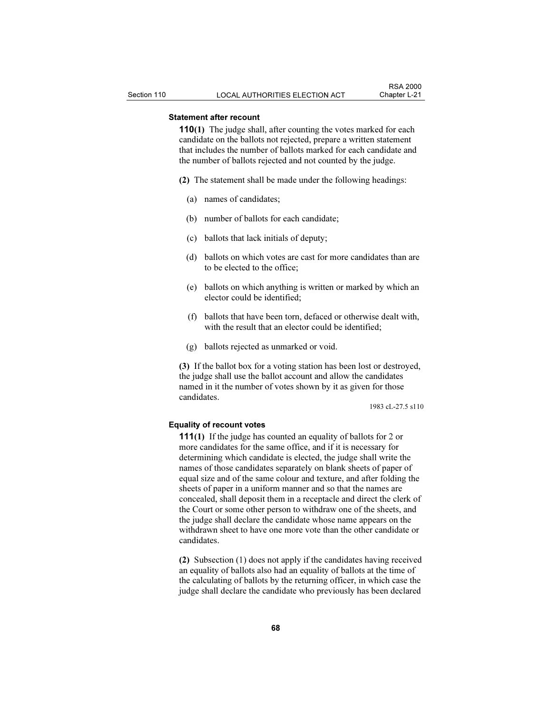# Statement after recount

110(1) The judge shall, after counting the votes marked for each candidate on the ballots not rejected, prepare a written statement that includes the number of ballots marked for each candidate and the number of ballots rejected and not counted by the judge.

- (2) The statement shall be made under the following headings:
	- (a) names of candidates;
	- (b) number of ballots for each candidate;
	- (c) ballots that lack initials of deputy;
	- (d) ballots on which votes are cast for more candidates than are to be elected to the office;
	- (e) ballots on which anything is written or marked by which an elector could be identified;
	- (f) ballots that have been torn, defaced or otherwise dealt with, with the result that an elector could be identified;
	- (g) ballots rejected as unmarked or void.

(3) If the ballot box for a voting station has been lost or destroyed, the judge shall use the ballot account and allow the candidates named in it the number of votes shown by it as given for those candidates.

1983 cL-27.5 s110

## Equality of recount votes

111(1) If the judge has counted an equality of ballots for 2 or more candidates for the same office, and if it is necessary for determining which candidate is elected, the judge shall write the names of those candidates separately on blank sheets of paper of equal size and of the same colour and texture, and after folding the sheets of paper in a uniform manner and so that the names are concealed, shall deposit them in a receptacle and direct the clerk of the Court or some other person to withdraw one of the sheets, and the judge shall declare the candidate whose name appears on the withdrawn sheet to have one more vote than the other candidate or candidates.

(2) Subsection (1) does not apply if the candidates having received an equality of ballots also had an equality of ballots at the time of the calculating of ballots by the returning officer, in which case the judge shall declare the candidate who previously has been declared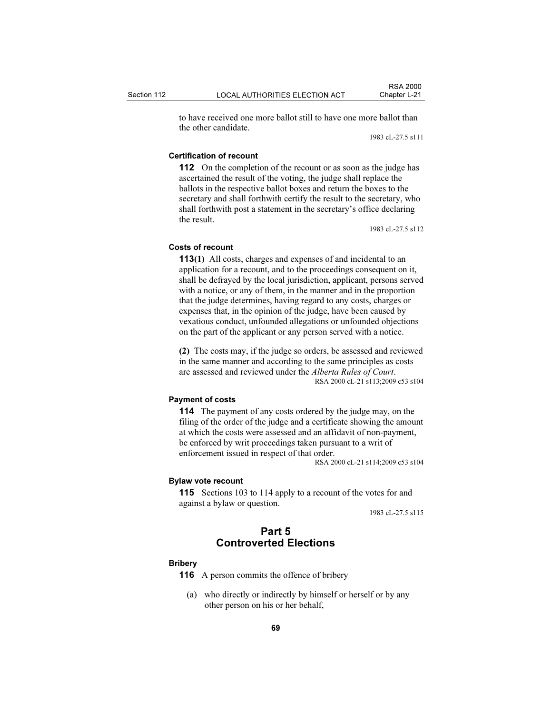to have received one more ballot still to have one more ballot than the other candidate.

1983 cL-27.5 s111

### Certification of recount

112 On the completion of the recount or as soon as the judge has ascertained the result of the voting, the judge shall replace the ballots in the respective ballot boxes and return the boxes to the secretary and shall forthwith certify the result to the secretary, who shall forthwith post a statement in the secretary's office declaring the result.

1983 cL-27.5 s112

#### Costs of recount

113(1) All costs, charges and expenses of and incidental to an application for a recount, and to the proceedings consequent on it, shall be defrayed by the local jurisdiction, applicant, persons served with a notice, or any of them, in the manner and in the proportion that the judge determines, having regard to any costs, charges or expenses that, in the opinion of the judge, have been caused by vexatious conduct, unfounded allegations or unfounded objections on the part of the applicant or any person served with a notice.

(2) The costs may, if the judge so orders, be assessed and reviewed in the same manner and according to the same principles as costs are assessed and reviewed under the Alberta Rules of Court. RSA 2000 cL-21 s113;2009 c53 s104

#### Payment of costs

114 The payment of any costs ordered by the judge may, on the filing of the order of the judge and a certificate showing the amount at which the costs were assessed and an affidavit of non-payment, be enforced by writ proceedings taken pursuant to a writ of enforcement issued in respect of that order.

RSA 2000 cL-21 s114;2009 c53 s104

#### Bylaw vote recount

115 Sections 103 to 114 apply to a recount of the votes for and against a bylaw or question.

1983 cL-27.5 s115

# Part 5 Controverted Elections

#### **Bribery**

116 A person commits the offence of bribery

 (a) who directly or indirectly by himself or herself or by any other person on his or her behalf,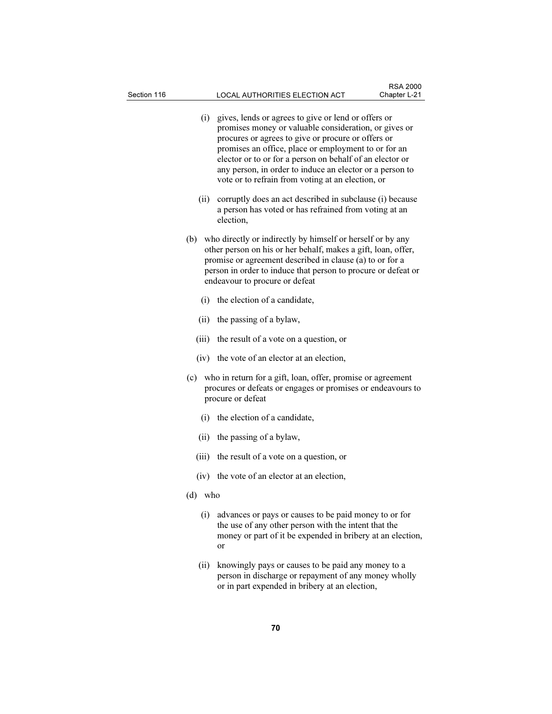- (i) gives, lends or agrees to give or lend or offers or promises money or valuable consideration, or gives or procures or agrees to give or procure or offers or promises an office, place or employment to or for an elector or to or for a person on behalf of an elector or any person, in order to induce an elector or a person to vote or to refrain from voting at an election, or
- (ii) corruptly does an act described in subclause (i) because a person has voted or has refrained from voting at an election,
- (b) who directly or indirectly by himself or herself or by any other person on his or her behalf, makes a gift, loan, offer, promise or agreement described in clause (a) to or for a person in order to induce that person to procure or defeat or endeavour to procure or defeat
	- (i) the election of a candidate,
	- (ii) the passing of a bylaw,
	- (iii) the result of a vote on a question, or
	- (iv) the vote of an elector at an election,
- (c) who in return for a gift, loan, offer, promise or agreement procures or defeats or engages or promises or endeavours to procure or defeat
	- (i) the election of a candidate,
	- (ii) the passing of a bylaw,
	- (iii) the result of a vote on a question, or
	- (iv) the vote of an elector at an election,
- (d) who
	- (i) advances or pays or causes to be paid money to or for the use of any other person with the intent that the money or part of it be expended in bribery at an election, or
	- (ii) knowingly pays or causes to be paid any money to a person in discharge or repayment of any money wholly or in part expended in bribery at an election,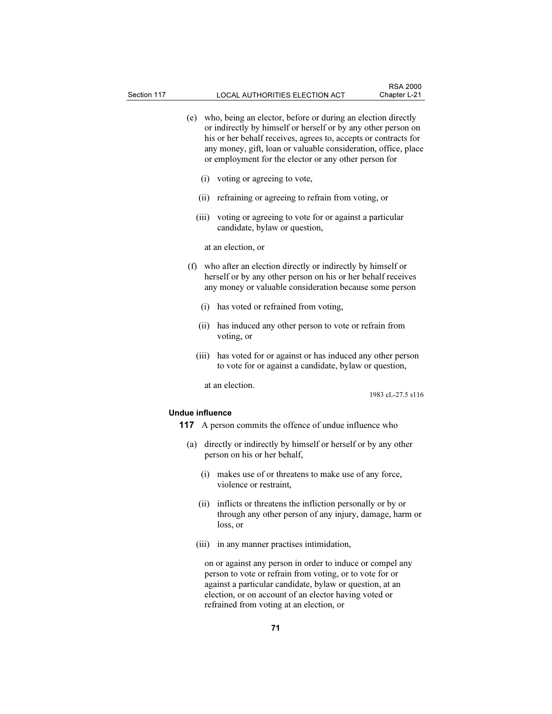- (e) who, being an elector, before or during an election directly or indirectly by himself or herself or by any other person on his or her behalf receives, agrees to, accepts or contracts for any money, gift, loan or valuable consideration, office, place or employment for the elector or any other person for
	- (i) voting or agreeing to vote,
	- (ii) refraining or agreeing to refrain from voting, or
	- (iii) voting or agreeing to vote for or against a particular candidate, bylaw or question,

at an election, or

- (f) who after an election directly or indirectly by himself or herself or by any other person on his or her behalf receives any money or valuable consideration because some person
	- (i) has voted or refrained from voting,
	- (ii) has induced any other person to vote or refrain from voting, or
	- (iii) has voted for or against or has induced any other person to vote for or against a candidate, bylaw or question,

at an election.

1983 cL-27.5 s116

### Undue influence

- 117 A person commits the offence of undue influence who
- (a) directly or indirectly by himself or herself or by any other person on his or her behalf,
	- (i) makes use of or threatens to make use of any force, violence or restraint,
	- (ii) inflicts or threatens the infliction personally or by or through any other person of any injury, damage, harm or loss, or
	- (iii) in any manner practises intimidation,

 on or against any person in order to induce or compel any person to vote or refrain from voting, or to vote for or against a particular candidate, bylaw or question, at an election, or on account of an elector having voted or refrained from voting at an election, or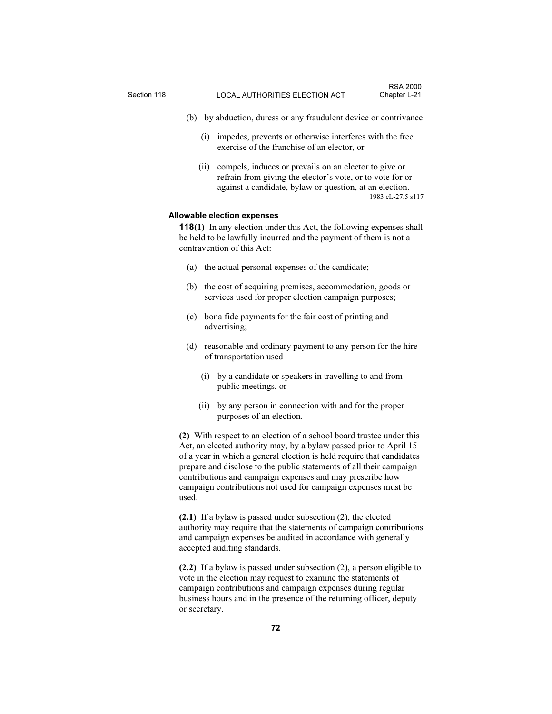- (b) by abduction, duress or any fraudulent device or contrivance
	- (i) impedes, prevents or otherwise interferes with the free exercise of the franchise of an elector, or
	- (ii) compels, induces or prevails on an elector to give or refrain from giving the elector's vote, or to vote for or against a candidate, bylaw or question, at an election. 1983 cL-27.5 s117

#### Allowable election expenses

118(1) In any election under this Act, the following expenses shall be held to be lawfully incurred and the payment of them is not a contravention of this Act:

- (a) the actual personal expenses of the candidate;
- (b) the cost of acquiring premises, accommodation, goods or services used for proper election campaign purposes;
- (c) bona fide payments for the fair cost of printing and advertising;
- (d) reasonable and ordinary payment to any person for the hire of transportation used
	- (i) by a candidate or speakers in travelling to and from public meetings, or
	- (ii) by any person in connection with and for the proper purposes of an election.

(2) With respect to an election of a school board trustee under this Act, an elected authority may, by a bylaw passed prior to April 15 of a year in which a general election is held require that candidates prepare and disclose to the public statements of all their campaign contributions and campaign expenses and may prescribe how campaign contributions not used for campaign expenses must be used.

(2.1) If a bylaw is passed under subsection (2), the elected authority may require that the statements of campaign contributions and campaign expenses be audited in accordance with generally accepted auditing standards.

(2.2) If a bylaw is passed under subsection (2), a person eligible to vote in the election may request to examine the statements of campaign contributions and campaign expenses during regular business hours and in the presence of the returning officer, deputy or secretary.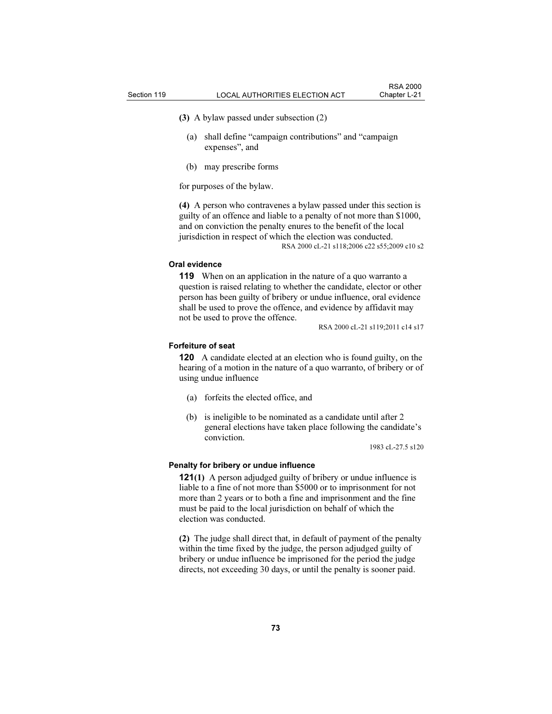(3) A bylaw passed under subsection (2)

- (a) shall define "campaign contributions" and "campaign expenses", and
- (b) may prescribe forms

for purposes of the bylaw.

(4) A person who contravenes a bylaw passed under this section is guilty of an offence and liable to a penalty of not more than \$1000, and on conviction the penalty enures to the benefit of the local jurisdiction in respect of which the election was conducted.

RSA 2000 cL-21 s118;2006 c22 s55;2009 c10 s2

#### Oral evidence

119 When on an application in the nature of a quo warranto a question is raised relating to whether the candidate, elector or other person has been guilty of bribery or undue influence, oral evidence shall be used to prove the offence, and evidence by affidavit may not be used to prove the offence.

RSA 2000 cL-21 s119;2011 c14 s17

#### Forfeiture of seat

120 A candidate elected at an election who is found guilty, on the hearing of a motion in the nature of a quo warranto, of bribery or of using undue influence

- (a) forfeits the elected office, and
- (b) is ineligible to be nominated as a candidate until after 2 general elections have taken place following the candidate's conviction.

1983 cL-27.5 s120

#### Penalty for bribery or undue influence

121(1) A person adjudged guilty of bribery or undue influence is liable to a fine of not more than \$5000 or to imprisonment for not more than 2 years or to both a fine and imprisonment and the fine must be paid to the local jurisdiction on behalf of which the election was conducted.

(2) The judge shall direct that, in default of payment of the penalty within the time fixed by the judge, the person adjudged guilty of bribery or undue influence be imprisoned for the period the judge directs, not exceeding 30 days, or until the penalty is sooner paid.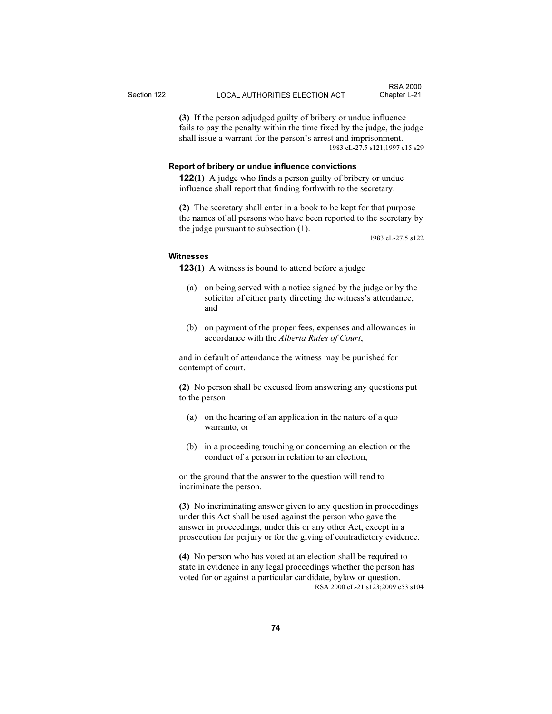(3) If the person adjudged guilty of bribery or undue influence fails to pay the penalty within the time fixed by the judge, the judge shall issue a warrant for the person's arrest and imprisonment. 1983 cL-27.5 s121;1997 c15 s29

#### Report of bribery or undue influence convictions

122(1) A judge who finds a person guilty of bribery or undue influence shall report that finding forthwith to the secretary.

(2) The secretary shall enter in a book to be kept for that purpose the names of all persons who have been reported to the secretary by the judge pursuant to subsection (1).

1983 cL-27.5 s122

#### **Witnesses**

**123(1)** A witness is bound to attend before a judge

- (a) on being served with a notice signed by the judge or by the solicitor of either party directing the witness's attendance, and
- (b) on payment of the proper fees, expenses and allowances in accordance with the Alberta Rules of Court,

and in default of attendance the witness may be punished for contempt of court.

(2) No person shall be excused from answering any questions put to the person

- (a) on the hearing of an application in the nature of a quo warranto, or
- (b) in a proceeding touching or concerning an election or the conduct of a person in relation to an election,

on the ground that the answer to the question will tend to incriminate the person.

(3) No incriminating answer given to any question in proceedings under this Act shall be used against the person who gave the answer in proceedings, under this or any other Act, except in a prosecution for perjury or for the giving of contradictory evidence.

(4) No person who has voted at an election shall be required to state in evidence in any legal proceedings whether the person has voted for or against a particular candidate, bylaw or question. RSA 2000 cL-21 s123;2009 c53 s104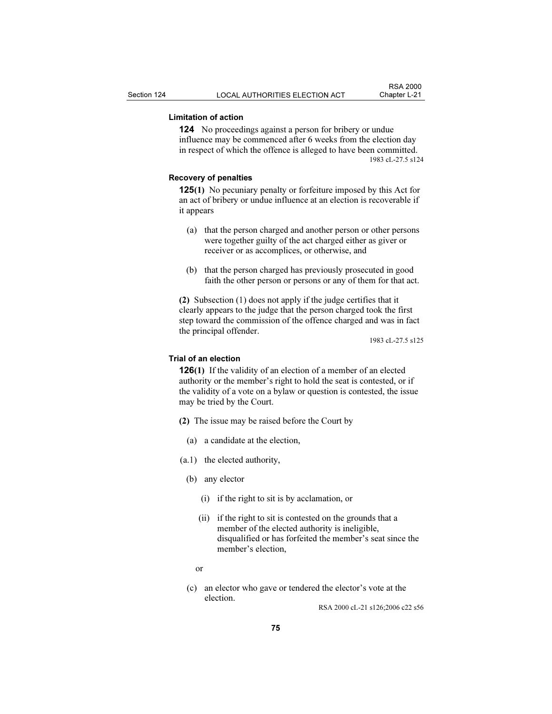### Limitation of action

124 No proceedings against a person for bribery or undue influence may be commenced after 6 weeks from the election day in respect of which the offence is alleged to have been committed. 1983 cL-27.5 s124

#### Recovery of penalties

125(1) No pecuniary penalty or forfeiture imposed by this Act for an act of bribery or undue influence at an election is recoverable if it appears

- (a) that the person charged and another person or other persons were together guilty of the act charged either as giver or receiver or as accomplices, or otherwise, and
- (b) that the person charged has previously prosecuted in good faith the other person or persons or any of them for that act.

(2) Subsection (1) does not apply if the judge certifies that it clearly appears to the judge that the person charged took the first step toward the commission of the offence charged and was in fact the principal offender.

1983 cL-27.5 s125

#### Trial of an election

126(1) If the validity of an election of a member of an elected authority or the member's right to hold the seat is contested, or if the validity of a vote on a bylaw or question is contested, the issue may be tried by the Court.

- (2) The issue may be raised before the Court by
	- (a) a candidate at the election,
- (a.1) the elected authority,
	- (b) any elector
		- (i) if the right to sit is by acclamation, or
		- (ii) if the right to sit is contested on the grounds that a member of the elected authority is ineligible, disqualified or has forfeited the member's seat since the member's election,
- or
	- (c) an elector who gave or tendered the elector's vote at the election.

RSA 2000 cL-21 s126;2006 c22 s56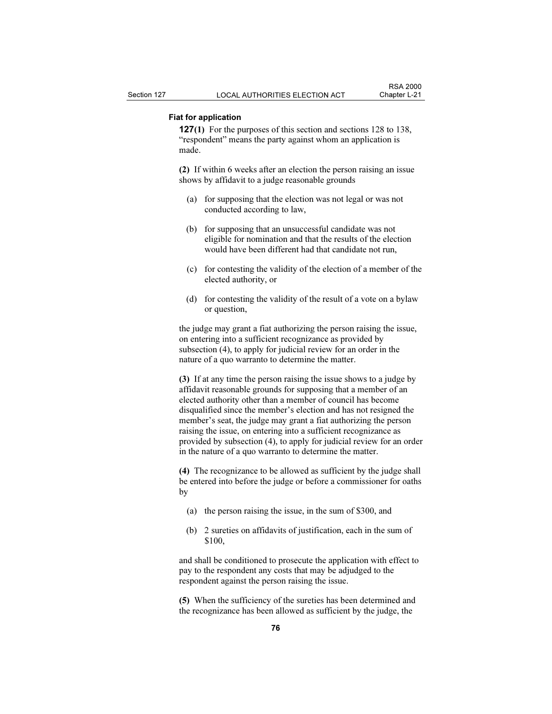### Fiat for application

127(1) For the purposes of this section and sections 128 to 138, "respondent" means the party against whom an application is made.

(2) If within 6 weeks after an election the person raising an issue shows by affidavit to a judge reasonable grounds

- (a) for supposing that the election was not legal or was not conducted according to law,
- (b) for supposing that an unsuccessful candidate was not eligible for nomination and that the results of the election would have been different had that candidate not run,
- (c) for contesting the validity of the election of a member of the elected authority, or
- (d) for contesting the validity of the result of a vote on a bylaw or question,

the judge may grant a fiat authorizing the person raising the issue, on entering into a sufficient recognizance as provided by subsection (4), to apply for judicial review for an order in the nature of a quo warranto to determine the matter.

(3) If at any time the person raising the issue shows to a judge by affidavit reasonable grounds for supposing that a member of an elected authority other than a member of council has become disqualified since the member's election and has not resigned the member's seat, the judge may grant a fiat authorizing the person raising the issue, on entering into a sufficient recognizance as provided by subsection (4), to apply for judicial review for an order in the nature of a quo warranto to determine the matter.

(4) The recognizance to be allowed as sufficient by the judge shall be entered into before the judge or before a commissioner for oaths by

- (a) the person raising the issue, in the sum of \$300, and
- (b) 2 sureties on affidavits of justification, each in the sum of \$100,

and shall be conditioned to prosecute the application with effect to pay to the respondent any costs that may be adjudged to the respondent against the person raising the issue.

(5) When the sufficiency of the sureties has been determined and the recognizance has been allowed as sufficient by the judge, the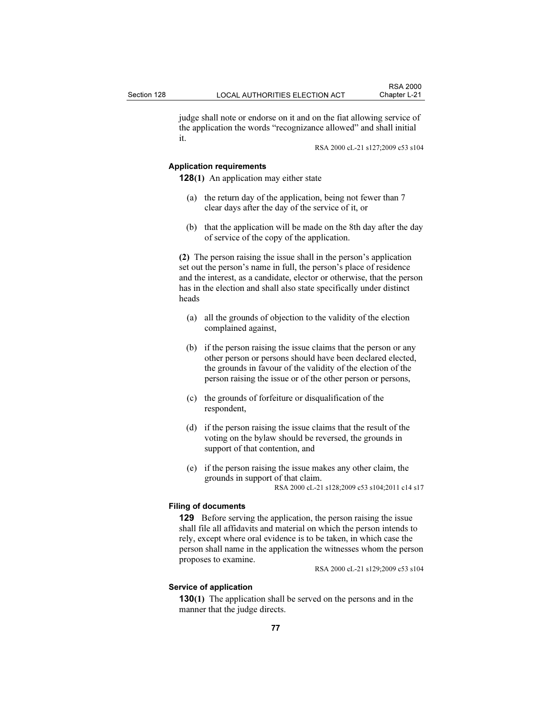judge shall note or endorse on it and on the fiat allowing service of the application the words "recognizance allowed" and shall initial it.

RSA 2000 cL-21 s127;2009 c53 s104

#### Application requirements

128(1) An application may either state

- (a) the return day of the application, being not fewer than 7 clear days after the day of the service of it, or
- (b) that the application will be made on the 8th day after the day of service of the copy of the application.

(2) The person raising the issue shall in the person's application set out the person's name in full, the person's place of residence and the interest, as a candidate, elector or otherwise, that the person has in the election and shall also state specifically under distinct heads

- (a) all the grounds of objection to the validity of the election complained against,
- (b) if the person raising the issue claims that the person or any other person or persons should have been declared elected, the grounds in favour of the validity of the election of the person raising the issue or of the other person or persons,
- (c) the grounds of forfeiture or disqualification of the respondent,
- (d) if the person raising the issue claims that the result of the voting on the bylaw should be reversed, the grounds in support of that contention, and
- (e) if the person raising the issue makes any other claim, the grounds in support of that claim. RSA 2000 cL-21 s128;2009 c53 s104;2011 c14 s17

# Filing of documents

129 Before serving the application, the person raising the issue shall file all affidavits and material on which the person intends to rely, except where oral evidence is to be taken, in which case the person shall name in the application the witnesses whom the person proposes to examine.

RSA 2000 cL-21 s129;2009 c53 s104

#### Service of application

130(1) The application shall be served on the persons and in the manner that the judge directs.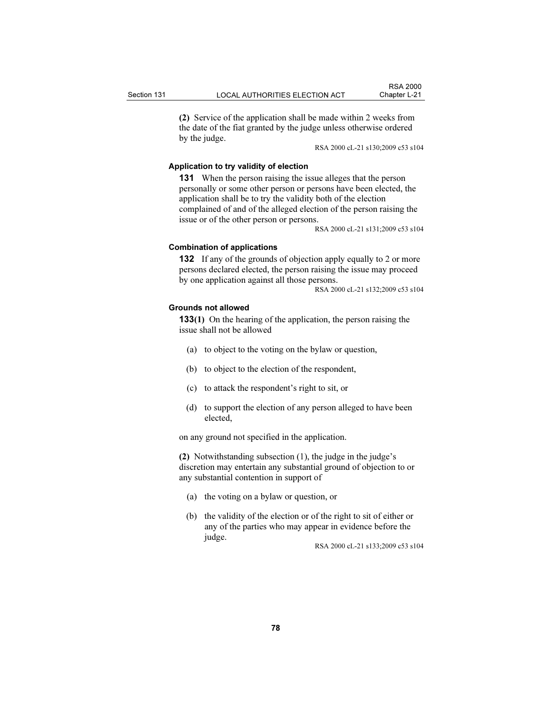(2) Service of the application shall be made within 2 weeks from the date of the fiat granted by the judge unless otherwise ordered by the judge.

RSA 2000 cL-21 s130;2009 c53 s104

### Application to try validity of election

131 When the person raising the issue alleges that the person personally or some other person or persons have been elected, the application shall be to try the validity both of the election complained of and of the alleged election of the person raising the issue or of the other person or persons.

RSA 2000 cL-21 s131;2009 c53 s104

#### Combination of applications

132 If any of the grounds of objection apply equally to 2 or more persons declared elected, the person raising the issue may proceed by one application against all those persons.

RSA 2000 cL-21 s132;2009 c53 s104

#### Grounds not allowed

133(1) On the hearing of the application, the person raising the issue shall not be allowed

- (a) to object to the voting on the bylaw or question,
- (b) to object to the election of the respondent,
- (c) to attack the respondent's right to sit, or
- (d) to support the election of any person alleged to have been elected,

on any ground not specified in the application.

(2) Notwithstanding subsection (1), the judge in the judge's discretion may entertain any substantial ground of objection to or any substantial contention in support of

- (a) the voting on a bylaw or question, or
- (b) the validity of the election or of the right to sit of either or any of the parties who may appear in evidence before the judge.

RSA 2000 cL-21 s133;2009 c53 s104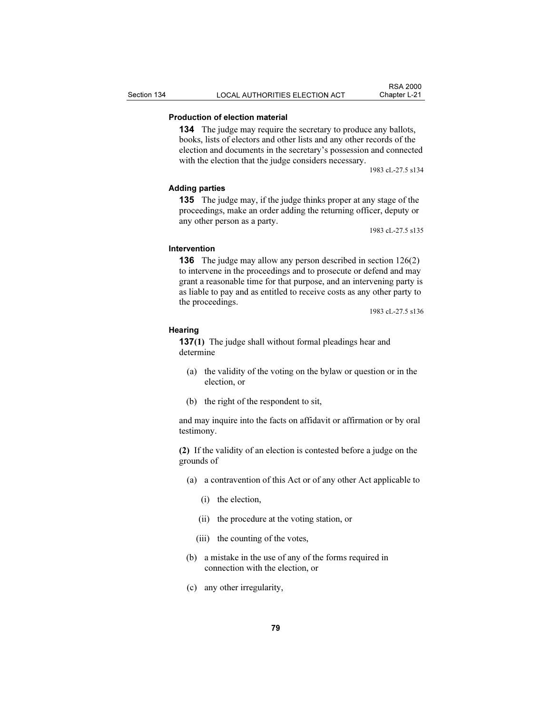### Production of election material

134 The judge may require the secretary to produce any ballots, books, lists of electors and other lists and any other records of the election and documents in the secretary's possession and connected with the election that the judge considers necessary.

1983 cL-27.5 s134

#### Adding parties

135 The judge may, if the judge thinks proper at any stage of the proceedings, make an order adding the returning officer, deputy or any other person as a party.

1983 cL-27.5 s135

#### Intervention

136 The judge may allow any person described in section 126(2) to intervene in the proceedings and to prosecute or defend and may grant a reasonable time for that purpose, and an intervening party is as liable to pay and as entitled to receive costs as any other party to the proceedings.

1983 cL-27.5 s136

#### **Hearing**

137(1) The judge shall without formal pleadings hear and determine

- (a) the validity of the voting on the bylaw or question or in the election, or
- (b) the right of the respondent to sit,

and may inquire into the facts on affidavit or affirmation or by oral testimony.

(2) If the validity of an election is contested before a judge on the grounds of

- (a) a contravention of this Act or of any other Act applicable to
	- (i) the election,
	- (ii) the procedure at the voting station, or
	- (iii) the counting of the votes,
- (b) a mistake in the use of any of the forms required in connection with the election, or
- (c) any other irregularity,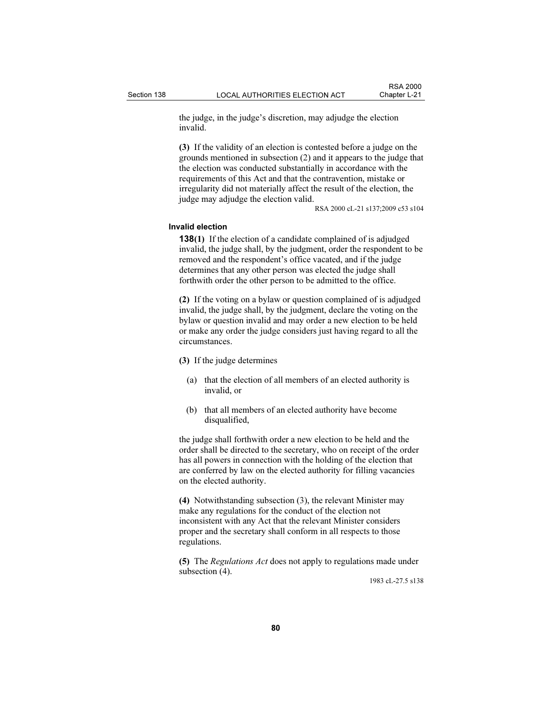the judge, in the judge's discretion, may adjudge the election invalid.

(3) If the validity of an election is contested before a judge on the grounds mentioned in subsection (2) and it appears to the judge that the election was conducted substantially in accordance with the requirements of this Act and that the contravention, mistake or irregularity did not materially affect the result of the election, the judge may adjudge the election valid.

RSA 2000 cL-21 s137;2009 c53 s104

### Invalid election

138(1) If the election of a candidate complained of is adjudged invalid, the judge shall, by the judgment, order the respondent to be removed and the respondent's office vacated, and if the judge determines that any other person was elected the judge shall forthwith order the other person to be admitted to the office.

(2) If the voting on a bylaw or question complained of is adjudged invalid, the judge shall, by the judgment, declare the voting on the bylaw or question invalid and may order a new election to be held or make any order the judge considers just having regard to all the circumstances.

#### (3) If the judge determines

- (a) that the election of all members of an elected authority is invalid, or
- (b) that all members of an elected authority have become disqualified,

the judge shall forthwith order a new election to be held and the order shall be directed to the secretary, who on receipt of the order has all powers in connection with the holding of the election that are conferred by law on the elected authority for filling vacancies on the elected authority.

(4) Notwithstanding subsection (3), the relevant Minister may make any regulations for the conduct of the election not inconsistent with any Act that the relevant Minister considers proper and the secretary shall conform in all respects to those regulations.

(5) The Regulations Act does not apply to regulations made under subsection (4).

1983 cL-27.5 s138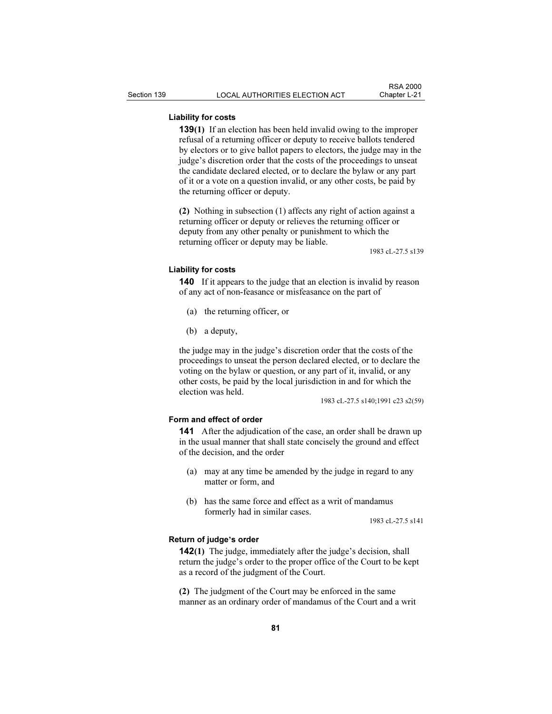### Liability for costs

139(1) If an election has been held invalid owing to the improper refusal of a returning officer or deputy to receive ballots tendered by electors or to give ballot papers to electors, the judge may in the judge's discretion order that the costs of the proceedings to unseat the candidate declared elected, or to declare the bylaw or any part of it or a vote on a question invalid, or any other costs, be paid by the returning officer or deputy.

(2) Nothing in subsection (1) affects any right of action against a returning officer or deputy or relieves the returning officer or deputy from any other penalty or punishment to which the returning officer or deputy may be liable.

1983 cL-27.5 s139

#### Liability for costs

140 If it appears to the judge that an election is invalid by reason of any act of non-feasance or misfeasance on the part of

- (a) the returning officer, or
- (b) a deputy,

the judge may in the judge's discretion order that the costs of the proceedings to unseat the person declared elected, or to declare the voting on the bylaw or question, or any part of it, invalid, or any other costs, be paid by the local jurisdiction in and for which the election was held.

1983 cL-27.5 s140;1991 c23 s2(59)

#### Form and effect of order

141 After the adjudication of the case, an order shall be drawn up in the usual manner that shall state concisely the ground and effect of the decision, and the order

- (a) may at any time be amended by the judge in regard to any matter or form, and
- (b) has the same force and effect as a writ of mandamus formerly had in similar cases.

1983 cL-27.5 s141

#### Return of judge's order

142(1) The judge, immediately after the judge's decision, shall return the judge's order to the proper office of the Court to be kept as a record of the judgment of the Court.

(2) The judgment of the Court may be enforced in the same manner as an ordinary order of mandamus of the Court and a writ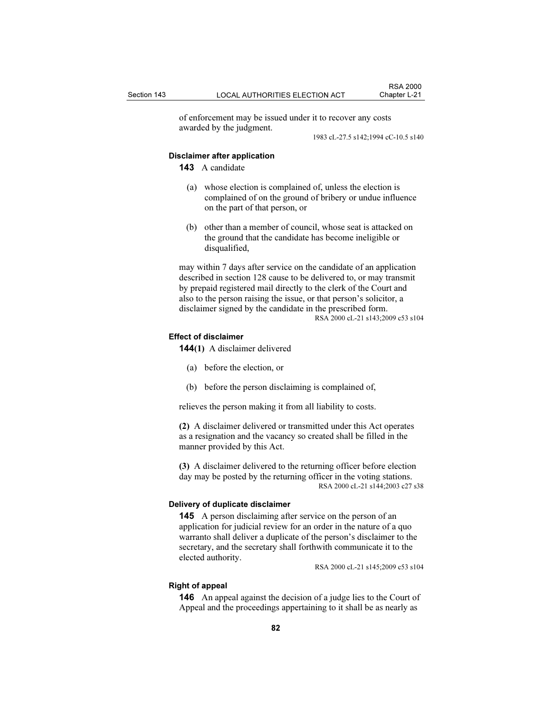of enforcement may be issued under it to recover any costs awarded by the judgment.

1983 cL-27.5 s142;1994 cC-10.5 s140

#### Disclaimer after application

143 A candidate

- (a) whose election is complained of, unless the election is complained of on the ground of bribery or undue influence on the part of that person, or
- (b) other than a member of council, whose seat is attacked on the ground that the candidate has become ineligible or disqualified,

may within 7 days after service on the candidate of an application described in section 128 cause to be delivered to, or may transmit by prepaid registered mail directly to the clerk of the Court and also to the person raising the issue, or that person's solicitor, a disclaimer signed by the candidate in the prescribed form. RSA 2000 cL-21 s143;2009 c53 s104

#### Effect of disclaimer

144(1) A disclaimer delivered

- (a) before the election, or
- (b) before the person disclaiming is complained of,

relieves the person making it from all liability to costs.

(2) A disclaimer delivered or transmitted under this Act operates as a resignation and the vacancy so created shall be filled in the manner provided by this Act.

(3) A disclaimer delivered to the returning officer before election day may be posted by the returning officer in the voting stations. RSA 2000 cL-21 s144;2003 c27 s38

### Delivery of duplicate disclaimer

145 A person disclaiming after service on the person of an application for judicial review for an order in the nature of a quo warranto shall deliver a duplicate of the person's disclaimer to the secretary, and the secretary shall forthwith communicate it to the elected authority.

RSA 2000 cL-21 s145;2009 c53 s104

#### Right of appeal

146 An appeal against the decision of a judge lies to the Court of Appeal and the proceedings appertaining to it shall be as nearly as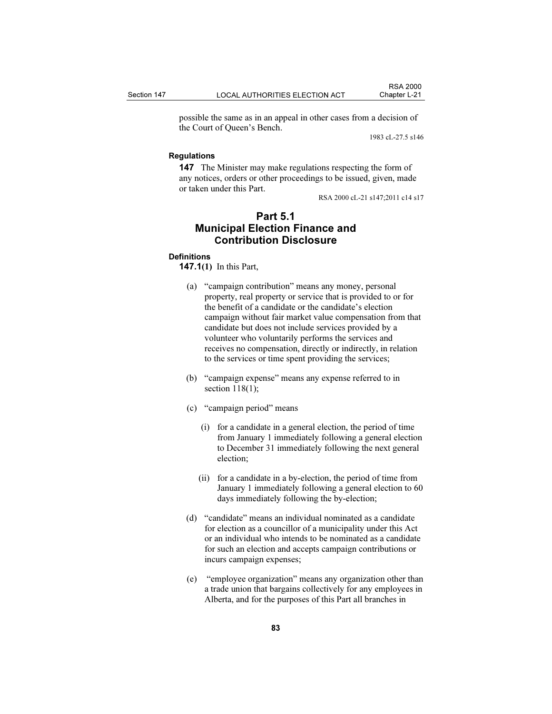possible the same as in an appeal in other cases from a decision of the Court of Queen's Bench.

1983 cL-27.5 s146

### Regulations

147 The Minister may make regulations respecting the form of any notices, orders or other proceedings to be issued, given, made or taken under this Part.

RSA 2000 cL-21 s147;2011 c14 s17

## Part 5.1 Municipal Election Finance and Contribution Disclosure

#### **Definitions**

147.1(1) In this Part,

- (a) "campaign contribution" means any money, personal property, real property or service that is provided to or for the benefit of a candidate or the candidate's election campaign without fair market value compensation from that candidate but does not include services provided by a volunteer who voluntarily performs the services and receives no compensation, directly or indirectly, in relation to the services or time spent providing the services;
- (b) "campaign expense" means any expense referred to in section 118(1);
- (c) "campaign period" means
	- (i) for a candidate in a general election, the period of time from January 1 immediately following a general election to December 31 immediately following the next general election;
	- (ii) for a candidate in a by-election, the period of time from January 1 immediately following a general election to 60 days immediately following the by-election;
- (d) "candidate" means an individual nominated as a candidate for election as a councillor of a municipality under this Act or an individual who intends to be nominated as a candidate for such an election and accepts campaign contributions or incurs campaign expenses;
- (e) "employee organization" means any organization other than a trade union that bargains collectively for any employees in Alberta, and for the purposes of this Part all branches in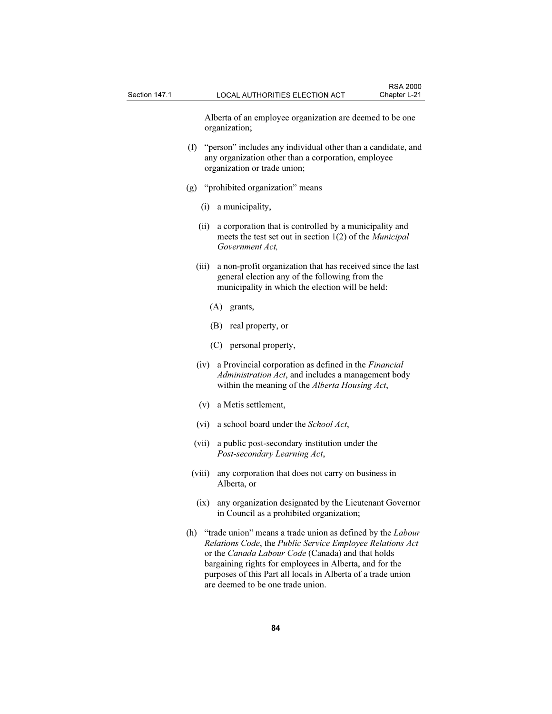Alberta of an employee organization are deemed to be one organization;

- (f) "person" includes any individual other than a candidate, and any organization other than a corporation, employee organization or trade union;
- (g) "prohibited organization" means
	- (i) a municipality,
	- (ii) a corporation that is controlled by a municipality and meets the test set out in section 1(2) of the Municipal Government Act,
	- (iii) a non-profit organization that has received since the last general election any of the following from the municipality in which the election will be held:
		- (A) grants,
		- (B) real property, or
		- (C) personal property,
	- (iv) a Provincial corporation as defined in the Financial Administration Act, and includes a management body within the meaning of the *Alberta Housing Act*,
	- (v) a Metis settlement,
	- (vi) a school board under the School Act,
	- (vii) a public post-secondary institution under the Post-secondary Learning Act,
- (viii) any corporation that does not carry on business in Alberta, or
- (ix) any organization designated by the Lieutenant Governor in Council as a prohibited organization;
- (h) "trade union" means a trade union as defined by the *Labour* Relations Code, the Public Service Employee Relations Act or the Canada Labour Code (Canada) and that holds bargaining rights for employees in Alberta, and for the purposes of this Part all locals in Alberta of a trade union are deemed to be one trade union.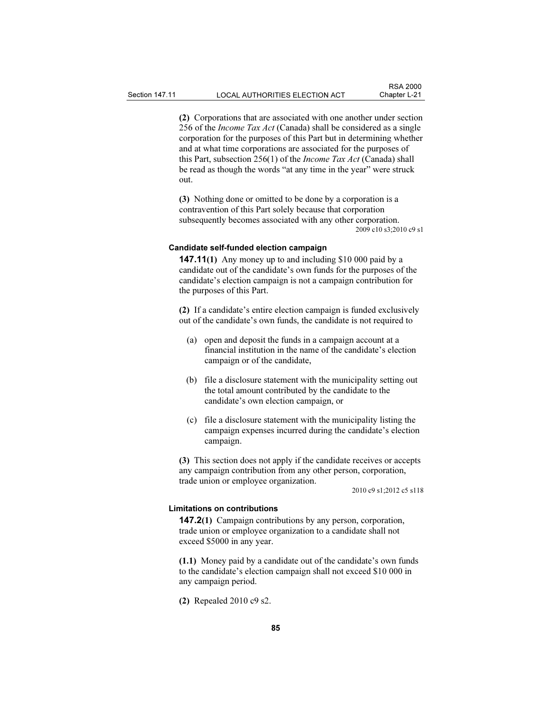(2) Corporations that are associated with one another under section 256 of the *Income Tax Act* (Canada) shall be considered as a single corporation for the purposes of this Part but in determining whether and at what time corporations are associated for the purposes of this Part, subsection 256(1) of the Income Tax Act (Canada) shall be read as though the words "at any time in the year" were struck out.

(3) Nothing done or omitted to be done by a corporation is a contravention of this Part solely because that corporation subsequently becomes associated with any other corporation. 2009 c10 s3;2010 c9 s1

### Candidate self-funded election campaign

147.11(1) Any money up to and including \$10 000 paid by a candidate out of the candidate's own funds for the purposes of the candidate's election campaign is not a campaign contribution for the purposes of this Part.

(2) If a candidate's entire election campaign is funded exclusively out of the candidate's own funds, the candidate is not required to

- (a) open and deposit the funds in a campaign account at a financial institution in the name of the candidate's election campaign or of the candidate,
- (b) file a disclosure statement with the municipality setting out the total amount contributed by the candidate to the candidate's own election campaign, or
- (c) file a disclosure statement with the municipality listing the campaign expenses incurred during the candidate's election campaign.

(3) This section does not apply if the candidate receives or accepts any campaign contribution from any other person, corporation, trade union or employee organization.

2010 c9 s1;2012 c5 s118

#### Limitations on contributions

147.2(1) Campaign contributions by any person, corporation, trade union or employee organization to a candidate shall not exceed \$5000 in any year.

(1.1) Money paid by a candidate out of the candidate's own funds to the candidate's election campaign shall not exceed \$10 000 in any campaign period.

(2) Repealed 2010 c9 s2.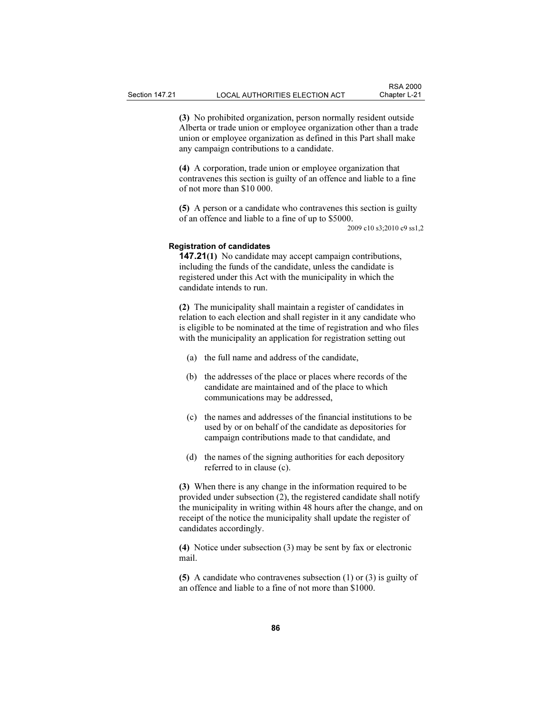(3) No prohibited organization, person normally resident outside Alberta or trade union or employee organization other than a trade union or employee organization as defined in this Part shall make any campaign contributions to a candidate.

(4) A corporation, trade union or employee organization that contravenes this section is guilty of an offence and liable to a fine of not more than \$10 000.

(5) A person or a candidate who contravenes this section is guilty of an offence and liable to a fine of up to \$5000.

2009 c10 s3;2010 c9 ss1,2

#### Registration of candidates

147.21(1) No candidate may accept campaign contributions, including the funds of the candidate, unless the candidate is registered under this Act with the municipality in which the candidate intends to run.

(2) The municipality shall maintain a register of candidates in relation to each election and shall register in it any candidate who is eligible to be nominated at the time of registration and who files with the municipality an application for registration setting out

- (a) the full name and address of the candidate,
- (b) the addresses of the place or places where records of the candidate are maintained and of the place to which communications may be addressed,
- (c) the names and addresses of the financial institutions to be used by or on behalf of the candidate as depositories for campaign contributions made to that candidate, and
- (d) the names of the signing authorities for each depository referred to in clause (c).

(3) When there is any change in the information required to be provided under subsection (2), the registered candidate shall notify the municipality in writing within 48 hours after the change, and on receipt of the notice the municipality shall update the register of candidates accordingly.

(4) Notice under subsection (3) may be sent by fax or electronic mail.

(5) A candidate who contravenes subsection (1) or (3) is guilty of an offence and liable to a fine of not more than \$1000.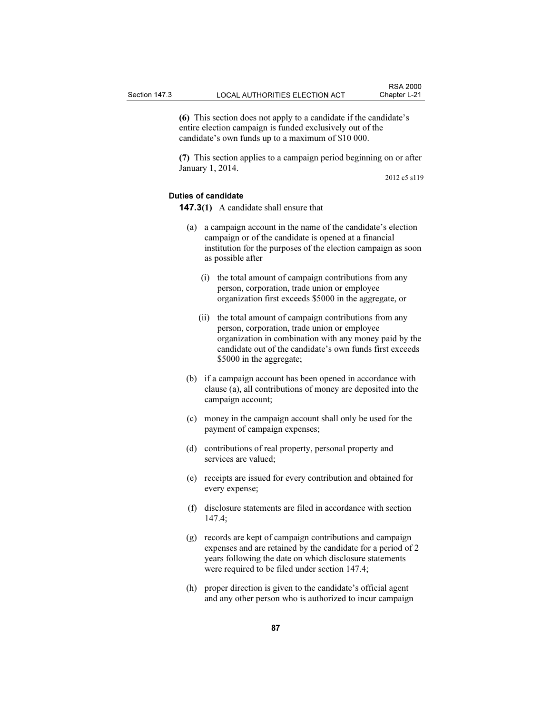(6) This section does not apply to a candidate if the candidate's entire election campaign is funded exclusively out of the candidate's own funds up to a maximum of \$10 000.

(7) This section applies to a campaign period beginning on or after January 1, 2014.

2012 c5 s119

### Duties of candidate

147.3(1) A candidate shall ensure that

- (a) a campaign account in the name of the candidate's election campaign or of the candidate is opened at a financial institution for the purposes of the election campaign as soon as possible after
	- (i) the total amount of campaign contributions from any person, corporation, trade union or employee organization first exceeds \$5000 in the aggregate, or
	- (ii) the total amount of campaign contributions from any person, corporation, trade union or employee organization in combination with any money paid by the candidate out of the candidate's own funds first exceeds \$5000 in the aggregate;
- (b) if a campaign account has been opened in accordance with clause (a), all contributions of money are deposited into the campaign account;
- (c) money in the campaign account shall only be used for the payment of campaign expenses;
- (d) contributions of real property, personal property and services are valued;
- (e) receipts are issued for every contribution and obtained for every expense;
- (f) disclosure statements are filed in accordance with section 147.4;
- (g) records are kept of campaign contributions and campaign expenses and are retained by the candidate for a period of 2 years following the date on which disclosure statements were required to be filed under section 147.4;
- (h) proper direction is given to the candidate's official agent and any other person who is authorized to incur campaign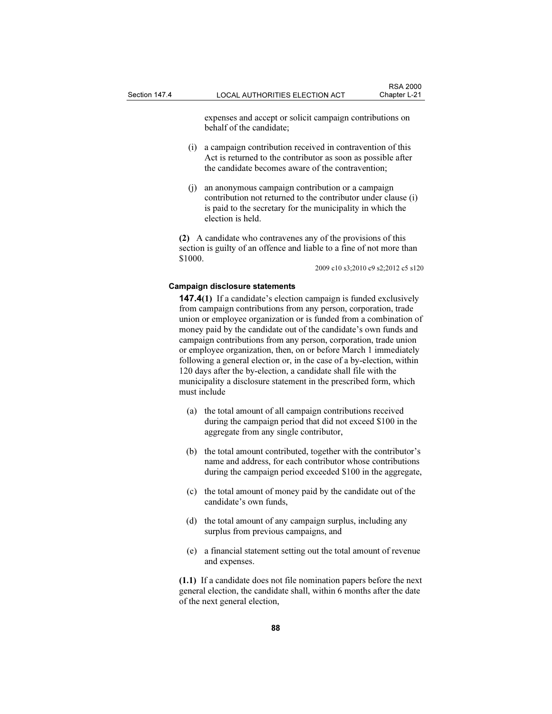expenses and accept or solicit campaign contributions on behalf of the candidate;

- (i) a campaign contribution received in contravention of this Act is returned to the contributor as soon as possible after the candidate becomes aware of the contravention;
- (j) an anonymous campaign contribution or a campaign contribution not returned to the contributor under clause (i) is paid to the secretary for the municipality in which the election is held.

(2) A candidate who contravenes any of the provisions of this section is guilty of an offence and liable to a fine of not more than \$1000.

2009 c10 s3;2010 c9 s2;2012 c5 s120

#### Campaign disclosure statements

147.4(1) If a candidate's election campaign is funded exclusively from campaign contributions from any person, corporation, trade union or employee organization or is funded from a combination of money paid by the candidate out of the candidate's own funds and campaign contributions from any person, corporation, trade union or employee organization, then, on or before March 1 immediately following a general election or, in the case of a by-election, within 120 days after the by-election, a candidate shall file with the municipality a disclosure statement in the prescribed form, which must include

- (a) the total amount of all campaign contributions received during the campaign period that did not exceed \$100 in the aggregate from any single contributor,
- (b) the total amount contributed, together with the contributor's name and address, for each contributor whose contributions during the campaign period exceeded \$100 in the aggregate,
- (c) the total amount of money paid by the candidate out of the candidate's own funds,
- (d) the total amount of any campaign surplus, including any surplus from previous campaigns, and
- (e) a financial statement setting out the total amount of revenue and expenses.

(1.1) If a candidate does not file nomination papers before the next general election, the candidate shall, within 6 months after the date of the next general election,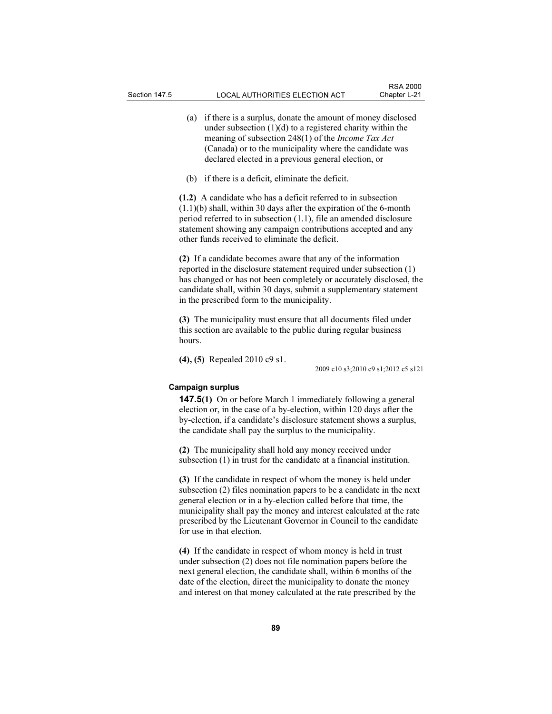- (a) if there is a surplus, donate the amount of money disclosed under subsection  $(1)(d)$  to a registered charity within the meaning of subsection 248(1) of the Income Tax Act (Canada) or to the municipality where the candidate was declared elected in a previous general election, or
- (b) if there is a deficit, eliminate the deficit.

(1.2) A candidate who has a deficit referred to in subsection (1.1)(b) shall, within 30 days after the expiration of the 6-month period referred to in subsection (1.1), file an amended disclosure statement showing any campaign contributions accepted and any other funds received to eliminate the deficit.

(2) If a candidate becomes aware that any of the information reported in the disclosure statement required under subsection (1) has changed or has not been completely or accurately disclosed, the candidate shall, within 30 days, submit a supplementary statement in the prescribed form to the municipality.

(3) The municipality must ensure that all documents filed under this section are available to the public during regular business hours.

(4), (5) Repealed 2010 c9 s1.

2009 c10 s3;2010 c9 s1;2012 c5 s121

#### Campaign surplus

147.5(1) On or before March 1 immediately following a general election or, in the case of a by-election, within 120 days after the by-election, if a candidate's disclosure statement shows a surplus, the candidate shall pay the surplus to the municipality.

(2) The municipality shall hold any money received under subsection (1) in trust for the candidate at a financial institution.

(3) If the candidate in respect of whom the money is held under subsection (2) files nomination papers to be a candidate in the next general election or in a by-election called before that time, the municipality shall pay the money and interest calculated at the rate prescribed by the Lieutenant Governor in Council to the candidate for use in that election.

(4) If the candidate in respect of whom money is held in trust under subsection (2) does not file nomination papers before the next general election, the candidate shall, within 6 months of the date of the election, direct the municipality to donate the money and interest on that money calculated at the rate prescribed by the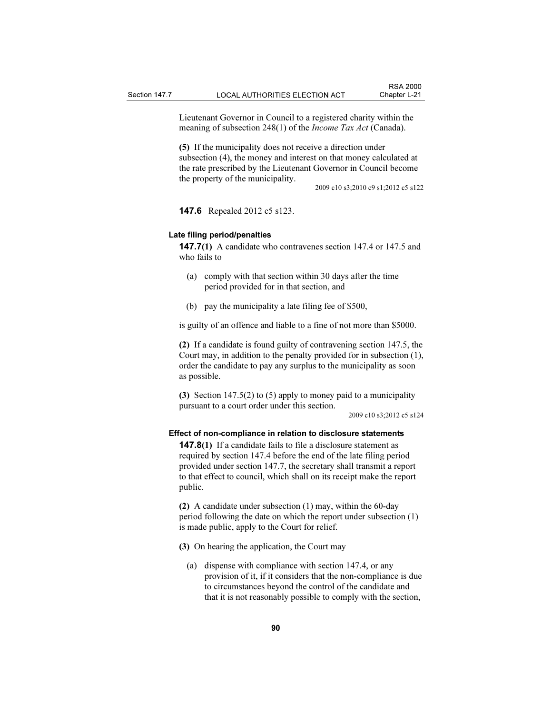Lieutenant Governor in Council to a registered charity within the meaning of subsection 248(1) of the *Income Tax Act* (Canada).

(5) If the municipality does not receive a direction under subsection (4), the money and interest on that money calculated at the rate prescribed by the Lieutenant Governor in Council become the property of the municipality.

2009 c10 s3;2010 c9 s1;2012 c5 s122

147.6 Repealed 2012 c5 s123.

#### Late filing period/penalties

147.7(1) A candidate who contravenes section 147.4 or 147.5 and who fails to

- (a) comply with that section within 30 days after the time period provided for in that section, and
- (b) pay the municipality a late filing fee of \$500,

is guilty of an offence and liable to a fine of not more than \$5000.

(2) If a candidate is found guilty of contravening section 147.5, the Court may, in addition to the penalty provided for in subsection (1), order the candidate to pay any surplus to the municipality as soon as possible.

(3) Section 147.5(2) to (5) apply to money paid to a municipality pursuant to a court order under this section.

2009 c10 s3;2012 c5 s124

#### Effect of non-compliance in relation to disclosure statements

147.8(1) If a candidate fails to file a disclosure statement as required by section 147.4 before the end of the late filing period provided under section 147.7, the secretary shall transmit a report to that effect to council, which shall on its receipt make the report public.

(2) A candidate under subsection (1) may, within the 60-day period following the date on which the report under subsection (1) is made public, apply to the Court for relief.

(3) On hearing the application, the Court may

 (a) dispense with compliance with section 147.4, or any provision of it, if it considers that the non-compliance is due to circumstances beyond the control of the candidate and that it is not reasonably possible to comply with the section,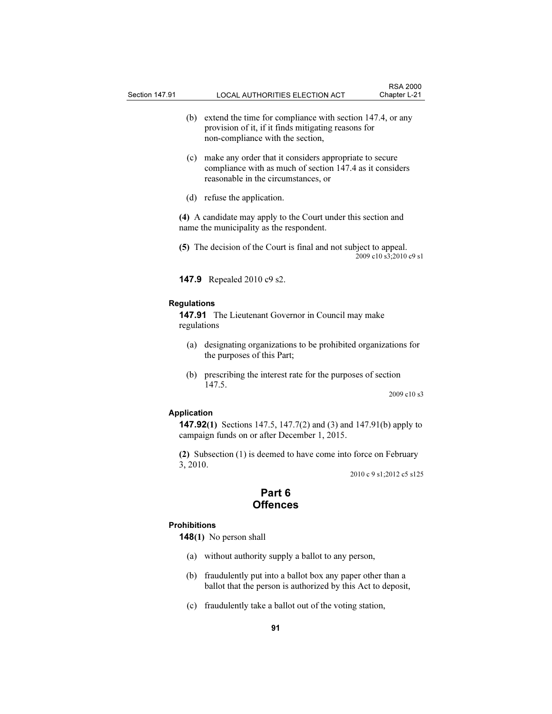- (b) extend the time for compliance with section 147.4, or any provision of it, if it finds mitigating reasons for non-compliance with the section,
- (c) make any order that it considers appropriate to secure compliance with as much of section 147.4 as it considers reasonable in the circumstances, or
- (d) refuse the application.

(4) A candidate may apply to the Court under this section and name the municipality as the respondent.

(5) The decision of the Court is final and not subject to appeal. 2009 c10 s3;2010 c9 s1

147.9 Repealed 2010 c9 s2.

#### Regulations

147.91 The Lieutenant Governor in Council may make regulations

- (a) designating organizations to be prohibited organizations for the purposes of this Part;
- (b) prescribing the interest rate for the purposes of section 147.5.

2009 c10 s3

### Application

147.92(1) Sections 147.5, 147.7(2) and (3) and 147.91(b) apply to campaign funds on or after December 1, 2015.

(2) Subsection (1) is deemed to have come into force on February 3, 2010.

2010 c 9 s1;2012 c5 s125

### Part 6 **Offences**

#### Prohibitions

**148(1)** No person shall

- (a) without authority supply a ballot to any person,
- (b) fraudulently put into a ballot box any paper other than a ballot that the person is authorized by this Act to deposit,
- (c) fraudulently take a ballot out of the voting station,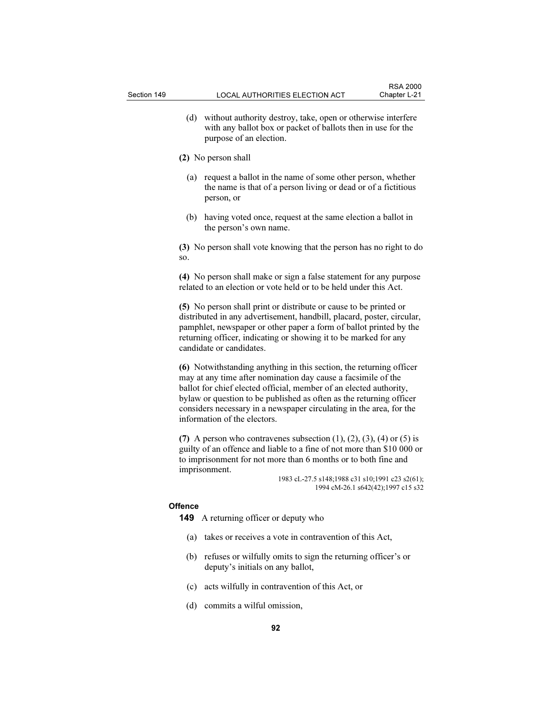(d) without authority destroy, take, open or otherwise interfere with any ballot box or packet of ballots then in use for the purpose of an election.

#### (2) No person shall

- (a) request a ballot in the name of some other person, whether the name is that of a person living or dead or of a fictitious person, or
- (b) having voted once, request at the same election a ballot in the person's own name.

(3) No person shall vote knowing that the person has no right to do so.

(4) No person shall make or sign a false statement for any purpose related to an election or vote held or to be held under this Act.

(5) No person shall print or distribute or cause to be printed or distributed in any advertisement, handbill, placard, poster, circular, pamphlet, newspaper or other paper a form of ballot printed by the returning officer, indicating or showing it to be marked for any candidate or candidates.

(6) Notwithstanding anything in this section, the returning officer may at any time after nomination day cause a facsimile of the ballot for chief elected official, member of an elected authority, bylaw or question to be published as often as the returning officer considers necessary in a newspaper circulating in the area, for the information of the electors.

(7) A person who contravenes subsection  $(1)$ ,  $(2)$ ,  $(3)$ ,  $(4)$  or  $(5)$  is guilty of an offence and liable to a fine of not more than \$10 000 or to imprisonment for not more than 6 months or to both fine and imprisonment.

1983 cL-27.5 s148;1988 c31 s10;1991 c23 s2(61); 1994 cM-26.1 s642(42);1997 c15 s32

#### **Offence**

149 A returning officer or deputy who

- (a) takes or receives a vote in contravention of this Act,
- (b) refuses or wilfully omits to sign the returning officer's or deputy's initials on any ballot,
- (c) acts wilfully in contravention of this Act, or
- (d) commits a wilful omission,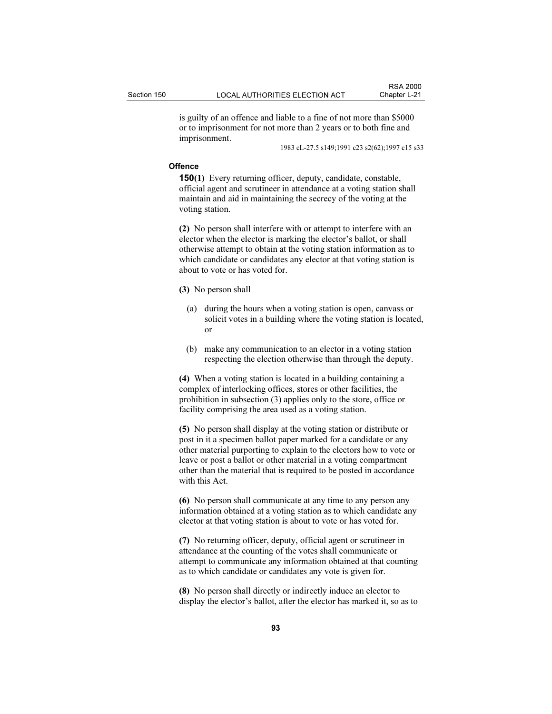is guilty of an offence and liable to a fine of not more than \$5000 or to imprisonment for not more than 2 years or to both fine and imprisonment.

1983 cL-27.5 s149;1991 c23 s2(62);1997 c15 s33

#### **Offence**

150(1) Every returning officer, deputy, candidate, constable, official agent and scrutineer in attendance at a voting station shall maintain and aid in maintaining the secrecy of the voting at the voting station.

(2) No person shall interfere with or attempt to interfere with an elector when the elector is marking the elector's ballot, or shall otherwise attempt to obtain at the voting station information as to which candidate or candidates any elector at that voting station is about to vote or has voted for.

(3) No person shall

- (a) during the hours when a voting station is open, canvass or solicit votes in a building where the voting station is located, or
- (b) make any communication to an elector in a voting station respecting the election otherwise than through the deputy.

(4) When a voting station is located in a building containing a complex of interlocking offices, stores or other facilities, the prohibition in subsection (3) applies only to the store, office or facility comprising the area used as a voting station.

(5) No person shall display at the voting station or distribute or post in it a specimen ballot paper marked for a candidate or any other material purporting to explain to the electors how to vote or leave or post a ballot or other material in a voting compartment other than the material that is required to be posted in accordance with this Act.

(6) No person shall communicate at any time to any person any information obtained at a voting station as to which candidate any elector at that voting station is about to vote or has voted for.

(7) No returning officer, deputy, official agent or scrutineer in attendance at the counting of the votes shall communicate or attempt to communicate any information obtained at that counting as to which candidate or candidates any vote is given for.

(8) No person shall directly or indirectly induce an elector to display the elector's ballot, after the elector has marked it, so as to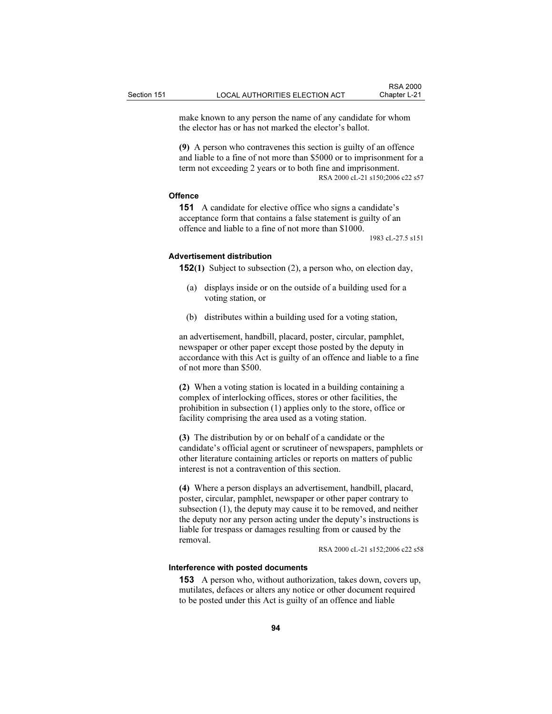make known to any person the name of any candidate for whom the elector has or has not marked the elector's ballot.

(9) A person who contravenes this section is guilty of an offence and liable to a fine of not more than \$5000 or to imprisonment for a term not exceeding 2 years or to both fine and imprisonment. RSA 2000 cL-21 s150;2006 c22 s57

#### **Offence**

151 A candidate for elective office who signs a candidate's acceptance form that contains a false statement is guilty of an offence and liable to a fine of not more than \$1000.

1983 cL-27.5 s151

#### Advertisement distribution

152(1) Subject to subsection (2), a person who, on election day,

- (a) displays inside or on the outside of a building used for a voting station, or
- (b) distributes within a building used for a voting station,

an advertisement, handbill, placard, poster, circular, pamphlet, newspaper or other paper except those posted by the deputy in accordance with this Act is guilty of an offence and liable to a fine of not more than \$500.

(2) When a voting station is located in a building containing a complex of interlocking offices, stores or other facilities, the prohibition in subsection (1) applies only to the store, office or facility comprising the area used as a voting station.

(3) The distribution by or on behalf of a candidate or the candidate's official agent or scrutineer of newspapers, pamphlets or other literature containing articles or reports on matters of public interest is not a contravention of this section.

(4) Where a person displays an advertisement, handbill, placard, poster, circular, pamphlet, newspaper or other paper contrary to subsection (1), the deputy may cause it to be removed, and neither the deputy nor any person acting under the deputy's instructions is liable for trespass or damages resulting from or caused by the removal.

RSA 2000 cL-21 s152;2006 c22 s58

#### Interference with posted documents

153 A person who, without authorization, takes down, covers up, mutilates, defaces or alters any notice or other document required to be posted under this Act is guilty of an offence and liable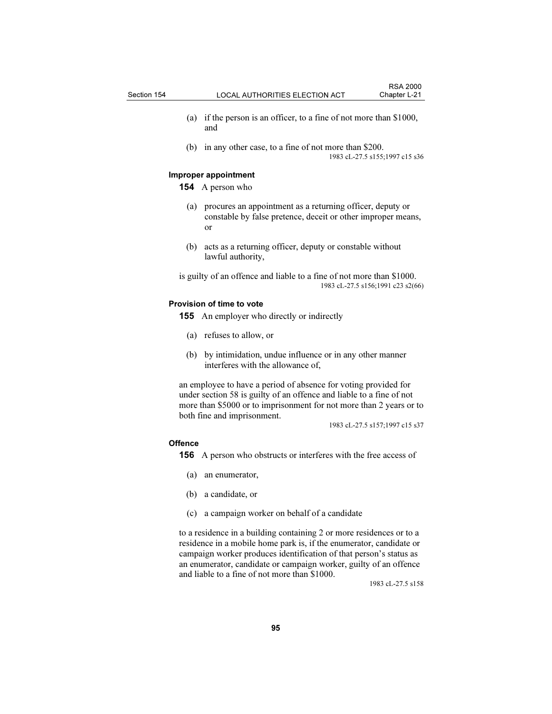- (a) if the person is an officer, to a fine of not more than \$1000, and
- (b) in any other case, to a fine of not more than \$200. 1983 cL-27.5 s155;1997 c15 s36

#### Improper appointment

154 A person who

- (a) procures an appointment as a returning officer, deputy or constable by false pretence, deceit or other improper means, or
- (b) acts as a returning officer, deputy or constable without lawful authority,

is guilty of an offence and liable to a fine of not more than \$1000. 1983 cL-27.5 s156;1991 c23 s2(66)

#### Provision of time to vote

155 An employer who directly or indirectly

- (a) refuses to allow, or
- (b) by intimidation, undue influence or in any other manner interferes with the allowance of,

an employee to have a period of absence for voting provided for under section 58 is guilty of an offence and liable to a fine of not more than \$5000 or to imprisonment for not more than 2 years or to both fine and imprisonment.

1983 cL-27.5 s157;1997 c15 s37

#### **Offence**

156 A person who obstructs or interferes with the free access of

- (a) an enumerator,
- (b) a candidate, or
- (c) a campaign worker on behalf of a candidate

to a residence in a building containing 2 or more residences or to a residence in a mobile home park is, if the enumerator, candidate or campaign worker produces identification of that person's status as an enumerator, candidate or campaign worker, guilty of an offence and liable to a fine of not more than \$1000.

1983 cL-27.5 s158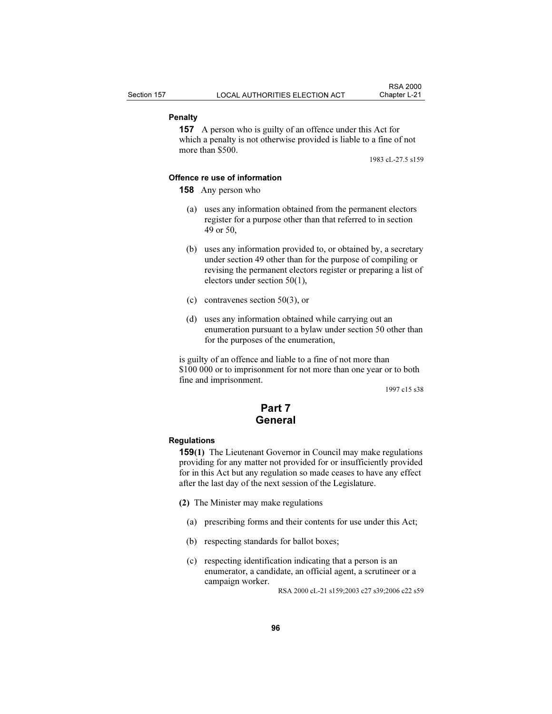#### Penalty

157 A person who is guilty of an offence under this Act for which a penalty is not otherwise provided is liable to a fine of not more than \$500.

1983 cL-27.5 s159

### Offence re use of information

158 Any person who

- (a) uses any information obtained from the permanent electors register for a purpose other than that referred to in section 49 or 50,
- (b) uses any information provided to, or obtained by, a secretary under section 49 other than for the purpose of compiling or revising the permanent electors register or preparing a list of electors under section 50(1),
- (c) contravenes section 50(3), or
- (d) uses any information obtained while carrying out an enumeration pursuant to a bylaw under section 50 other than for the purposes of the enumeration,

is guilty of an offence and liable to a fine of not more than \$100 000 or to imprisonment for not more than one year or to both fine and imprisonment.

1997 c15 s38

# Part 7 General

#### **Regulations**

159(1) The Lieutenant Governor in Council may make regulations providing for any matter not provided for or insufficiently provided for in this Act but any regulation so made ceases to have any effect after the last day of the next session of the Legislature.

- (2) The Minister may make regulations
	- (a) prescribing forms and their contents for use under this Act;
	- (b) respecting standards for ballot boxes;
	- (c) respecting identification indicating that a person is an enumerator, a candidate, an official agent, a scrutineer or a campaign worker.

RSA 2000 cL-21 s159;2003 c27 s39;2006 c22 s59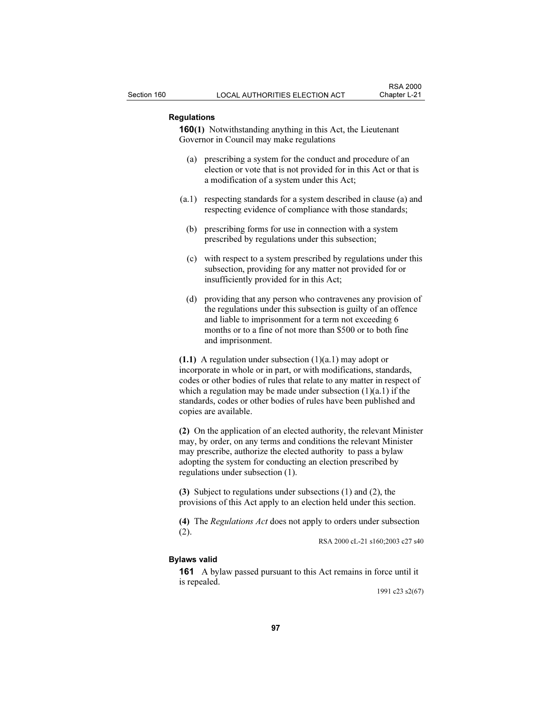#### Regulations

160(1) Notwithstanding anything in this Act, the Lieutenant Governor in Council may make regulations

- (a) prescribing a system for the conduct and procedure of an election or vote that is not provided for in this Act or that is a modification of a system under this Act;
- (a.1) respecting standards for a system described in clause (a) and respecting evidence of compliance with those standards;
	- (b) prescribing forms for use in connection with a system prescribed by regulations under this subsection;
	- (c) with respect to a system prescribed by regulations under this subsection, providing for any matter not provided for or insufficiently provided for in this Act;
	- (d) providing that any person who contravenes any provision of the regulations under this subsection is guilty of an offence and liable to imprisonment for a term not exceeding 6 months or to a fine of not more than \$500 or to both fine and imprisonment.

(1.1) A regulation under subsection  $(1)(a.1)$  may adopt or incorporate in whole or in part, or with modifications, standards, codes or other bodies of rules that relate to any matter in respect of which a regulation may be made under subsection  $(1)(a.1)$  if the standards, codes or other bodies of rules have been published and copies are available.

(2) On the application of an elected authority, the relevant Minister may, by order, on any terms and conditions the relevant Minister may prescribe, authorize the elected authority to pass a bylaw adopting the system for conducting an election prescribed by regulations under subsection (1).

(3) Subject to regulations under subsections (1) and (2), the provisions of this Act apply to an election held under this section.

(4) The Regulations Act does not apply to orders under subsection (2).

RSA 2000 cL-21 s160;2003 c27 s40

### Bylaws valid

161 A bylaw passed pursuant to this Act remains in force until it is repealed.

1991 c23 s2(67)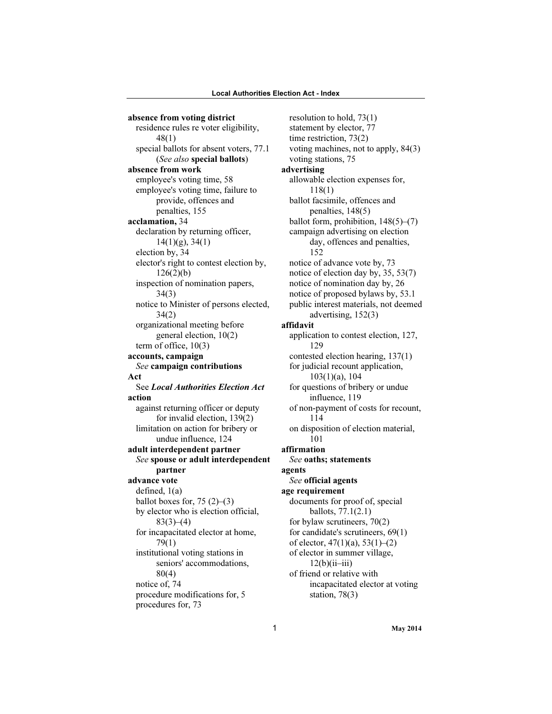absence from voting district residence rules re voter eligibility, 48(1) special ballots for absent voters, 77.1 (See also special ballots) absence from work employee's voting time, 58 employee's voting time, failure to provide, offences and penalties, 155 acclamation, 34 declaration by returning officer, 14(1)(g), 34(1) election by, 34 elector's right to contest election by,  $126(2)(b)$ inspection of nomination papers, 34(3) notice to Minister of persons elected, 34(2) organizational meeting before general election, 10(2) term of office, 10(3) accounts, campaign See campaign contributions Act See Local Authorities Election Act action against returning officer or deputy for invalid election, 139(2) limitation on action for bribery or undue influence, 124 adult interdependent partner See spouse or adult interdependent partner advance vote defined, 1(a) ballot boxes for,  $75(2)-(3)$ by elector who is election official,  $83(3)–(4)$ for incapacitated elector at home, 79(1) institutional voting stations in seniors' accommodations, 80(4) notice of, 74 procedure modifications for, 5 procedures for, 73

resolution to hold, 73(1) statement by elector, 77 time restriction, 73(2) voting machines, not to apply, 84(3) voting stations, 75 advertising allowable election expenses for, 118(1) ballot facsimile, offences and penalties, 148(5) ballot form, prohibition,  $148(5)$ – $(7)$ campaign advertising on election day, offences and penalties, 152 notice of advance vote by, 73 notice of election day by, 35, 53(7) notice of nomination day by, 26 notice of proposed bylaws by, 53.1 public interest materials, not deemed advertising, 152(3) affidavit application to contest election, 127, 129 contested election hearing, 137(1) for judicial recount application, 103(1)(a), 104 for questions of bribery or undue influence, 119 of non-payment of costs for recount, 114 on disposition of election material, 101 affirmation See oaths; statements agents See official agents age requirement documents for proof of, special ballots, 77.1(2.1) for bylaw scrutineers, 70(2) for candidate's scrutineers, 69(1) of elector,  $47(1)(a)$ ,  $53(1)-(2)$ of elector in summer village,  $12(b)(ii-iii)$ of friend or relative with incapacitated elector at voting station, 78(3)

1 May 2014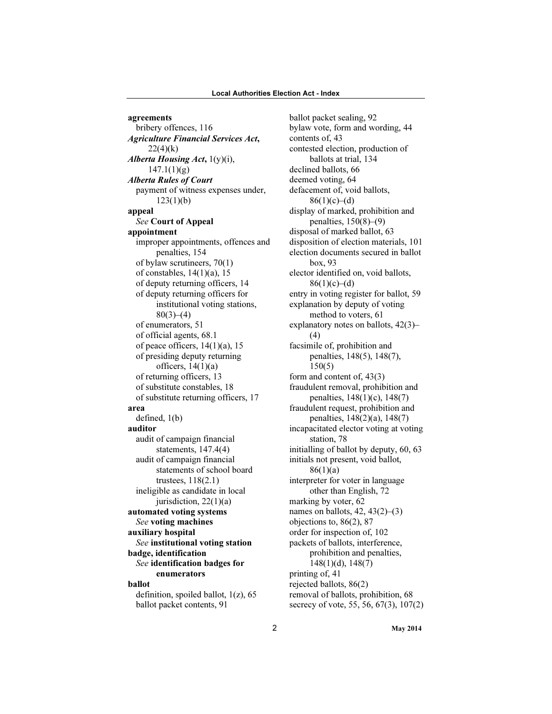agreements bribery offences, 116 Agriculture Financial Services Act,  $22(4)(k)$ Alberta Housing Act, 1(y)(i),  $147.1(1)(g)$ Alberta Rules of Court payment of witness expenses under,  $123(1)(b)$ appeal See Court of Appeal appointment improper appointments, offences and penalties, 154 of bylaw scrutineers, 70(1) of constables, 14(1)(a), 15 of deputy returning officers, 14 of deputy returning officers for institutional voting stations,  $80(3)–(4)$ of enumerators, 51 of official agents, 68.1 of peace officers, 14(1)(a), 15 of presiding deputy returning officers,  $14(1)(a)$ of returning officers, 13 of substitute constables, 18 of substitute returning officers, 17 area defined, 1(b) auditor audit of campaign financial statements, 147.4(4) audit of campaign financial statements of school board trustees, 118(2.1) ineligible as candidate in local jurisdiction, 22(1)(a) automated voting systems See voting machines auxiliary hospital See institutional voting station badge, identification See identification badges for enumerators ballot definition, spoiled ballot, 1(z), 65 ballot packet contents, 91

ballot packet sealing, 92 bylaw vote, form and wording, 44 contents of, 43 contested election, production of ballots at trial, 134 declined ballots, 66 deemed voting, 64 defacement of, void ballots,  $86(1)(c)–(d)$ display of marked, prohibition and penalties, 150(8)–(9) disposal of marked ballot, 63 disposition of election materials, 101 election documents secured in ballot box, 93 elector identified on, void ballots,  $86(1)(c)–(d)$ entry in voting register for ballot, 59 explanation by deputy of voting method to voters, 61 explanatory notes on ballots, 42(3)– (4) facsimile of, prohibition and penalties, 148(5), 148(7), 150(5) form and content of, 43(3) fraudulent removal, prohibition and penalties, 148(1)(c), 148(7) fraudulent request, prohibition and penalties, 148(2)(a), 148(7) incapacitated elector voting at voting station, 78 initialling of ballot by deputy, 60, 63 initials not present, void ballot,  $86(1)(a)$ interpreter for voter in language other than English, 72 marking by voter, 62 names on ballots,  $42, 43(2)$ – $(3)$ objections to, 86(2), 87 order for inspection of, 102 packets of ballots, interference, prohibition and penalties, 148(1)(d), 148(7) printing of, 41 rejected ballots, 86(2) removal of ballots, prohibition, 68 secrecy of vote, 55, 56, 67(3), 107(2)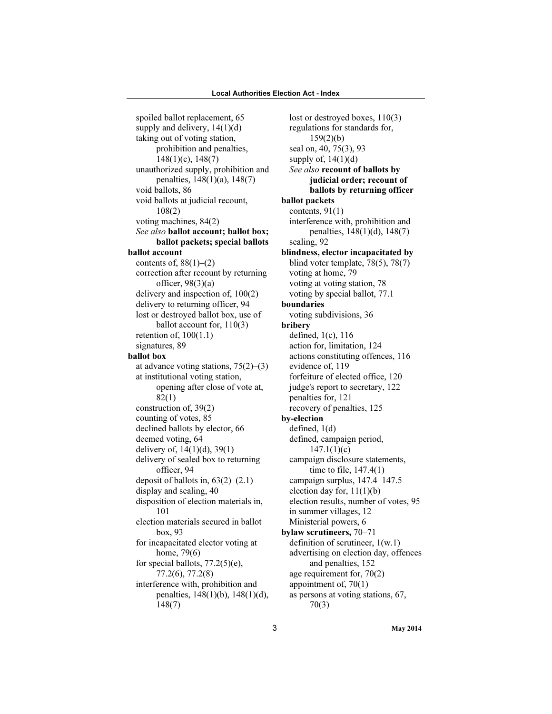spoiled ballot replacement, 65 supply and delivery,  $14(1)(d)$ taking out of voting station, prohibition and penalties, 148(1)(c), 148(7) unauthorized supply, prohibition and penalties, 148(1)(a), 148(7) void ballots, 86 void ballots at judicial recount, 108(2) voting machines, 84(2) See also ballot account; ballot box; ballot packets; special ballots ballot account contents of,  $88(1)$ – $(2)$ correction after recount by returning officer,  $98(3)(a)$ delivery and inspection of, 100(2) delivery to returning officer, 94 lost or destroyed ballot box, use of ballot account for, 110(3) retention of,  $100(1.1)$ signatures, 89 ballot box at advance voting stations, 75(2)–(3) at institutional voting station, opening after close of vote at, 82(1) construction of, 39(2) counting of votes, 85 declined ballots by elector, 66 deemed voting, 64 delivery of, 14(1)(d), 39(1) delivery of sealed box to returning officer, 94 deposit of ballots in,  $63(2)$ – $(2.1)$ display and sealing, 40 disposition of election materials in, 101 election materials secured in ballot box, 93 for incapacitated elector voting at home, 79(6) for special ballots, 77.2(5)(e), 77.2(6), 77.2(8) interference with, prohibition and penalties, 148(1)(b), 148(1)(d), 148(7)

lost or destroyed boxes, 110(3) regulations for standards for, 159(2)(b) seal on, 40, 75(3), 93 supply of,  $14(1)(d)$ See also recount of ballots by judicial order; recount of ballots by returning officer ballot packets contents,  $91(1)$ interference with, prohibition and penalties, 148(1)(d), 148(7) sealing, 92 blindness, elector incapacitated by blind voter template, 78(5), 78(7) voting at home, 79 voting at voting station, 78 voting by special ballot, 77.1 boundaries voting subdivisions, 36 bribery defined, 1(c), 116 action for, limitation, 124 actions constituting offences, 116 evidence of, 119 forfeiture of elected office, 120 judge's report to secretary, 122 penalties for, 121 recovery of penalties, 125 by-election defined, 1(d) defined, campaign period,  $147.1(1)(c)$ campaign disclosure statements, time to file, 147.4(1) campaign surplus, 147.4–147.5 election day for, 11(1)(b) election results, number of votes, 95 in summer villages, 12 Ministerial powers, 6 bylaw scrutineers, 70–71 definition of scrutineer, 1(w.1) advertising on election day, offences and penalties, 152 age requirement for, 70(2) appointment of, 70(1) as persons at voting stations, 67, 70(3)

3 May 2014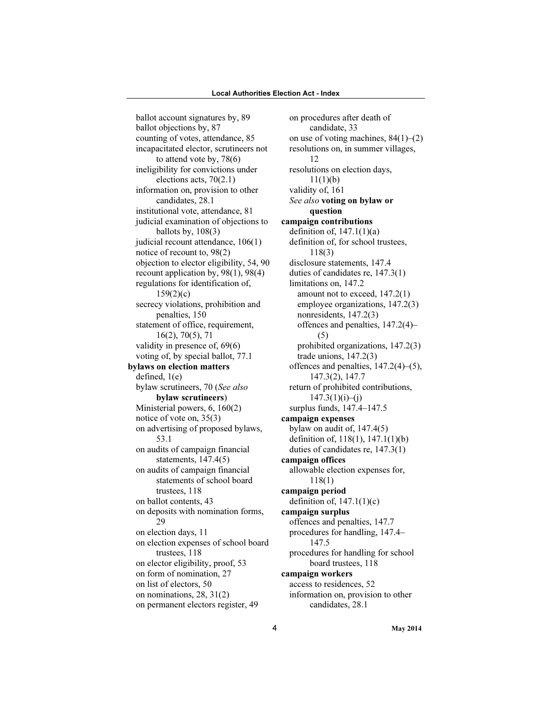ballot account signatures by, 89 ballot objections by, 87 counting of votes, attendance, 85 incapacitated elector, scrutineers not to attend vote by, 78(6) ineligibility for convictions under elections acts, 70(2.1) information on, provision to other candidates, 28.1 institutional vote, attendance, 81 judicial examination of objections to ballots by, 108(3) judicial recount attendance, 106(1) notice of recount to, 98(2) objection to elector eligibility, 54, 90 recount application by, 98(1), 98(4) regulations for identification of, 159(2)(c) secrecy violations, prohibition and penalties, 150 statement of office, requirement, 16(2), 70(5), 71 validity in presence of, 69(6) voting of, by special ballot, 77.1 bylaws on election matters defined, 1(e) bylaw scrutineers, 70 (See also bylaw scrutineers) Ministerial powers, 6, 160(2) notice of vote on, 35(3) on advertising of proposed bylaws, 53.1 on audits of campaign financial statements, 147.4(5) on audits of campaign financial statements of school board trustees, 118 on ballot contents, 43 on deposits with nomination forms, 29 on election days, 11 on election expenses of school board trustees, 118 on elector eligibility, proof, 53 on form of nomination, 27 on list of electors, 50 on nominations, 28, 31(2) on permanent electors register, 49

on procedures after death of candidate, 33 on use of voting machines,  $84(1)$ – $(2)$ resolutions on, in summer villages, 12 resolutions on election days,  $11(1)(b)$ validity of, 161 See also voting on bylaw or question campaign contributions definition of,  $147.1(1)(a)$ definition of, for school trustees, 118(3) disclosure statements, 147.4 duties of candidates re, 147.3(1) limitations on, 147.2 amount not to exceed, 147.2(1) employee organizations, 147.2(3) nonresidents, 147.2(3) offences and penalties, 147.2(4)– (5) prohibited organizations, 147.2(3) trade unions, 147.2(3) offences and penalties, 147.2(4)–(5), 147.3(2), 147.7 return of prohibited contributions,  $147.3(1)(i)–(j)$ surplus funds, 147.4–147.5 campaign expenses bylaw on audit of, 147.4(5) definition of, 118(1), 147.1(1)(b) duties of candidates re, 147.3(1) campaign offices allowable election expenses for, 118(1) campaign period definition of,  $147.1(1)(c)$ campaign surplus offences and penalties, 147.7 procedures for handling, 147.4– 147.5 procedures for handling for school board trustees, 118 campaign workers access to residences, 52 information on, provision to other candidates, 28.1

4 May 2014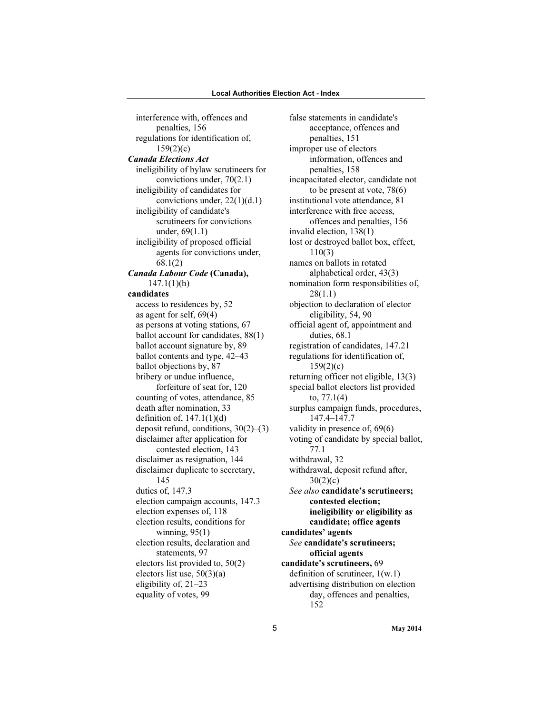interference with, offences and penalties, 156 regulations for identification of, 159(2)(c) Canada Elections Act ineligibility of bylaw scrutineers for convictions under, 70(2.1) ineligibility of candidates for convictions under, 22(1)(d.1) ineligibility of candidate's scrutineers for convictions under, 69(1.1) ineligibility of proposed official agents for convictions under, 68.1(2) Canada Labour Code (Canada), 147.1(1)(h) candidates access to residences by, 52 as agent for self, 69(4) as persons at voting stations, 67 ballot account for candidates, 88(1) ballot account signature by, 89 ballot contents and type, 42–43 ballot objections by, 87 bribery or undue influence, forfeiture of seat for, 120 counting of votes, attendance, 85 death after nomination, 33 definition of,  $147.1(1)(d)$ deposit refund, conditions, 30(2)–(3) disclaimer after application for contested election, 143 disclaimer as resignation, 144 disclaimer duplicate to secretary, 145 duties of, 147.3 election campaign accounts, 147.3 election expenses of, 118 election results, conditions for winning, 95(1) election results, declaration and statements, 97 electors list provided to, 50(2) electors list use, 50(3)(a) eligibility of, 21–23 equality of votes, 99

false statements in candidate's acceptance, offences and penalties, 151 improper use of electors information, offences and penalties, 158 incapacitated elector, candidate not to be present at vote, 78(6) institutional vote attendance, 81 interference with free access, offences and penalties, 156 invalid election, 138(1) lost or destroyed ballot box, effect, 110(3) names on ballots in rotated alphabetical order, 43(3) nomination form responsibilities of, 28(1.1) objection to declaration of elector eligibility, 54, 90 official agent of, appointment and duties, 68.1 registration of candidates, 147.21 regulations for identification of,  $159(2)(c)$ returning officer not eligible, 13(3) special ballot electors list provided to, 77.1(4) surplus campaign funds, procedures, 147.4–147.7 validity in presence of, 69(6) voting of candidate by special ballot, 77.1 withdrawal, 32 withdrawal, deposit refund after,  $30(2)(c)$ See also candidate's scrutineers; contested election; ineligibility or eligibility as candidate; office agents candidates' agents See candidate's scrutineers; official agents candidate's scrutineers, 69 definition of scrutineer, 1(w.1) advertising distribution on election day, offences and penalties, 152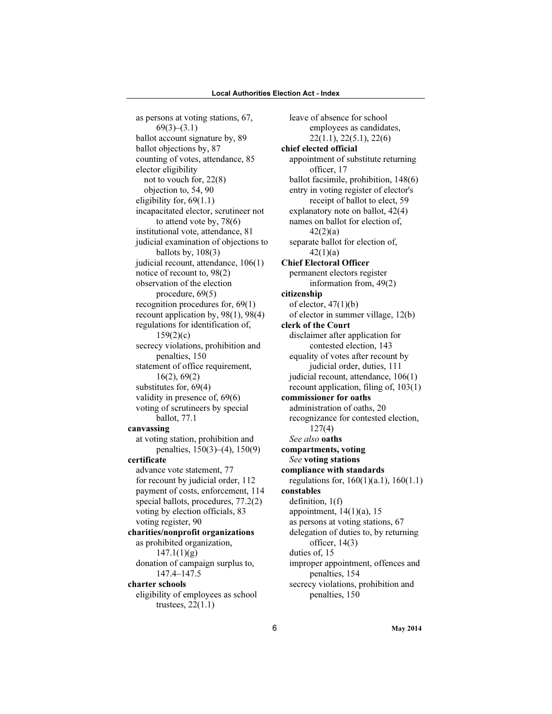as persons at voting stations, 67,  $69(3)–(3.1)$ ballot account signature by, 89 ballot objections by, 87 counting of votes, attendance, 85 elector eligibility not to vouch for, 22(8) objection to, 54, 90 eligibility for, 69(1.1) incapacitated elector, scrutineer not to attend vote by, 78(6) institutional vote, attendance, 81 judicial examination of objections to ballots by,  $108(3)$ judicial recount, attendance, 106(1) notice of recount to, 98(2) observation of the election procedure, 69(5) recognition procedures for, 69(1) recount application by, 98(1), 98(4) regulations for identification of,  $159(2)(c)$ secrecy violations, prohibition and penalties, 150 statement of office requirement, 16(2), 69(2) substitutes for, 69(4) validity in presence of, 69(6) voting of scrutineers by special ballot, 77.1 canvassing at voting station, prohibition and penalties, 150(3)–(4), 150(9) certificate advance vote statement, 77 for recount by judicial order, 112 payment of costs, enforcement, 114 special ballots, procedures, 77.2(2) voting by election officials, 83 voting register, 90 charities/nonprofit organizations as prohibited organization,  $147.1(1)(g)$ donation of campaign surplus to, 147.4–147.5 charter schools eligibility of employees as school trustees, 22(1.1)

leave of absence for school employees as candidates, 22(1.1), 22(5.1), 22(6) chief elected official appointment of substitute returning officer, 17 ballot facsimile, prohibition, 148(6) entry in voting register of elector's receipt of ballot to elect, 59 explanatory note on ballot, 42(4) names on ballot for election of,  $42(2)(a)$ separate ballot for election of, 42(1)(a) Chief Electoral Officer permanent electors register information from, 49(2) citizenship of elector,  $47(1)(b)$ of elector in summer village, 12(b) clerk of the Court disclaimer after application for contested election, 143 equality of votes after recount by judicial order, duties, 111 judicial recount, attendance, 106(1) recount application, filing of, 103(1) commissioner for oaths administration of oaths, 20 recognizance for contested election, 127(4) See also oaths compartments, voting See voting stations compliance with standards regulations for, 160(1)(a.1), 160(1.1) constables definition, 1(f) appointment,  $14(1)(a)$ , 15 as persons at voting stations, 67 delegation of duties to, by returning officer, 14(3) duties of, 15 improper appointment, offences and penalties, 154 secrecy violations, prohibition and penalties, 150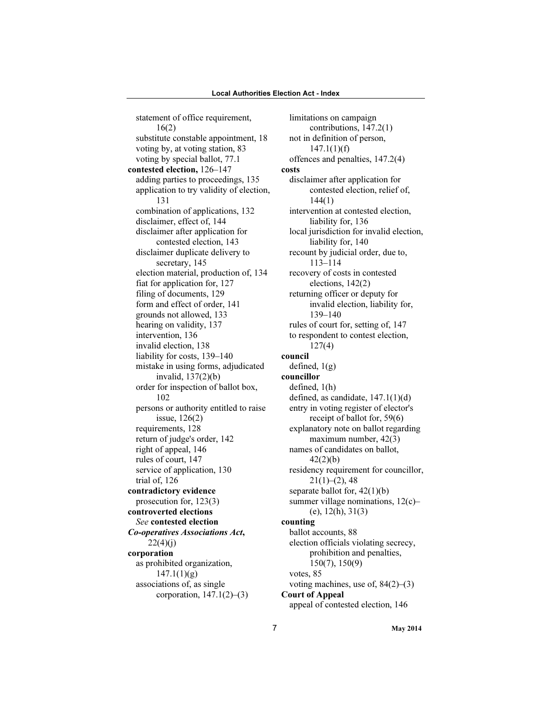statement of office requirement, 16(2) substitute constable appointment, 18 voting by, at voting station, 83 voting by special ballot, 77.1 contested election, 126–147 adding parties to proceedings, 135 application to try validity of election, 131 combination of applications, 132 disclaimer, effect of, 144 disclaimer after application for contested election, 143 disclaimer duplicate delivery to secretary, 145 election material, production of, 134 fiat for application for, 127 filing of documents, 129 form and effect of order, 141 grounds not allowed, 133 hearing on validity, 137 intervention, 136 invalid election, 138 liability for costs, 139–140 mistake in using forms, adjudicated invalid, 137(2)(b) order for inspection of ballot box, 102 persons or authority entitled to raise issue, 126(2) requirements, 128 return of judge's order, 142 right of appeal, 146 rules of court, 147 service of application, 130 trial of, 126 contradictory evidence prosecution for, 123(3) controverted elections See contested election Co-operatives Associations Act,  $22(4)(i)$ corporation as prohibited organization,  $147.1(1)(g)$ associations of, as single corporation,  $147.1(2)–(3)$ 

limitations on campaign contributions, 147.2(1) not in definition of person,  $147.1(1)(f)$ offences and penalties, 147.2(4) costs disclaimer after application for contested election, relief of, 144(1) intervention at contested election, liability for, 136 local jurisdiction for invalid election, liability for, 140 recount by judicial order, due to, 113–114 recovery of costs in contested elections, 142(2) returning officer or deputy for invalid election, liability for, 139–140 rules of court for, setting of, 147 to respondent to contest election, 127(4) council defined,  $1(g)$ councillor defined, 1(h) defined, as candidate, 147.1(1)(d) entry in voting register of elector's receipt of ballot for, 59(6) explanatory note on ballot regarding maximum number, 42(3) names of candidates on ballot, 42(2)(b) residency requirement for councillor,  $21(1)–(2)$ , 48 separate ballot for, 42(1)(b) summer village nominations,  $12(c)$ – (e), 12(h), 31(3) counting ballot accounts, 88 election officials violating secrecy, prohibition and penalties, 150(7), 150(9) votes, 85 voting machines, use of, 84(2)–(3) Court of Appeal appeal of contested election, 146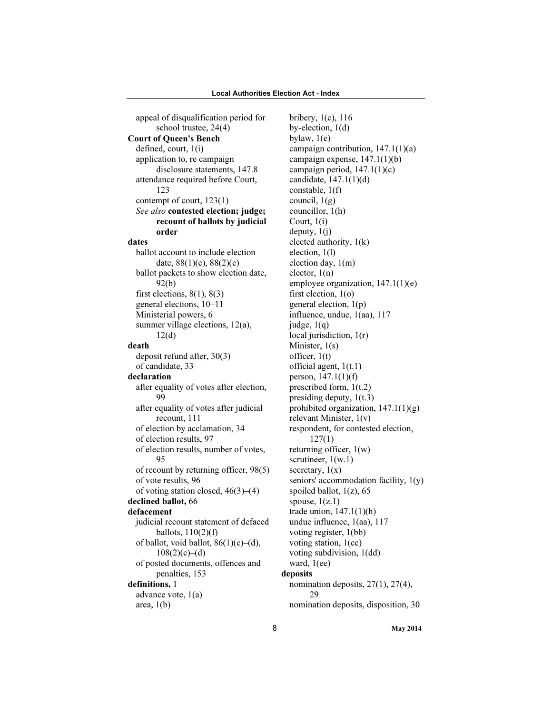appeal of disqualification period for school trustee, 24(4) Court of Queen's Bench defined, court, 1(i) application to, re campaign disclosure statements, 147.8 attendance required before Court, 123 contempt of court, 123(1) See also contested election; judge; recount of ballots by judicial order dates ballot account to include election date, 88(1)(c), 88(2)(c) ballot packets to show election date, 92(b) first elections,  $8(1)$ ,  $8(3)$ general elections, 10–11 Ministerial powers, 6 summer village elections, 12(a), 12(d) death deposit refund after, 30(3) of candidate, 33 declaration after equality of votes after election, 99 after equality of votes after judicial recount, 111 of election by acclamation, 34 of election results, 97 of election results, number of votes, 95 of recount by returning officer, 98(5) of vote results, 96 of voting station closed, 46(3)–(4) declined ballot, 66 defacement judicial recount statement of defaced ballots,  $110(2)(f)$ of ballot, void ballot,  $86(1)(c)$ –(d),  $108(2)(c)–(d)$ of posted documents, offences and penalties, 153 definitions, 1 advance vote, 1(a) area,  $1(b)$ 

bribery, 1(c), 116 by-election, 1(d) bylaw, 1(e) campaign contribution, 147.1(1)(a) campaign expense, 147.1(1)(b) campaign period,  $147.1(1)(c)$ candidate, 147.1(1)(d) constable, 1(f) council,  $1(g)$ councillor, 1(h) Court, 1(i) deputy, 1(j) elected authority, 1(k) election, 1(l) election day, 1(m) elector, 1(n) employee organization, 147.1(1)(e) first election, 1(o) general election, 1(p) influence, undue, 1(aa), 117 judge,  $1(q)$ local jurisdiction,  $1(r)$ Minister, 1(s) officer, 1(t) official agent, 1(t.1) person, 147.1(1)(f) prescribed form, 1(t.2) presiding deputy, 1(t.3) prohibited organization,  $147.1(1)(g)$ relevant Minister, 1(v) respondent, for contested election, 127(1) returning officer, 1(w) scrutineer,  $1(w.1)$ secretary,  $1(x)$ seniors' accommodation facility, 1(y) spoiled ballot,  $1(z)$ , 65 spouse,  $1(z.1)$ trade union, 147.1(1)(h) undue influence, 1(aa), 117 voting register, 1(bb) voting station, 1(cc) voting subdivision, 1(dd) ward, 1(ee) deposits nomination deposits, 27(1), 27(4),  $29$ nomination deposits, disposition, 30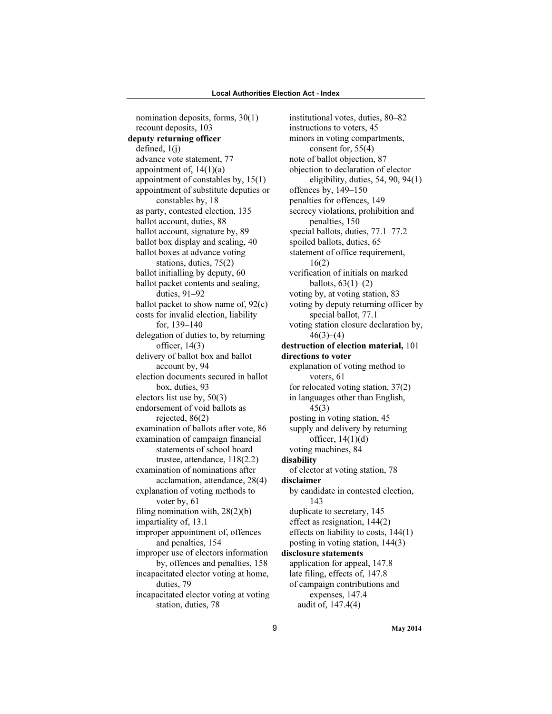nomination deposits, forms, 30(1) recount deposits, 103 deputy returning officer defined, 1(j) advance vote statement, 77 appointment of,  $14(1)(a)$ appointment of constables by, 15(1) appointment of substitute deputies or constables by, 18 as party, contested election, 135 ballot account, duties, 88 ballot account, signature by, 89 ballot box display and sealing, 40 ballot boxes at advance voting stations, duties, 75(2) ballot initialling by deputy, 60 ballot packet contents and sealing, duties, 91–92 ballot packet to show name of, 92(c) costs for invalid election, liability for, 139–140 delegation of duties to, by returning officer, 14(3) delivery of ballot box and ballot account by, 94 election documents secured in ballot box, duties, 93 electors list use by, 50(3) endorsement of void ballots as rejected, 86(2) examination of ballots after vote, 86 examination of campaign financial statements of school board trustee, attendance, 118(2.2) examination of nominations after acclamation, attendance, 28(4) explanation of voting methods to voter by, 61 filing nomination with, 28(2)(b) impartiality of, 13.1 improper appointment of, offences and penalties, 154 improper use of electors information by, offences and penalties, 158 incapacitated elector voting at home, duties, 79 incapacitated elector voting at voting station, duties, 78

institutional votes, duties, 80–82 instructions to voters, 45 minors in voting compartments, consent for, 55(4) note of ballot objection, 87 objection to declaration of elector eligibility, duties, 54, 90, 94(1) offences by, 149–150 penalties for offences, 149 secrecy violations, prohibition and penalties, 150 special ballots, duties, 77.1–77.2 spoiled ballots, duties, 65 statement of office requirement, 16(2) verification of initials on marked ballots,  $63(1)–(2)$ voting by, at voting station, 83 voting by deputy returning officer by special ballot, 77.1 voting station closure declaration by,  $46(3)–(4)$ destruction of election material, 101 directions to voter explanation of voting method to voters, 61 for relocated voting station, 37(2) in languages other than English, 45(3) posting in voting station, 45 supply and delivery by returning officer,  $14(1)(d)$ voting machines, 84 disability of elector at voting station, 78 disclaimer by candidate in contested election, 143 duplicate to secretary, 145 effect as resignation, 144(2) effects on liability to costs, 144(1) posting in voting station, 144(3) disclosure statements application for appeal, 147.8 late filing, effects of, 147.8 of campaign contributions and expenses, 147.4 audit of, 147.4(4)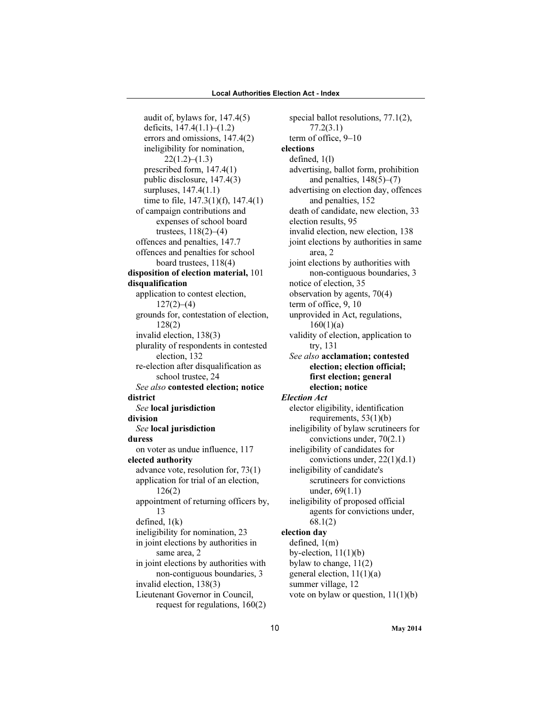audit of, bylaws for, 147.4(5) deficits, 147.4(1.1)–(1.2) errors and omissions, 147.4(2) ineligibility for nomination,  $22(1.2)–(1.3)$ prescribed form, 147.4(1) public disclosure, 147.4(3) surpluses, 147.4(1.1) time to file, 147.3(1)(f), 147.4(1) of campaign contributions and expenses of school board trustees, 118(2)–(4) offences and penalties, 147.7 offences and penalties for school board trustees, 118(4) disposition of election material, 101 disqualification application to contest election,  $127(2)–(4)$ grounds for, contestation of election, 128(2) invalid election, 138(3) plurality of respondents in contested election, 132 re-election after disqualification as school trustee, 24 See also contested election; notice district See local jurisdiction division See local jurisdiction duress on voter as undue influence, 117 elected authority advance vote, resolution for, 73(1) application for trial of an election, 126(2) appointment of returning officers by, 13 defined, 1(k) ineligibility for nomination, 23 in joint elections by authorities in same area, 2 in joint elections by authorities with non-contiguous boundaries, 3 invalid election, 138(3) Lieutenant Governor in Council, request for regulations, 160(2)

special ballot resolutions, 77.1(2), 77.2(3.1) term of office, 9–10 elections defined, 1(l) advertising, ballot form, prohibition and penalties,  $148(5)$ – $(7)$ advertising on election day, offences and penalties, 152 death of candidate, new election, 33 election results, 95 invalid election, new election, 138 joint elections by authorities in same area, 2 joint elections by authorities with non-contiguous boundaries, 3 notice of election, 35 observation by agents, 70(4) term of office, 9, 10 unprovided in Act, regulations,  $160(1)(a)$ validity of election, application to try, 131 See also acclamation; contested election; election official; first election; general election; notice Election Act elector eligibility, identification requirements, 53(1)(b) ineligibility of bylaw scrutineers for convictions under, 70(2.1) ineligibility of candidates for convictions under, 22(1)(d.1) ineligibility of candidate's scrutineers for convictions under, 69(1.1) ineligibility of proposed official agents for convictions under, 68.1(2) election day defined, 1(m) by-election,  $11(1)(b)$ bylaw to change, 11(2) general election, 11(1)(a) summer village, 12 vote on bylaw or question, 11(1)(b)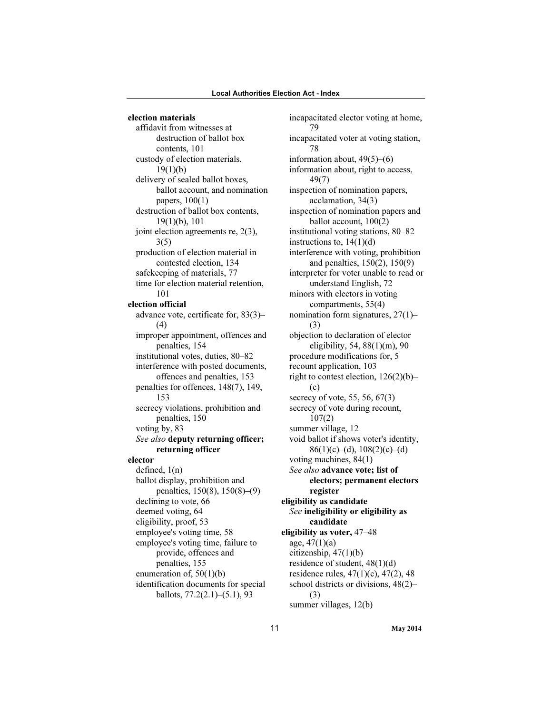election materials affidavit from witnesses at destruction of ballot box contents, 101 custody of election materials,  $19(1)(b)$ delivery of sealed ballot boxes, ballot account, and nomination papers, 100(1) destruction of ballot box contents, 19(1)(b), 101 joint election agreements re, 2(3), 3(5) production of election material in contested election, 134 safekeeping of materials, 77 time for election material retention, 101 election official advance vote, certificate for, 83(3)– (4) improper appointment, offences and penalties, 154 institutional votes, duties, 80–82 interference with posted documents, offences and penalties, 153 penalties for offences, 148(7), 149, 153 secrecy violations, prohibition and penalties, 150 voting by, 83 See also deputy returning officer; returning officer elector defined, 1(n) ballot display, prohibition and penalties, 150(8), 150(8)–(9) declining to vote, 66 deemed voting, 64 eligibility, proof, 53 employee's voting time, 58 employee's voting time, failure to provide, offences and penalties, 155 enumeration of,  $50(1)(b)$ identification documents for special ballots, 77.2(2.1)–(5.1), 93

incapacitated elector voting at home, 79 incapacitated voter at voting station, 78 information about, 49(5)–(6) information about, right to access, 49(7) inspection of nomination papers, acclamation, 34(3) inspection of nomination papers and ballot account, 100(2) institutional voting stations, 80–82 instructions to,  $14(1)(d)$ interference with voting, prohibition and penalties, 150(2), 150(9) interpreter for voter unable to read or understand English, 72 minors with electors in voting compartments, 55(4) nomination form signatures, 27(1)– (3) objection to declaration of elector eligibility, 54, 88(1)(m), 90 procedure modifications for, 5 recount application, 103 right to contest election, 126(2)(b)– (c) secrecy of vote, 55, 56, 67(3) secrecy of vote during recount, 107(2) summer village, 12 void ballot if shows voter's identity,  $86(1)(c)–(d), 108(2)(c)–(d)$ voting machines, 84(1) See also advance vote; list of electors; permanent electors register eligibility as candidate See ineligibility or eligibility as candidate eligibility as voter, 47–48 age,  $47(1)(a)$ citizenship, 47(1)(b) residence of student, 48(1)(d) residence rules, 47(1)(c), 47(2), 48 school districts or divisions, 48(2)– (3) summer villages, 12(b)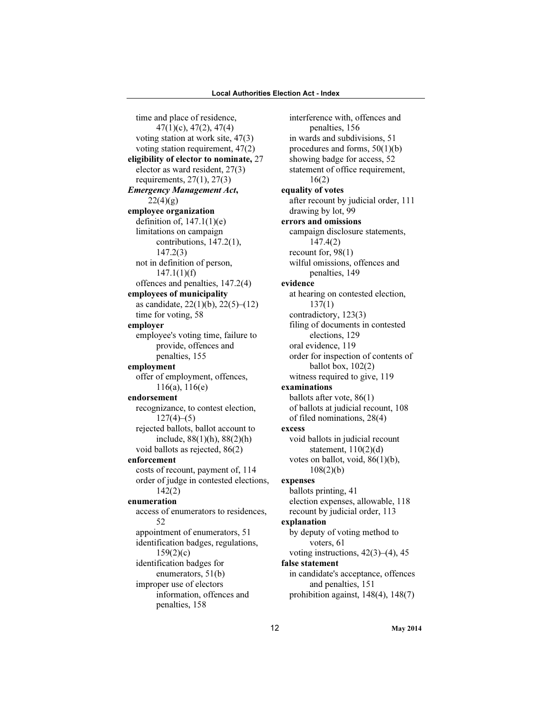time and place of residence, 47(1)(c), 47(2), 47(4) voting station at work site, 47(3) voting station requirement, 47(2) eligibility of elector to nominate, 27 elector as ward resident, 27(3) requirements, 27(1), 27(3) Emergency Management Act,  $22(4)(g)$ employee organization definition of,  $147.1(1)(e)$ limitations on campaign contributions, 147.2(1), 147.2(3) not in definition of person,  $147.1(1)(f)$ offences and penalties, 147.2(4) employees of municipality as candidate,  $22(1)(b)$ ,  $22(5)–(12)$ time for voting, 58 employer employee's voting time, failure to provide, offences and penalties, 155 employment offer of employment, offences, 116(a), 116(e) endorsement recognizance, to contest election,  $127(4)–(5)$ rejected ballots, ballot account to include,  $88(1)(h)$ ,  $88(2)(h)$ void ballots as rejected, 86(2) enforcement costs of recount, payment of, 114 order of judge in contested elections, 142(2) enumeration access of enumerators to residences, 52 appointment of enumerators, 51 identification badges, regulations,  $159(2)(c)$ identification badges for enumerators, 51(b) improper use of electors information, offences and penalties, 158

interference with, offences and penalties, 156 in wards and subdivisions, 51 procedures and forms, 50(1)(b) showing badge for access, 52 statement of office requirement, 16(2) equality of votes after recount by judicial order, 111 drawing by lot, 99 errors and omissions campaign disclosure statements, 147.4(2) recount for, 98(1) wilful omissions, offences and penalties, 149 evidence at hearing on contested election, 137(1) contradictory, 123(3) filing of documents in contested elections, 129 oral evidence, 119 order for inspection of contents of ballot box,  $102(2)$ witness required to give, 119 examinations ballots after vote, 86(1) of ballots at judicial recount, 108 of filed nominations, 28(4) excess void ballots in judicial recount statement,  $110(2)(d)$ votes on ballot, void, 86(1)(b), 108(2)(b) expenses ballots printing, 41 election expenses, allowable, 118 recount by judicial order, 113 explanation by deputy of voting method to voters, 61 voting instructions,  $42(3)$ – $(4)$ ,  $45$ false statement in candidate's acceptance, offences and penalties, 151 prohibition against, 148(4), 148(7)

12 May 2014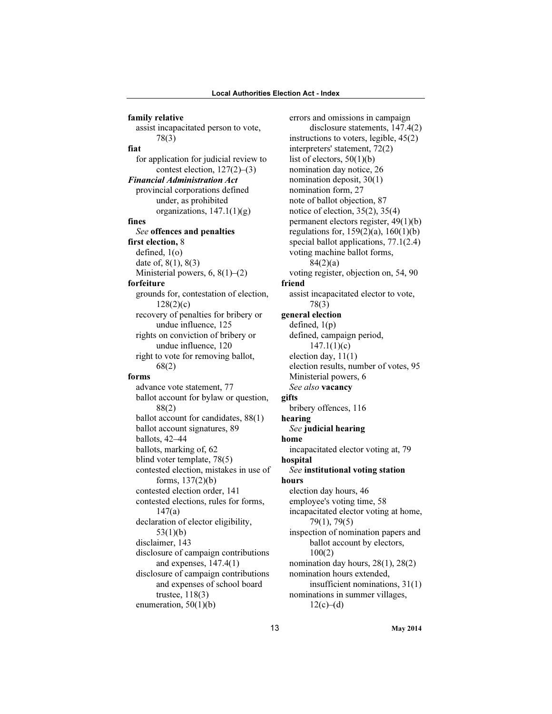family relative assist incapacitated person to vote, 78(3) fiat for application for judicial review to contest election, 127(2)–(3) Financial Administration Act provincial corporations defined under, as prohibited organizations,  $147.1(1)(g)$ fines See offences and penalties first election, 8 defined, 1(o) date of, 8(1), 8(3) Ministerial powers, 6, 8(1)–(2) forfeiture grounds for, contestation of election, 128(2)(c) recovery of penalties for bribery or undue influence, 125 rights on conviction of bribery or undue influence, 120 right to vote for removing ballot, 68(2) forms advance vote statement, 77 ballot account for bylaw or question, 88(2) ballot account for candidates, 88(1) ballot account signatures, 89 ballots, 42–44 ballots, marking of, 62 blind voter template, 78(5) contested election, mistakes in use of forms, 137(2)(b) contested election order, 141 contested elections, rules for forms, 147(a) declaration of elector eligibility, 53(1)(b) disclaimer, 143 disclosure of campaign contributions and expenses, 147.4(1) disclosure of campaign contributions and expenses of school board trustee, 118(3) enumeration, 50(1)(b)

errors and omissions in campaign disclosure statements, 147.4(2) instructions to voters, legible, 45(2) interpreters' statement, 72(2) list of electors,  $50(1)(b)$ nomination day notice, 26 nomination deposit, 30(1) nomination form, 27 note of ballot objection, 87 notice of election, 35(2), 35(4) permanent electors register, 49(1)(b) regulations for, 159(2)(a), 160(1)(b) special ballot applications, 77.1(2.4) voting machine ballot forms, 84(2)(a) voting register, objection on, 54, 90 friend assist incapacitated elector to vote, 78(3) general election defined,  $1(p)$ defined, campaign period,  $147.1(1)(c)$ election day, 11(1) election results, number of votes, 95 Ministerial powers, 6 See also **vacancy** gifts bribery offences, 116 hearing See judicial hearing home incapacitated elector voting at, 79 hospital See institutional voting station hours election day hours, 46 employee's voting time, 58 incapacitated elector voting at home, 79(1), 79(5) inspection of nomination papers and ballot account by electors, 100(2) nomination day hours, 28(1), 28(2) nomination hours extended, insufficient nominations, 31(1) nominations in summer villages,  $12(c)–(d)$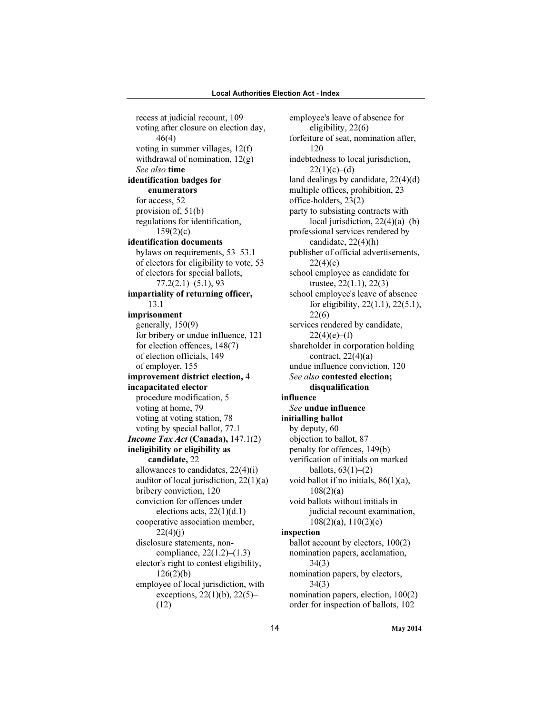recess at judicial recount, 109 voting after closure on election day, 46(4) voting in summer villages, 12(f) withdrawal of nomination, 12(g) See also time identification badges for enumerators for access, 52 provision of, 51(b) regulations for identification,  $159(2)(c)$ identification documents bylaws on requirements, 53–53.1 of electors for eligibility to vote, 53 of electors for special ballots, 77.2(2.1)–(5.1), 93 impartiality of returning officer, 13.1 imprisonment generally, 150(9) for bribery or undue influence, 121 for election offences, 148(7) of election officials, 149 of employer, 155 improvement district election, 4 incapacitated elector procedure modification, 5 voting at home, 79 voting at voting station, 78 voting by special ballot, 77.1 Income Tax Act (Canada), 147.1(2) ineligibility or eligibility as candidate, 22 allowances to candidates, 22(4)(i) auditor of local jurisdiction, 22(1)(a) bribery conviction, 120 conviction for offences under elections acts,  $22(1)(d.1)$ cooperative association member,  $22(4)(i)$ disclosure statements, noncompliance, 22(1.2)–(1.3) elector's right to contest eligibility,  $126(2)(b)$ employee of local jurisdiction, with exceptions, 22(1)(b), 22(5)– (12)

employee's leave of absence for eligibility, 22(6) forfeiture of seat, nomination after, 120 indebtedness to local jurisdiction,  $22(1)(c)–(d)$ land dealings by candidate, 22(4)(d) multiple offices, prohibition, 23 office-holders, 23(2) party to subsisting contracts with local jurisdiction, 22(4)(a)–(b) professional services rendered by candidate, 22(4)(h) publisher of official advertisements,  $22(4)(c)$ school employee as candidate for trustee, 22(1.1), 22(3) school employee's leave of absence for eligibility, 22(1.1), 22(5.1), 22(6) services rendered by candidate,  $22(4)(e)–(f)$ shareholder in corporation holding contract,  $22(4)(a)$ undue influence conviction, 120 See also contested election; disqualification influence See undue influence initialling ballot by deputy, 60 objection to ballot, 87 penalty for offences, 149(b) verification of initials on marked ballots,  $63(1)–(2)$ void ballot if no initials,  $86(1)(a)$ , 108(2)(a) void ballots without initials in judicial recount examination, 108(2)(a), 110(2)(c) inspection ballot account by electors, 100(2) nomination papers, acclamation, 34(3) nomination papers, by electors, 34(3) nomination papers, election, 100(2) order for inspection of ballots, 102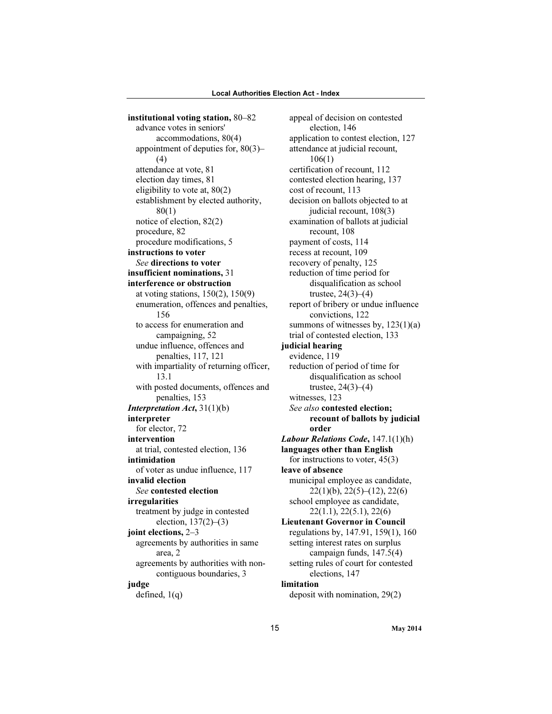institutional voting station, 80–82 advance votes in seniors' accommodations, 80(4) appointment of deputies for, 80(3)– (4) attendance at vote, 81 election day times, 81 eligibility to vote at, 80(2) establishment by elected authority, 80(1) notice of election, 82(2) procedure, 82 procedure modifications, 5 instructions to voter See directions to voter insufficient nominations, 31 interference or obstruction at voting stations, 150(2), 150(9) enumeration, offences and penalties, 156 to access for enumeration and campaigning, 52 undue influence, offences and penalties, 117, 121 with impartiality of returning officer, 13.1 with posted documents, offences and penalties, 153 Interpretation Act, 31(1)(b) interpreter for elector, 72 intervention at trial, contested election, 136 intimidation of voter as undue influence, 117 invalid election See contested election irregularities treatment by judge in contested election,  $137(2)–(3)$ joint elections, 2–3 agreements by authorities in same area, 2 agreements by authorities with noncontiguous boundaries, 3 judge defined, 1(q)

appeal of decision on contested election, 146 application to contest election, 127 attendance at judicial recount, 106(1) certification of recount, 112 contested election hearing, 137 cost of recount, 113 decision on ballots objected to at judicial recount, 108(3) examination of ballots at judicial recount, 108 payment of costs, 114 recess at recount, 109 recovery of penalty, 125 reduction of time period for disqualification as school trustee,  $24(3)–(4)$ report of bribery or undue influence convictions, 122 summons of witnesses by,  $123(1)(a)$ trial of contested election, 133 judicial hearing evidence, 119 reduction of period of time for disqualification as school trustee,  $24(3)–(4)$ witnesses, 123 See also contested election; recount of ballots by judicial order Labour Relations Code,  $147.1(1)(h)$ languages other than English for instructions to voter, 45(3) leave of absence municipal employee as candidate, 22(1)(b), 22(5)–(12), 22(6) school employee as candidate, 22(1.1), 22(5.1), 22(6) Lieutenant Governor in Council regulations by, 147.91, 159(1), 160 setting interest rates on surplus campaign funds, 147.5(4) setting rules of court for contested elections, 147 limitation deposit with nomination, 29(2)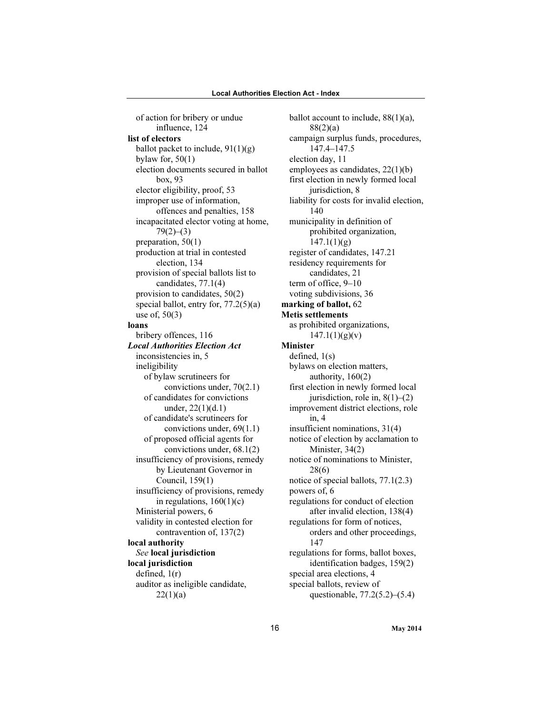of action for bribery or undue influence, 124 list of electors ballot packet to include,  $91(1)(g)$ bylaw for,  $50(1)$ election documents secured in ballot box, 93 elector eligibility, proof, 53 improper use of information, offences and penalties, 158 incapacitated elector voting at home,  $79(2)–(3)$ preparation, 50(1) production at trial in contested election, 134 provision of special ballots list to candidates, 77.1(4) provision to candidates, 50(2) special ballot, entry for, 77.2(5)(a) use of, 50(3) loans bribery offences, 116 Local Authorities Election Act inconsistencies in, 5 ineligibility of bylaw scrutineers for convictions under, 70(2.1) of candidates for convictions under, 22(1)(d.1) of candidate's scrutineers for convictions under, 69(1.1) of proposed official agents for convictions under, 68.1(2) insufficiency of provisions, remedy by Lieutenant Governor in Council, 159(1) insufficiency of provisions, remedy in regulations,  $160(1)(c)$ Ministerial powers, 6 validity in contested election for contravention of, 137(2) local authority See local jurisdiction local jurisdiction defined, 1(r) auditor as ineligible candidate,  $22(1)(a)$ 

ballot account to include,  $88(1)(a)$ , 88(2)(a) campaign surplus funds, procedures, 147.4–147.5 election day, 11 employees as candidates, 22(1)(b) first election in newly formed local jurisdiction, 8 liability for costs for invalid election, 140 municipality in definition of prohibited organization,  $147.1(1)(g)$ register of candidates, 147.21 residency requirements for candidates, 21 term of office, 9–10 voting subdivisions, 36 marking of ballot, 62 Metis settlements as prohibited organizations,  $147.1(1)(g)(v)$ Minister defined, 1(s) bylaws on election matters, authority, 160(2) first election in newly formed local jurisdiction, role in,  $8(1)$ – $(2)$ improvement district elections, role in, 4 insufficient nominations, 31(4) notice of election by acclamation to Minister, 34(2) notice of nominations to Minister, 28(6) notice of special ballots, 77.1(2.3) powers of, 6 regulations for conduct of election after invalid election, 138(4) regulations for form of notices, orders and other proceedings, 147 regulations for forms, ballot boxes, identification badges, 159(2) special area elections, 4 special ballots, review of questionable, 77.2(5.2)–(5.4)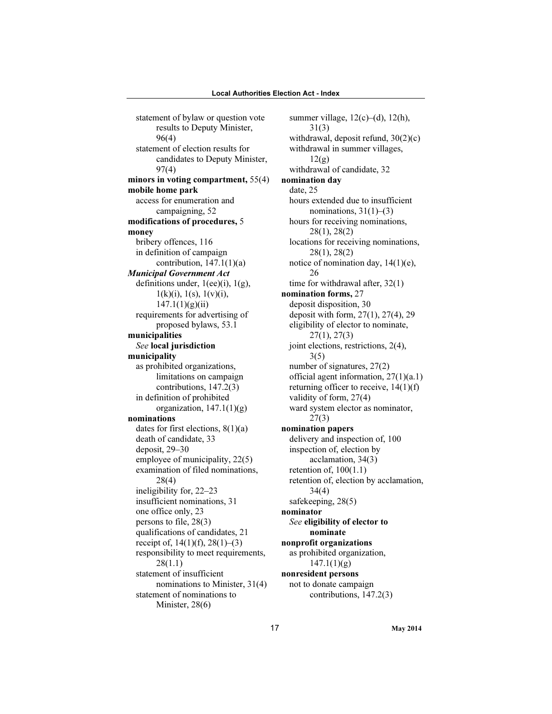statement of bylaw or question vote results to Deputy Minister, 96(4) statement of election results for candidates to Deputy Minister, 97(4) minors in voting compartment, 55(4) mobile home park access for enumeration and campaigning, 52 modifications of procedures, 5 money bribery offences, 116 in definition of campaign contribution,  $147.1(1)(a)$ Municipal Government Act definitions under,  $1(ee)(i)$ ,  $1(g)$ ,  $1(k)(i)$ ,  $1(s)$ ,  $1(v)(i)$ ,  $147.1(1)(g)(ii)$ requirements for advertising of proposed bylaws, 53.1 municipalities See local jurisdiction municipality as prohibited organizations, limitations on campaign contributions, 147.2(3) in definition of prohibited organization,  $147.1(1)(g)$ nominations dates for first elections, 8(1)(a) death of candidate, 33 deposit, 29–30 employee of municipality, 22(5) examination of filed nominations, 28(4) ineligibility for, 22–23 insufficient nominations, 31 one office only, 23 persons to file, 28(3) qualifications of candidates, 21 receipt of,  $14(1)(f)$ ,  $28(1)-(3)$ responsibility to meet requirements, 28(1.1) statement of insufficient nominations to Minister, 31(4) statement of nominations to Minister, 28(6)

summer village,  $12(c)$ –(d),  $12(h)$ , 31(3) withdrawal, deposit refund, 30(2)(c) withdrawal in summer villages,  $12(g)$ withdrawal of candidate, 32 nomination day date, 25 hours extended due to insufficient nominations,  $31(1)–(3)$ hours for receiving nominations, 28(1), 28(2) locations for receiving nominations, 28(1), 28(2) notice of nomination day, 14(1)(e), 26 time for withdrawal after, 32(1) nomination forms, 27 deposit disposition, 30 deposit with form, 27(1), 27(4), 29 eligibility of elector to nominate, 27(1), 27(3) joint elections, restrictions, 2(4), 3(5) number of signatures, 27(2) official agent information, 27(1)(a.1) returning officer to receive, 14(1)(f) validity of form, 27(4) ward system elector as nominator, 27(3) nomination papers delivery and inspection of, 100 inspection of, election by acclamation, 34(3) retention of, 100(1.1) retention of, election by acclamation, 34(4) safekeeping, 28(5) nominator See eligibility of elector to nominate nonprofit organizations as prohibited organization,  $147.1(1)(g)$ nonresident persons not to donate campaign contributions, 147.2(3)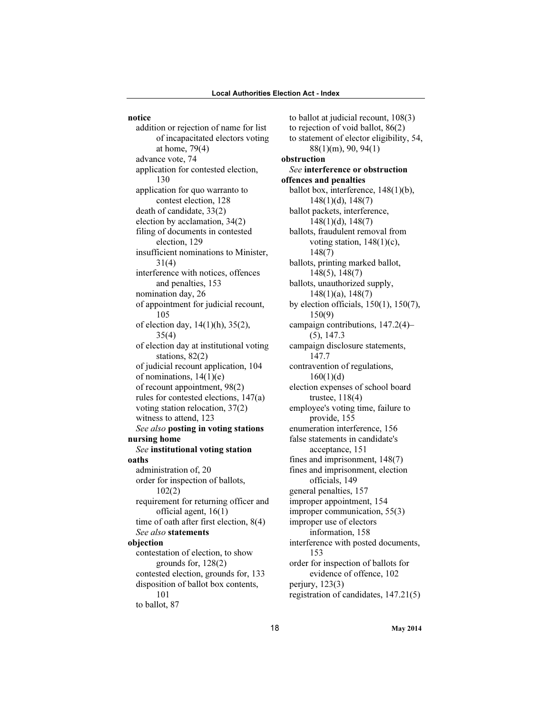notice

addition or rejection of name for list of incapacitated electors voting at home, 79(4) advance vote, 74 application for contested election, 130 application for quo warranto to contest election, 128 death of candidate, 33(2) election by acclamation, 34(2) filing of documents in contested election, 129 insufficient nominations to Minister, 31(4) interference with notices, offences and penalties, 153 nomination day, 26 of appointment for judicial recount, 105 of election day, 14(1)(h), 35(2), 35(4) of election day at institutional voting stations, 82(2) of judicial recount application, 104 of nominations, 14(1)(e) of recount appointment, 98(2) rules for contested elections, 147(a) voting station relocation, 37(2) witness to attend, 123 See also posting in voting stations nursing home See institutional voting station oaths administration of, 20 order for inspection of ballots, 102(2) requirement for returning officer and official agent, 16(1) time of oath after first election, 8(4) See also statements objection contestation of election, to show grounds for, 128(2) contested election, grounds for, 133 disposition of ballot box contents, 101

to ballot, 87

to ballot at judicial recount, 108(3) to rejection of void ballot, 86(2) to statement of elector eligibility, 54, 88(1)(m), 90, 94(1) obstruction See interference or obstruction offences and penalties ballot box, interference, 148(1)(b), 148(1)(d), 148(7) ballot packets, interference, 148(1)(d), 148(7) ballots, fraudulent removal from voting station, 148(1)(c), 148(7) ballots, printing marked ballot, 148(5), 148(7) ballots, unauthorized supply, 148(1)(a), 148(7) by election officials, 150(1), 150(7), 150(9) campaign contributions, 147.2(4)– (5), 147.3 campaign disclosure statements, 147.7 contravention of regulations,  $160(1)(d)$ election expenses of school board trustee, 118(4) employee's voting time, failure to provide, 155 enumeration interference, 156 false statements in candidate's acceptance, 151 fines and imprisonment, 148(7) fines and imprisonment, election officials, 149 general penalties, 157 improper appointment, 154 improper communication, 55(3) improper use of electors information, 158 interference with posted documents, 153 order for inspection of ballots for evidence of offence, 102 perjury, 123(3) registration of candidates, 147.21(5)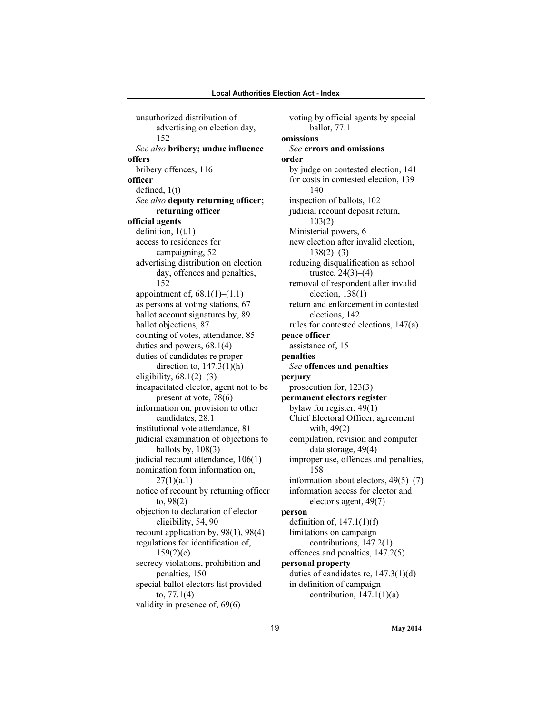unauthorized distribution of advertising on election day, 152 See also bribery; undue influence offers bribery offences, 116 officer defined, 1(t) See also deputy returning officer; returning officer official agents definition, 1(t.1) access to residences for campaigning, 52 advertising distribution on election day, offences and penalties, 152 appointment of,  $68.1(1)–(1.1)$ as persons at voting stations, 67 ballot account signatures by, 89 ballot objections, 87 counting of votes, attendance, 85 duties and powers, 68.1(4) duties of candidates re proper direction to, 147.3(1)(h) eligibility,  $68.1(2)$ – $(3)$ incapacitated elector, agent not to be present at vote, 78(6) information on, provision to other candidates, 28.1 institutional vote attendance, 81 judicial examination of objections to ballots by,  $108(3)$ judicial recount attendance, 106(1) nomination form information on,  $27(1)(a.1)$ notice of recount by returning officer to, 98(2) objection to declaration of elector eligibility, 54, 90 recount application by, 98(1), 98(4) regulations for identification of,  $159(2)(c)$ secrecy violations, prohibition and penalties, 150 special ballot electors list provided to, 77.1(4) validity in presence of, 69(6)

voting by official agents by special ballot, 77.1 omissions See errors and omissions order by judge on contested election, 141 for costs in contested election, 139– 140 inspection of ballots, 102 judicial recount deposit return, 103(2) Ministerial powers, 6 new election after invalid election,  $138(2)–(3)$ reducing disqualification as school trustee,  $24(3)–(4)$ removal of respondent after invalid election, 138(1) return and enforcement in contested elections, 142 rules for contested elections, 147(a) peace officer assistance of, 15 penalties See offences and penalties perjury prosecution for, 123(3) permanent electors register bylaw for register, 49(1) Chief Electoral Officer, agreement with, 49(2) compilation, revision and computer data storage, 49(4) improper use, offences and penalties, 158 information about electors, 49(5)–(7) information access for elector and elector's agent, 49(7) person definition of,  $147.1(1)(f)$ limitations on campaign contributions, 147.2(1) offences and penalties, 147.2(5) personal property duties of candidates re, 147.3(1)(d) in definition of campaign contribution,  $147.1(1)(a)$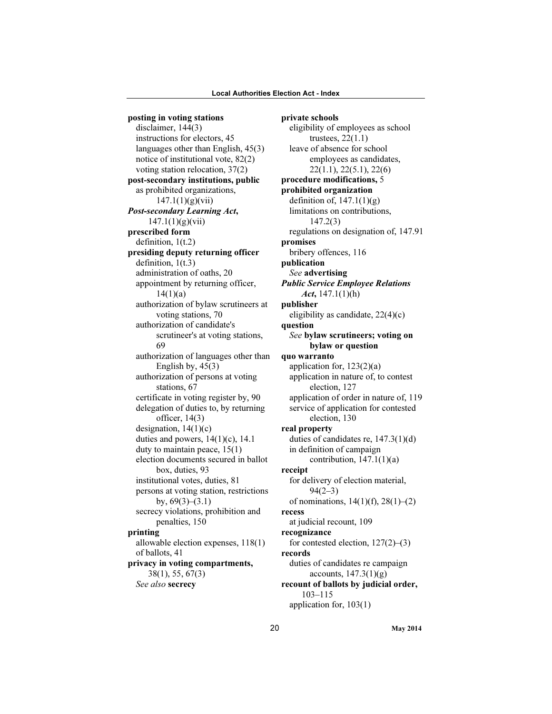posting in voting stations disclaimer, 144(3) instructions for electors, 45 languages other than English, 45(3) notice of institutional vote, 82(2) voting station relocation, 37(2) post-secondary institutions, public as prohibited organizations,  $147.1(1)(g)(vii)$ Post-secondary Learning Act,  $147.1(1)(g)(vii)$ prescribed form definition, 1(t.2) presiding deputy returning officer definition, 1(t.3) administration of oaths, 20 appointment by returning officer,  $14(1)(a)$ authorization of bylaw scrutineers at voting stations, 70 authorization of candidate's scrutineer's at voting stations, 69 authorization of languages other than English by,  $45(3)$ authorization of persons at voting stations, 67 certificate in voting register by, 90 delegation of duties to, by returning officer, 14(3) designation,  $14(1)(c)$ duties and powers,  $14(1)(c)$ , 14.1 duty to maintain peace, 15(1) election documents secured in ballot box, duties, 93 institutional votes, duties, 81 persons at voting station, restrictions by,  $69(3)$ – $(3.1)$ secrecy violations, prohibition and penalties, 150 printing allowable election expenses, 118(1) of ballots, 41 privacy in voting compartments, 38(1), 55, 67(3) See also secrecy

private schools eligibility of employees as school trustees, 22(1.1) leave of absence for school employees as candidates, 22(1.1), 22(5.1), 22(6) procedure modifications, 5 prohibited organization definition of,  $147.1(1)(g)$ limitations on contributions, 147.2(3) regulations on designation of, 147.91 promises bribery offences, 116 publication See advertising Public Service Employee Relations Act,  $147.1(1)$ (h) publisher eligibility as candidate, 22(4)(c) question See bylaw scrutineers; voting on bylaw or question quo warranto application for, 123(2)(a) application in nature of, to contest election, 127 application of order in nature of, 119 service of application for contested election, 130 real property duties of candidates re, 147.3(1)(d) in definition of campaign contribution,  $147.1(1)(a)$ receipt for delivery of election material, 94(2–3) of nominations,  $14(1)(f)$ ,  $28(1)-(2)$ recess at judicial recount, 109 recognizance for contested election, 127(2)–(3) records duties of candidates re campaign accounts,  $147.3(1)(g)$ recount of ballots by judicial order, 103–115 application for, 103(1)

20 May 2014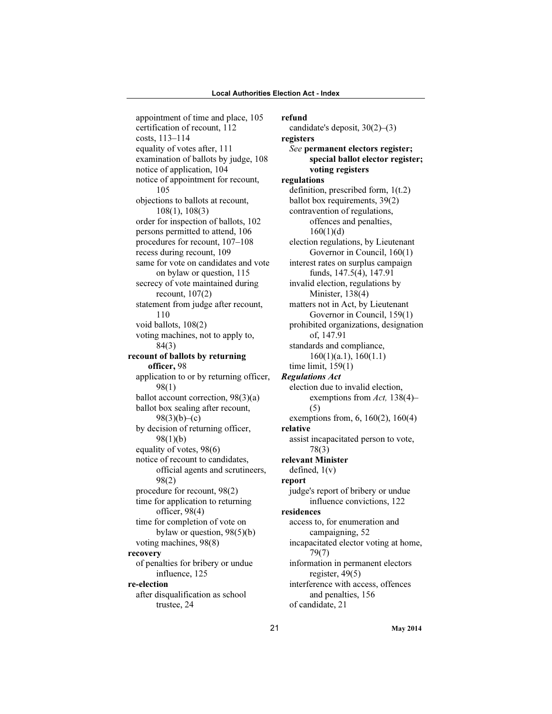appointment of time and place, 105 certification of recount, 112 costs, 113–114 equality of votes after, 111 examination of ballots by judge, 108 notice of application, 104 notice of appointment for recount, 105 objections to ballots at recount, 108(1), 108(3) order for inspection of ballots, 102 persons permitted to attend, 106 procedures for recount, 107–108 recess during recount, 109 same for vote on candidates and vote on bylaw or question, 115 secrecy of vote maintained during recount, 107(2) statement from judge after recount, 110 void ballots, 108(2) voting machines, not to apply to, 84(3) recount of ballots by returning officer, 98 application to or by returning officer, 98(1) ballot account correction, 98(3)(a) ballot box sealing after recount,  $98(3)(b)–(c)$ by decision of returning officer, 98(1)(b) equality of votes, 98(6) notice of recount to candidates, official agents and scrutineers, 98(2) procedure for recount, 98(2) time for application to returning officer, 98(4) time for completion of vote on bylaw or question, 98(5)(b) voting machines, 98(8) recovery of penalties for bribery or undue influence, 125 re-election after disqualification as school trustee, 24

refund candidate's deposit, 30(2)–(3) registers See permanent electors register; special ballot elector register; voting registers regulations definition, prescribed form, 1(t.2) ballot box requirements, 39(2) contravention of regulations, offences and penalties,  $160(1)(d)$ election regulations, by Lieutenant Governor in Council, 160(1) interest rates on surplus campaign funds, 147.5(4), 147.91 invalid election, regulations by Minister, 138(4) matters not in Act, by Lieutenant Governor in Council, 159(1) prohibited organizations, designation of, 147.91 standards and compliance, 160(1)(a.1), 160(1.1) time limit, 159(1) Regulations Act election due to invalid election, exemptions from Act, 138(4)– (5) exemptions from, 6, 160(2), 160(4) relative assist incapacitated person to vote, 78(3) relevant Minister defined, 1(v) report judge's report of bribery or undue influence convictions, 122 residences access to, for enumeration and campaigning, 52 incapacitated elector voting at home, 79(7) information in permanent electors register, 49(5) interference with access, offences and penalties, 156 of candidate, 21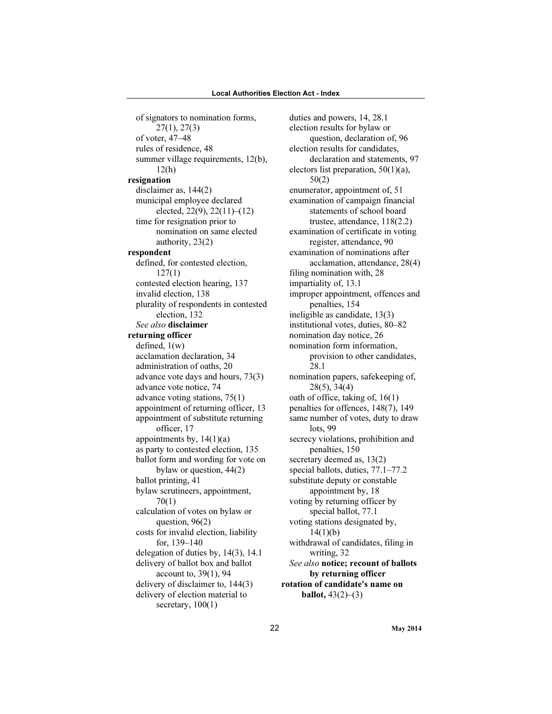of signators to nomination forms, 27(1), 27(3) of voter, 47–48 rules of residence, 48 summer village requirements, 12(b), 12(h) resignation disclaimer as, 144(2) municipal employee declared elected, 22(9), 22(11)–(12) time for resignation prior to nomination on same elected authority, 23(2) respondent defined, for contested election, 127(1) contested election hearing, 137 invalid election, 138 plurality of respondents in contested election, 132 See also disclaimer returning officer defined, 1(w) acclamation declaration, 34 administration of oaths, 20 advance vote days and hours, 73(3) advance vote notice, 74 advance voting stations, 75(1) appointment of returning officer, 13 appointment of substitute returning officer, 17 appointments by,  $14(1)(a)$ as party to contested election, 135 ballot form and wording for vote on bylaw or question, 44(2) ballot printing, 41 bylaw scrutineers, appointment, 70(1) calculation of votes on bylaw or question, 96(2) costs for invalid election, liability for, 139–140 delegation of duties by, 14(3), 14.1 delivery of ballot box and ballot account to, 39(1), 94 delivery of disclaimer to, 144(3) delivery of election material to secretary,  $100(1)$ 

duties and powers, 14, 28.1 election results for bylaw or question, declaration of, 96 election results for candidates, declaration and statements, 97 electors list preparation, 50(1)(a), 50(2) enumerator, appointment of, 51 examination of campaign financial statements of school board trustee, attendance, 118(2.2) examination of certificate in voting register, attendance, 90 examination of nominations after acclamation, attendance, 28(4) filing nomination with, 28 impartiality of, 13.1 improper appointment, offences and penalties, 154 ineligible as candidate, 13(3) institutional votes, duties, 80–82 nomination day notice, 26 nomination form information, provision to other candidates, 28.1 nomination papers, safekeeping of, 28(5), 34(4) oath of office, taking of, 16(1) penalties for offences, 148(7), 149 same number of votes, duty to draw lots, 99 secrecy violations, prohibition and penalties, 150 secretary deemed as, 13(2) special ballots, duties, 77.1–77.2 substitute deputy or constable appointment by, 18 voting by returning officer by special ballot, 77.1 voting stations designated by,  $14(1)(b)$ withdrawal of candidates, filing in writing, 32 See also notice; recount of ballots by returning officer rotation of candidate's name on **ballot**,  $43(2)–(3)$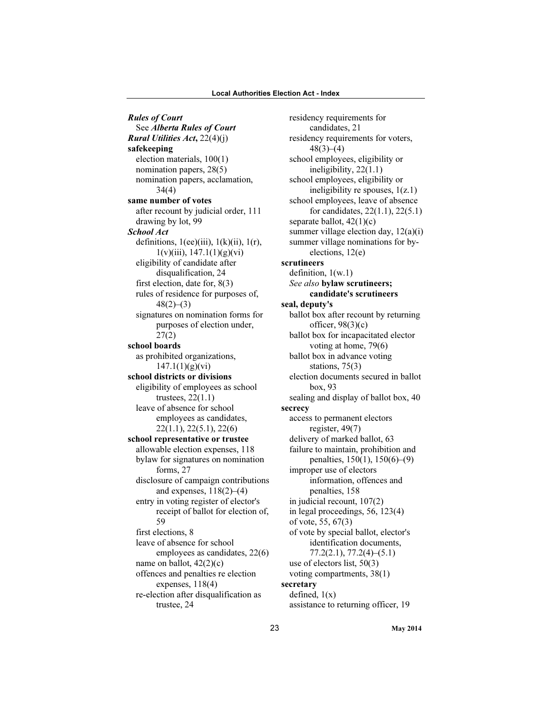Rules of Court See Alberta Rules of Court Rural Utilities Act, 22(4)(j) safekeeping election materials, 100(1) nomination papers, 28(5) nomination papers, acclamation, 34(4) same number of votes after recount by judicial order, 111 drawing by lot, 99 School Act definitions,  $1(ee)(iii)$ ,  $1(k)(ii)$ ,  $1(r)$ ,  $1(v)(iii)$ ,  $147.1(1)(g)(vi)$ eligibility of candidate after disqualification, 24 first election, date for, 8(3) rules of residence for purposes of,  $48(2)–(3)$ signatures on nomination forms for purposes of election under, 27(2) school boards as prohibited organizations,  $147.1(1)(g)(vi)$ school districts or divisions eligibility of employees as school trustees, 22(1.1) leave of absence for school employees as candidates, 22(1.1), 22(5.1), 22(6) school representative or trustee allowable election expenses, 118 bylaw for signatures on nomination forms, 27 disclosure of campaign contributions and expenses,  $118(2)–(4)$ entry in voting register of elector's receipt of ballot for election of, 59 first elections, 8 leave of absence for school employees as candidates, 22(6) name on ballot,  $42(2)(c)$ offences and penalties re election expenses, 118(4) re-election after disqualification as trustee, 24

residency requirements for candidates, 21 residency requirements for voters,  $48(3)–(4)$ school employees, eligibility or ineligibility, 22(1.1) school employees, eligibility or ineligibility re spouses, 1(z.1) school employees, leave of absence for candidates, 22(1.1), 22(5.1) separate ballot,  $42(1)(c)$ summer village election day, 12(a)(i) summer village nominations for byelections, 12(e) scrutineers definition, 1(w.1) See also bylaw scrutineers; candidate's scrutineers seal, deputy's ballot box after recount by returning officer,  $98(3)(c)$ ballot box for incapacitated elector voting at home, 79(6) ballot box in advance voting stations, 75(3) election documents secured in ballot box, 93 sealing and display of ballot box, 40 secrecy access to permanent electors register, 49(7) delivery of marked ballot, 63 failure to maintain, prohibition and penalties, 150(1), 150(6)–(9) improper use of electors information, offences and penalties, 158 in judicial recount, 107(2) in legal proceedings, 56, 123(4) of vote, 55, 67(3) of vote by special ballot, elector's identification documents, 77.2(2.1), 77.2(4)–(5.1) use of electors list, 50(3) voting compartments, 38(1) secretary defined,  $1(x)$ assistance to returning officer, 19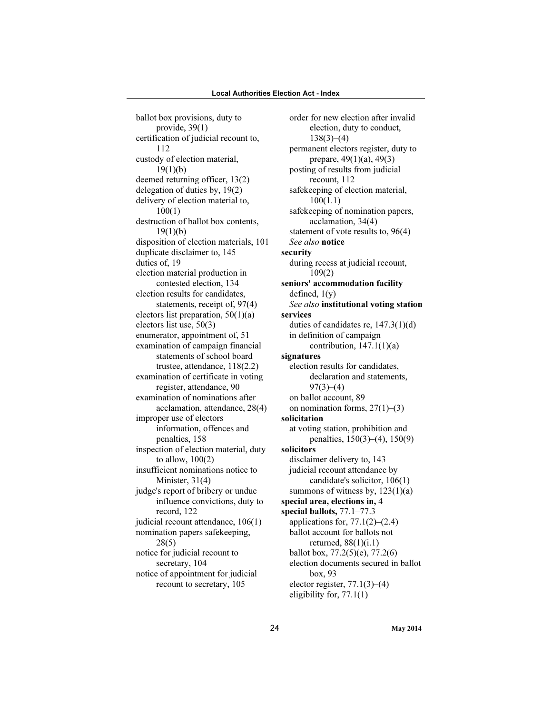ballot box provisions, duty to provide, 39(1) certification of judicial recount to, 112 custody of election material,  $19(1)(b)$ deemed returning officer, 13(2) delegation of duties by, 19(2) delivery of election material to, 100(1) destruction of ballot box contents, 19(1)(b) disposition of election materials, 101 duplicate disclaimer to, 145 duties of, 19 election material production in contested election, 134 election results for candidates, statements, receipt of, 97(4) electors list preparation,  $50(1)(a)$ electors list use, 50(3) enumerator, appointment of, 51 examination of campaign financial statements of school board trustee, attendance, 118(2.2) examination of certificate in voting register, attendance, 90 examination of nominations after acclamation, attendance, 28(4) improper use of electors information, offences and penalties, 158 inspection of election material, duty to allow, 100(2) insufficient nominations notice to Minister, 31(4) judge's report of bribery or undue influence convictions, duty to record, 122 judicial recount attendance, 106(1) nomination papers safekeeping, 28(5) notice for judicial recount to secretary, 104 notice of appointment for judicial recount to secretary, 105

order for new election after invalid election, duty to conduct,  $138(3)–(4)$ permanent electors register, duty to prepare, 49(1)(a), 49(3) posting of results from judicial recount, 112 safekeeping of election material, 100(1.1) safekeeping of nomination papers, acclamation, 34(4) statement of vote results to, 96(4) See also notice security during recess at judicial recount, 109(2) seniors' accommodation facility defined,  $1(y)$ See also institutional voting station services duties of candidates re, 147.3(1)(d) in definition of campaign contribution,  $147.1(1)(a)$ signatures election results for candidates, declaration and statements,  $97(3)–(4)$ on ballot account, 89 on nomination forms,  $27(1)–(3)$ solicitation at voting station, prohibition and penalties, 150(3)–(4), 150(9) solicitors disclaimer delivery to, 143 judicial recount attendance by candidate's solicitor, 106(1) summons of witness by, 123(1)(a) special area, elections in, 4 special ballots, 77.1–77.3 applications for,  $77.1(2)$ – $(2.4)$ ballot account for ballots not returned, 88(1)(i.1) ballot box, 77.2(5)(e), 77.2(6) election documents secured in ballot box, 93 elector register, 77.1(3)–(4) eligibility for, 77.1(1)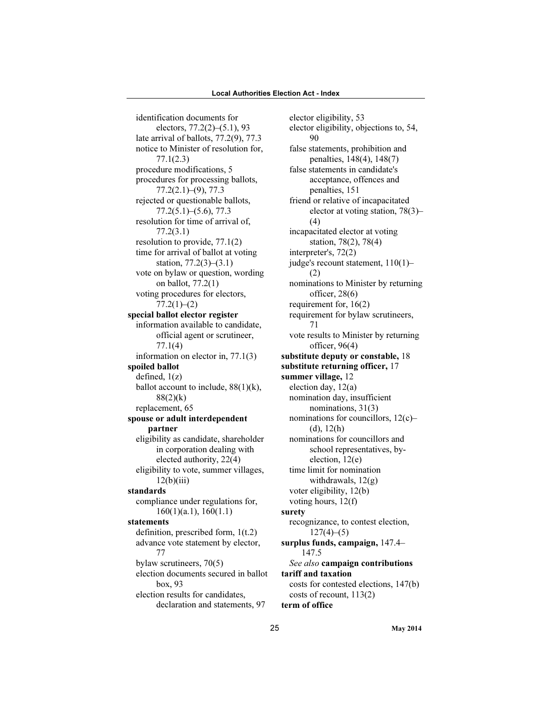identification documents for electors, 77.2(2)–(5.1), 93 late arrival of ballots, 77.2(9), 77.3 notice to Minister of resolution for, 77.1(2.3) procedure modifications, 5 procedures for processing ballots, 77.2(2.1)–(9), 77.3 rejected or questionable ballots, 77.2(5.1)–(5.6), 77.3 resolution for time of arrival of, 77.2(3.1) resolution to provide, 77.1(2) time for arrival of ballot at voting station, 77.2(3)–(3.1) vote on bylaw or question, wording on ballot, 77.2(1) voting procedures for electors,  $77.2(1)–(2)$ special ballot elector register information available to candidate, official agent or scrutineer, 77.1(4) information on elector in, 77.1(3) spoiled ballot defined, 1(z) ballot account to include,  $88(1)(k)$ ,  $88(2)(k)$ replacement, 65 spouse or adult interdependent partner eligibility as candidate, shareholder in corporation dealing with elected authority, 22(4) eligibility to vote, summer villages,  $12(b)(iii)$ standards compliance under regulations for, 160(1)(a.1), 160(1.1) statements definition, prescribed form, 1(t.2) advance vote statement by elector, 77 bylaw scrutineers, 70(5) election documents secured in ballot box, 93 election results for candidates, declaration and statements, 97

elector eligibility, 53 elector eligibility, objections to, 54, 90 false statements, prohibition and penalties, 148(4), 148(7) false statements in candidate's acceptance, offences and penalties, 151 friend or relative of incapacitated elector at voting station, 78(3)– (4) incapacitated elector at voting station, 78(2), 78(4) interpreter's, 72(2) judge's recount statement, 110(1)– (2) nominations to Minister by returning officer, 28(6) requirement for, 16(2) requirement for bylaw scrutineers, 71 vote results to Minister by returning officer, 96(4) substitute deputy or constable, 18 substitute returning officer, 17 summer village, 12 election day, 12(a) nomination day, insufficient nominations, 31(3) nominations for councillors, 12(c)–  $(d), 12(h)$ nominations for councillors and school representatives, byelection, 12(e) time limit for nomination withdrawals, 12(g) voter eligibility, 12(b) voting hours, 12(f) surety recognizance, to contest election,  $127(4)–(5)$ surplus funds, campaign, 147.4– 147.5 See also **campaign contributions** tariff and taxation costs for contested elections, 147(b) costs of recount, 113(2) term of office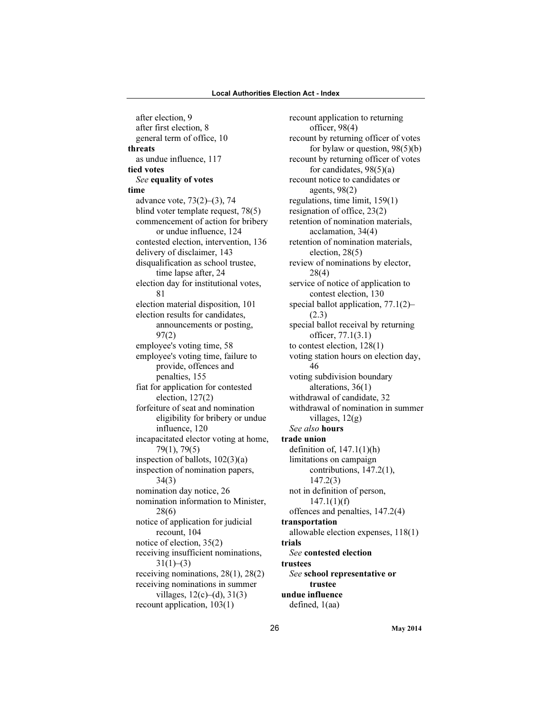after election, 9 after first election, 8 general term of office, 10 threats as undue influence, 117 tied votes See equality of votes time advance vote, 73(2)–(3), 74 blind voter template request, 78(5) commencement of action for bribery or undue influence, 124 contested election, intervention, 136 delivery of disclaimer, 143 disqualification as school trustee, time lapse after, 24 election day for institutional votes, 81 election material disposition, 101 election results for candidates, announcements or posting, 97(2) employee's voting time, 58 employee's voting time, failure to provide, offences and penalties, 155 fiat for application for contested election, 127(2) forfeiture of seat and nomination eligibility for bribery or undue influence, 120 incapacitated elector voting at home, 79(1), 79(5) inspection of ballots, 102(3)(a) inspection of nomination papers, 34(3) nomination day notice, 26 nomination information to Minister, 28(6) notice of application for judicial recount, 104 notice of election, 35(2) receiving insufficient nominations,  $31(1)–(3)$ receiving nominations, 28(1), 28(2) receiving nominations in summer villages, 12(c)–(d), 31(3) recount application, 103(1)

recount application to returning officer, 98(4) recount by returning officer of votes for bylaw or question, 98(5)(b) recount by returning officer of votes for candidates,  $98(5)(a)$ recount notice to candidates or agents, 98(2) regulations, time limit, 159(1) resignation of office, 23(2) retention of nomination materials, acclamation, 34(4) retention of nomination materials, election, 28(5) review of nominations by elector, 28(4) service of notice of application to contest election, 130 special ballot application, 77.1(2)– (2.3) special ballot receival by returning officer, 77.1(3.1) to contest election, 128(1) voting station hours on election day, 46 voting subdivision boundary alterations, 36(1) withdrawal of candidate, 32 withdrawal of nomination in summer villages,  $12(g)$ See also hours trade union definition of,  $147.1(1)(h)$ limitations on campaign contributions, 147.2(1), 147.2(3) not in definition of person,  $147.1(1)(f)$ offences and penalties, 147.2(4) transportation allowable election expenses, 118(1) trials See contested election trustees See school representative or trustee undue influence defined, 1(aa)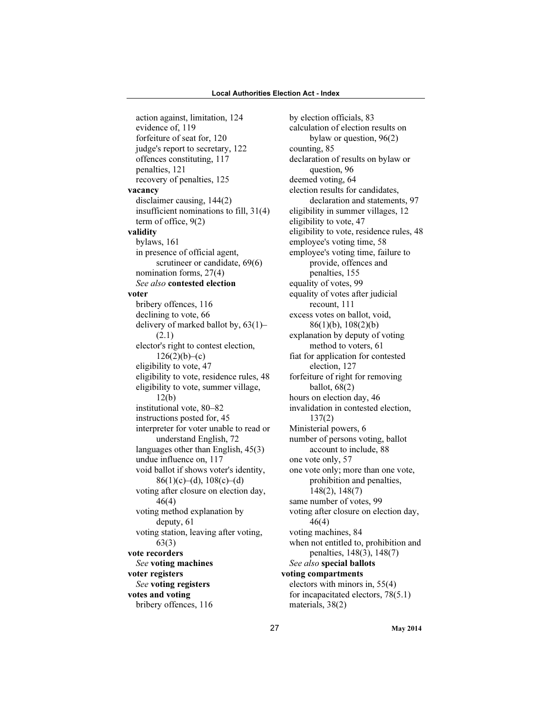action against, limitation, 124 evidence of, 119 forfeiture of seat for, 120 judge's report to secretary, 122 offences constituting, 117 penalties, 121 recovery of penalties, 125 vacancy disclaimer causing, 144(2) insufficient nominations to fill, 31(4) term of office, 9(2) validity bylaws, 161 in presence of official agent, scrutineer or candidate, 69(6) nomination forms, 27(4) See also contested election voter bribery offences, 116 declining to vote, 66 delivery of marked ballot by, 63(1)– (2.1) elector's right to contest election,  $126(2)(b)-(c)$ eligibility to vote, 47 eligibility to vote, residence rules, 48 eligibility to vote, summer village, 12(b) institutional vote, 80–82 instructions posted for, 45 interpreter for voter unable to read or understand English, 72 languages other than English, 45(3) undue influence on, 117 void ballot if shows voter's identity,  $86(1)(c)–(d), 108(c)–(d)$ voting after closure on election day, 46(4) voting method explanation by deputy, 61 voting station, leaving after voting, 63(3) vote recorders See voting machines voter registers See voting registers votes and voting bribery offences, 116

by election officials, 83 calculation of election results on bylaw or question, 96(2) counting, 85 declaration of results on bylaw or question, 96 deemed voting, 64 election results for candidates, declaration and statements, 97 eligibility in summer villages, 12 eligibility to vote, 47 eligibility to vote, residence rules, 48 employee's voting time, 58 employee's voting time, failure to provide, offences and penalties, 155 equality of votes, 99 equality of votes after judicial recount, 111 excess votes on ballot, void, 86(1)(b), 108(2)(b) explanation by deputy of voting method to voters, 61 fiat for application for contested election, 127 forfeiture of right for removing ballot, 68(2) hours on election day, 46 invalidation in contested election, 137(2) Ministerial powers, 6 number of persons voting, ballot account to include, 88 one vote only, 57 one vote only; more than one vote, prohibition and penalties, 148(2), 148(7) same number of votes, 99 voting after closure on election day, 46(4) voting machines, 84 when not entitled to, prohibition and penalties, 148(3), 148(7) See also special ballots voting compartments electors with minors in, 55(4) for incapacitated electors, 78(5.1) materials, 38(2)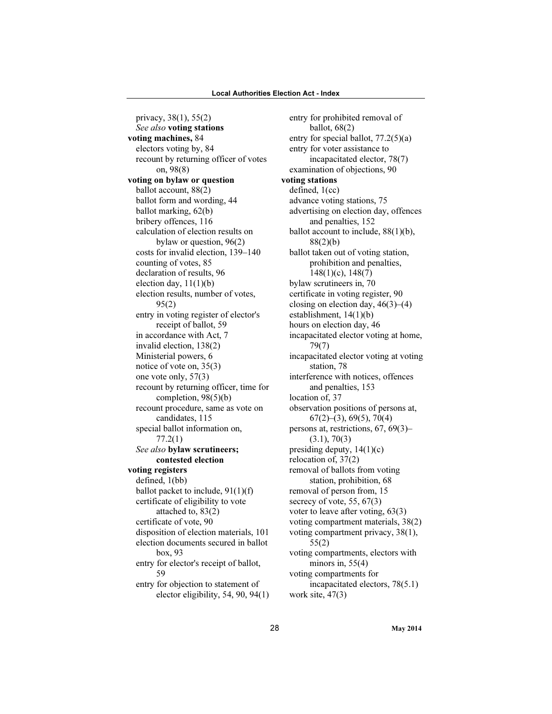privacy, 38(1), 55(2) See also voting stations voting machines, 84 electors voting by, 84 recount by returning officer of votes on, 98(8) voting on bylaw or question ballot account, 88(2) ballot form and wording, 44 ballot marking, 62(b) bribery offences, 116 calculation of election results on bylaw or question, 96(2) costs for invalid election, 139–140 counting of votes, 85 declaration of results, 96 election day,  $11(1)(b)$ election results, number of votes, 95(2) entry in voting register of elector's receipt of ballot, 59 in accordance with Act, 7 invalid election, 138(2) Ministerial powers, 6 notice of vote on, 35(3) one vote only, 57(3) recount by returning officer, time for completion, 98(5)(b) recount procedure, same as vote on candidates, 115 special ballot information on, 77.2(1) See also bylaw scrutineers; contested election voting registers defined, 1(bb) ballot packet to include, 91(1)(f) certificate of eligibility to vote attached to, 83(2) certificate of vote, 90 disposition of election materials, 101 election documents secured in ballot box, 93 entry for elector's receipt of ballot, 59 entry for objection to statement of elector eligibility, 54, 90, 94(1)

entry for prohibited removal of ballot, 68(2) entry for special ballot, 77.2(5)(a) entry for voter assistance to incapacitated elector, 78(7) examination of objections, 90 voting stations defined, 1(cc) advance voting stations, 75 advertising on election day, offences and penalties, 152 ballot account to include, 88(1)(b), 88(2)(b) ballot taken out of voting station, prohibition and penalties, 148(1)(c), 148(7) bylaw scrutineers in, 70 certificate in voting register, 90 closing on election day,  $46(3)$ – $(4)$ establishment, 14(1)(b) hours on election day, 46 incapacitated elector voting at home, 79(7) incapacitated elector voting at voting station, 78 interference with notices, offences and penalties, 153 location of, 37 observation positions of persons at,  $67(2)$ – $(3)$ , 69 $(5)$ , 70 $(4)$ persons at, restrictions, 67, 69(3)–  $(3.1), 70(3)$ presiding deputy,  $14(1)(c)$ relocation of, 37(2) removal of ballots from voting station, prohibition, 68 removal of person from, 15 secrecy of vote, 55, 67(3) voter to leave after voting, 63(3) voting compartment materials, 38(2) voting compartment privacy, 38(1), 55(2) voting compartments, electors with minors in,  $55(4)$ voting compartments for incapacitated electors, 78(5.1) work site, 47(3)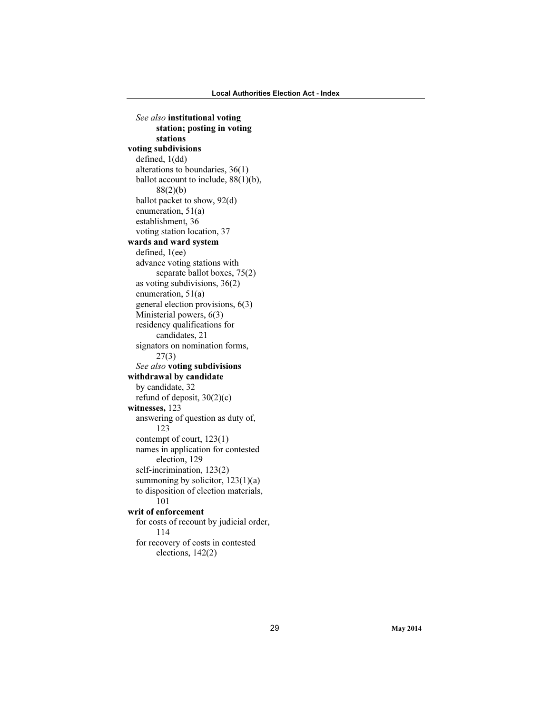See also institutional voting station; posting in voting stations voting subdivisions defined, 1(dd) alterations to boundaries, 36(1) ballot account to include, 88(1)(b), 88(2)(b) ballot packet to show, 92(d) enumeration, 51(a) establishment, 36 voting station location, 37 wards and ward system defined, 1(ee) advance voting stations with separate ballot boxes, 75(2) as voting subdivisions, 36(2) enumeration, 51(a) general election provisions, 6(3) Ministerial powers, 6(3) residency qualifications for candidates, 21 signators on nomination forms, 27(3) See also voting subdivisions withdrawal by candidate by candidate, 32 refund of deposit, 30(2)(c) witnesses, 123 answering of question as duty of, 123 contempt of court, 123(1) names in application for contested election, 129 self-incrimination, 123(2) summoning by solicitor,  $123(1)(a)$ to disposition of election materials, 101 writ of enforcement for costs of recount by judicial order, 114 for recovery of costs in contested elections, 142(2)